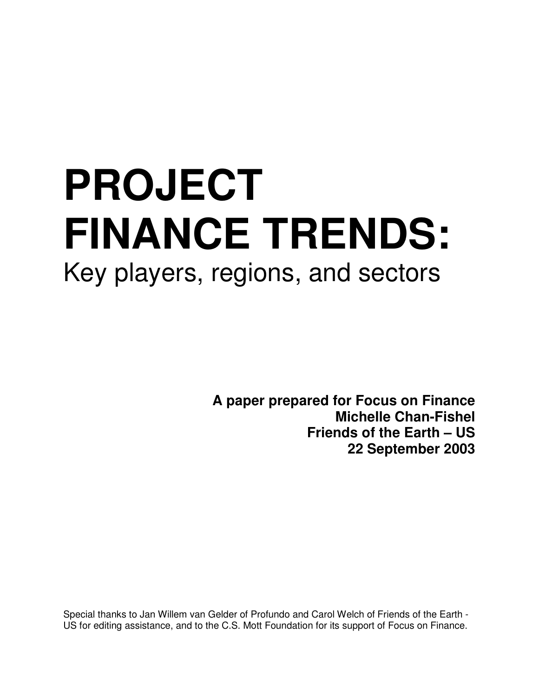# **PROJECT FINANCE TRENDS:** Key players, regions, and sectors

**A paper prepared for Focus on Finance Michelle Chan-Fishel Friends of the Earth – US 22 September 2003**

Special thanks to Jan Willem van Gelder of Profundo and Carol Welch of Friends of the Earth - US for editing assistance, and to the C.S. Mott Foundation for its support of Focus on Finance.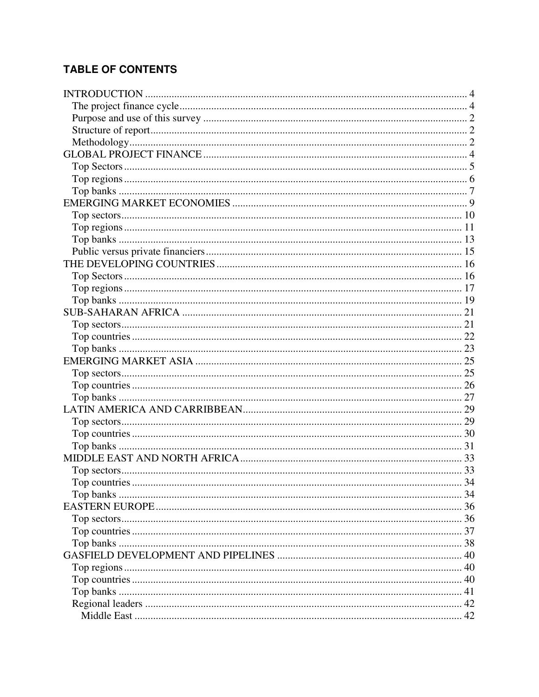# **TABLE OF CONTENTS**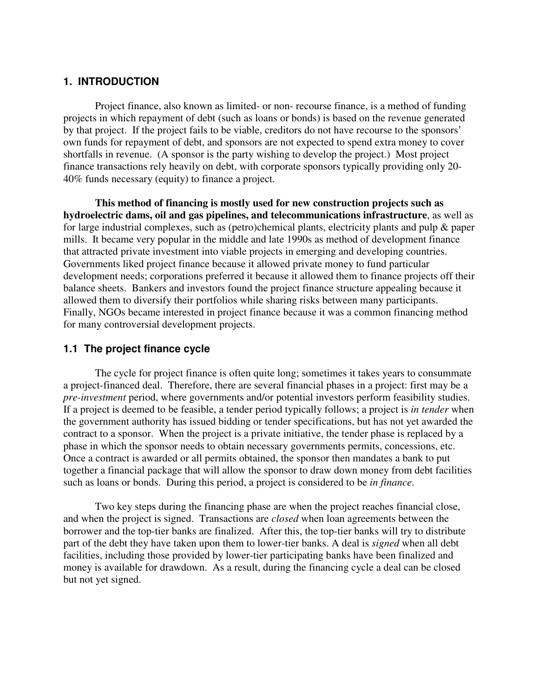# **1. INTRODUCTION**

Project finance, also known as limited- or non- recourse finance, is a method of funding projects in which repayment of debt (such as loans or bonds) is based on the revenue generated by that project. If the project fails to be viable, creditors do not have recourse to the sponsors' own funds for repayment of debt, and sponsors are not expected to spend extra money to cover shortfalls in revenue. (A sponsor is the party wishing to develop the project.) Most project finance transactions rely heavily on debt, with corporate sponsors typically providing only 20- 40% funds necessary (equity) to finance a project.

**This method of financing is mostly used for new construction projects such as hydroelectric dams, oil and gas pipelines, and telecommunications infrastructure**, as well as for large industrial complexes, such as (petro)chemical plants, electricity plants and pulp & paper mills. It became very popular in the middle and late 1990s as method of development finance that attracted private investment into viable projects in emerging and developing countries. Governments liked project finance because it allowed private money to fund particular development needs; corporations preferred it because it allowed them to finance projects off their balance sheets. Bankers and investors found the project finance structure appealing because it allowed them to diversify their portfolios while sharing risks between many participants. Finally, NGOs became interested in project finance because it was a common financing method for many controversial development projects.

# **1.1 The project finance cycle**

The cycle for project finance is often quite long; sometimes it takes years to consummate a project-financed deal. Therefore, there are several financial phases in a project: first may be a *pre-investment* period, where governments and/or potential investors perform feasibility studies. If a project is deemed to be feasible, a tender period typically follows; a project is *in tender* when the government authority has issued bidding or tender specifications, but has not yet awarded the contract to a sponsor. When the project is a private initiative, the tender phase is replaced by a phase in which the sponsor needs to obtain necessary governments permits, concessions, etc. Once a contract is awarded or all permits obtained, the sponsor then mandates a bank to put together a financial package that will allow the sponsor to draw down money from debt facilities such as loans or bonds. During this period, a project is considered to be *in finance*.

Two key steps during the financing phase are when the project reaches financial close, and when the project is signed. Transactions are *closed* when loan agreements between the borrower and the top-tier banks are finalized. After this, the top-tier banks will try to distribute part of the debt they have taken upon them to lower-tier banks. A deal is *signed* when all debt facilities, including those provided by lower-tier participating banks have been finalized and money is available for drawdown. As a result, during the financing cycle a deal can be closed but not yet signed.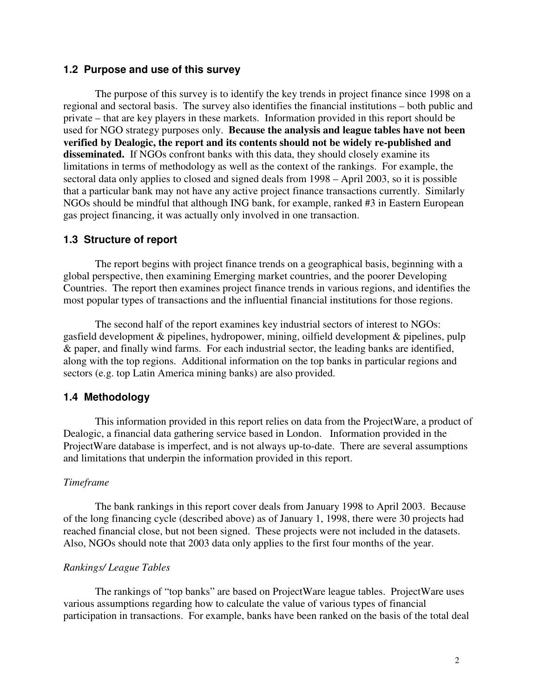#### **1.2 Purpose and use of this survey**

The purpose of this survey is to identify the key trends in project finance since 1998 on a regional and sectoral basis. The survey also identifies the financial institutions – both public and private – that are key players in these markets. Information provided in this report should be used for NGO strategy purposes only. **Because the analysis and league tables have not been verified by Dealogic, the report and its contents should not be widely re-published and disseminated.** If NGOs confront banks with this data, they should closely examine its limitations in terms of methodology as well as the context of the rankings. For example, the sectoral data only applies to closed and signed deals from 1998 – April 2003, so it is possible that a particular bank may not have any active project finance transactions currently. Similarly NGOs should be mindful that although ING bank, for example, ranked #3 in Eastern European gas project financing, it was actually only involved in one transaction.

#### **1.3 Structure of report**

The report begins with project finance trends on a geographical basis, beginning with a global perspective, then examining Emerging market countries, and the poorer Developing Countries. The report then examines project finance trends in various regions, and identifies the most popular types of transactions and the influential financial institutions for those regions.

The second half of the report examines key industrial sectors of interest to NGOs: gasfield development & pipelines, hydropower, mining, oilfield development & pipelines, pulp & paper, and finally wind farms. For each industrial sector, the leading banks are identified, along with the top regions. Additional information on the top banks in particular regions and sectors (e.g. top Latin America mining banks) are also provided.

#### **1.4 Methodology**

This information provided in this report relies on data from the ProjectWare, a product of Dealogic, a financial data gathering service based in London. Information provided in the ProjectWare database is imperfect, and is not always up-to-date. There are several assumptions and limitations that underpin the information provided in this report.

#### *Timeframe*

The bank rankings in this report cover deals from January 1998 to April 2003. Because of the long financing cycle (described above) as of January 1, 1998, there were 30 projects had reached financial close, but not been signed. These projects were not included in the datasets. Also, NGOs should note that 2003 data only applies to the first four months of the year.

#### *Rankings/ League Tables*

The rankings of "top banks" are based on ProjectWare league tables. ProjectWare uses various assumptions regarding how to calculate the value of various types of financial participation in transactions. For example, banks have been ranked on the basis of the total deal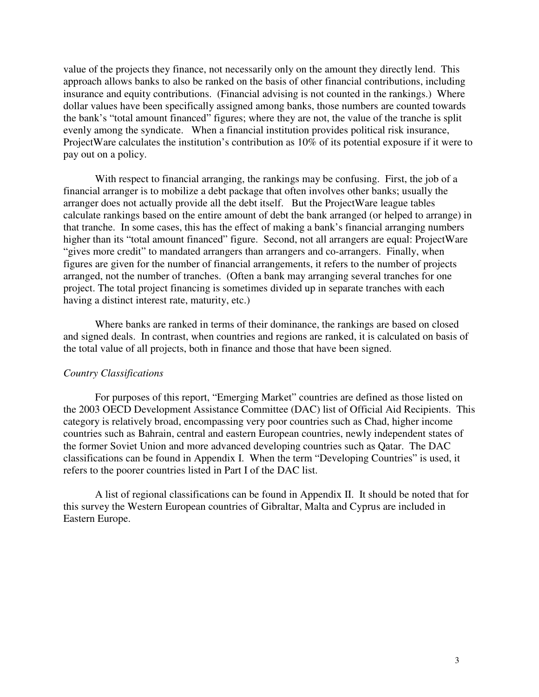value of the projects they finance, not necessarily only on the amount they directly lend. This approach allows banks to also be ranked on the basis of other financial contributions, including insurance and equity contributions. (Financial advising is not counted in the rankings.) Where dollar values have been specifically assigned among banks, those numbers are counted towards the bank's "total amount financed" figures; where they are not, the value of the tranche is split evenly among the syndicate. When a financial institution provides political risk insurance, ProjectWare calculates the institution's contribution as 10% of its potential exposure if it were to pay out on a policy.

With respect to financial arranging, the rankings may be confusing. First, the job of a financial arranger is to mobilize a debt package that often involves other banks; usually the arranger does not actually provide all the debt itself. But the ProjectWare league tables calculate rankings based on the entire amount of debt the bank arranged (or helped to arrange) in that tranche. In some cases, this has the effect of making a bank's financial arranging numbers higher than its "total amount financed" figure. Second, not all arrangers are equal: ProjectWare "gives more credit" to mandated arrangers than arrangers and co-arrangers. Finally, when figures are given for the number of financial arrangements, it refers to the number of projects arranged, not the number of tranches. (Often a bank may arranging several tranches for one project. The total project financing is sometimes divided up in separate tranches with each having a distinct interest rate, maturity, etc.)

Where banks are ranked in terms of their dominance, the rankings are based on closed and signed deals. In contrast, when countries and regions are ranked, it is calculated on basis of the total value of all projects, both in finance and those that have been signed.

#### *Country Classifications*

For purposes of this report, "Emerging Market" countries are defined as those listed on the 2003 OECD Development Assistance Committee (DAC) list of Official Aid Recipients. This category is relatively broad, encompassing very poor countries such as Chad, higher income countries such as Bahrain, central and eastern European countries, newly independent states of the former Soviet Union and more advanced developing countries such as Qatar. The DAC classifications can be found in Appendix I. When the term "Developing Countries" is used, it refers to the poorer countries listed in Part I of the DAC list.

A list of regional classifications can be found in Appendix II. It should be noted that for this survey the Western European countries of Gibraltar, Malta and Cyprus are included in Eastern Europe.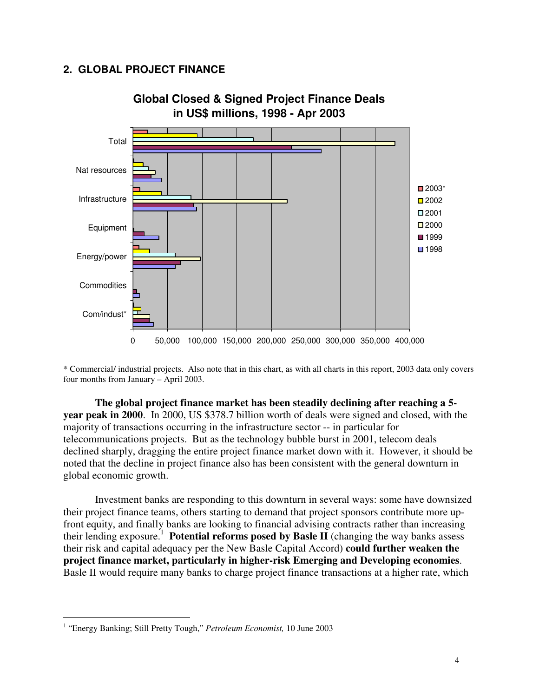# **2. GLOBAL PROJECT FINANCE**



\* Commercial/ industrial projects. Also note that in this chart, as with all charts in this report, 2003 data only covers four months from January – April 2003.

**The global project finance market has been steadily declining after reaching a 5 year peak in 2000**. In 2000, US \$378.7 billion worth of deals were signed and closed, with the majority of transactions occurring in the infrastructure sector -- in particular for telecommunications projects. But as the technology bubble burst in 2001, telecom deals declined sharply, dragging the entire project finance market down with it. However, it should be noted that the decline in project finance also has been consistent with the general downturn in global economic growth.

Investment banks are responding to this downturn in several ways: some have downsized their project finance teams, others starting to demand that project sponsors contribute more upfront equity, and finally banks are looking to financial advising contracts rather than increasing their lending exposure. 1 **Potential reforms posed by Basle II** (changing the way banks assess their risk and capital adequacy per the New Basle Capital Accord) **could further weaken the project finance market, particularly in higher-risk Emerging and Developing economies**. Basle II would require many banks to charge project finance transactions at a higher rate, which

<sup>&</sup>lt;sup>1</sup> "Energy Banking; Still Pretty Tough," Petroleum Economist, 10 June 2003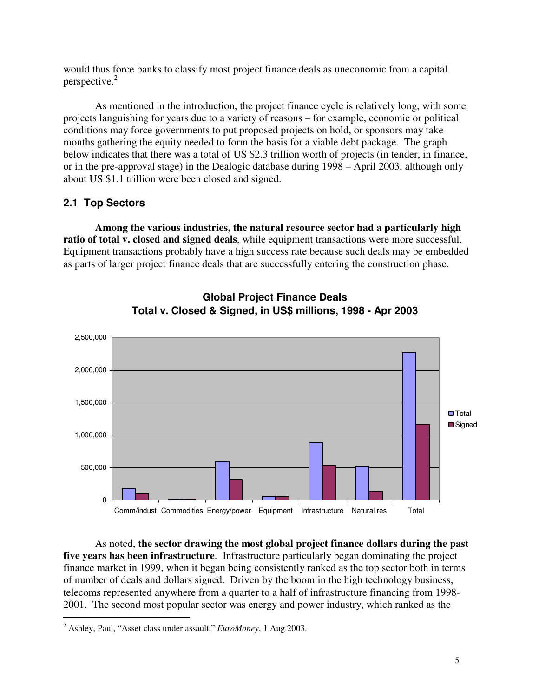would thus force banks to classify most project finance deals as uneconomic from a capital perspective. 2

As mentioned in the introduction, the project finance cycle is relatively long, with some projects languishing for years due to a variety of reasons – for example, economic or political conditions may force governments to put proposed projects on hold, or sponsors may take months gathering the equity needed to form the basis for a viable debt package. The graph below indicates that there was a total of US \$2.3 trillion worth of projects (in tender, in finance, or in the pre-approval stage) in the Dealogic database during 1998 – April 2003, although only about US \$1.1 trillion were been closed and signed.

# **2.1 Top Sectors**

**Among the various industries, the natural resource sector had a particularly high ratio of total v. closed and signed deals**, while equipment transactions were more successful. Equipment transactions probably have a high success rate because such deals may be embedded as parts of larger project finance deals that are successfully entering the construction phase.





As noted, **the sector drawing the most global project finance dollars during the past five years has been infrastructure**. Infrastructure particularly began dominating the project finance market in 1999, when it began being consistently ranked as the top sector both in terms of number of deals and dollars signed. Driven by the boom in the high technology business, telecoms represented anywhere from a quarter to a half of infrastructure financing from 1998- 2001. The second most popular sector was energy and power industry, which ranked as the

<sup>2</sup> Ashley, Paul, "Asset class under assault," *EuroMoney*, 1 Aug 2003.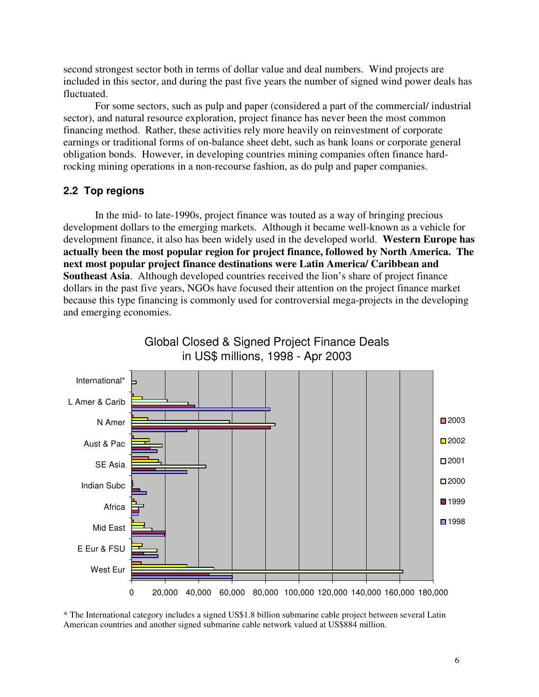second strongest sector both in terms of dollar value and deal numbers. Wind projects are included in this sector, and during the past five years the number of signed wind power deals has fluctuated.

For some sectors, such as pulp and paper (considered a part of the commercial/ industrial sector), and natural resource exploration, project finance has never been the most common financing method. Rather, these activities rely more heavily on reinvestment of corporate earnings or traditional forms of on-balance sheet debt, such as bank loans or corporate general obligation bonds. However, in developing countries mining companies often finance hardrocking mining operations in a non-recourse fashion, as do pulp and paper companies.

#### **2.2 Top regions**

In the mid- to late-1990s, project finance was touted as a way of bringing precious development dollars to the emerging markets. Although it became well-known as a vehicle for development finance, it also has been widely used in the developed world. **Western Europe has actually been the most popular region for project finance, followed by North America. The next most popular project finance destinations were Latin America/ Caribbean and Southeast Asia**. Although developed countries received the lion's share of project finance dollars in the past five years, NGOs have focused their attention on the project finance market because this type financing is commonly used for controversial mega-projects in the developing and emerging economies.



# Global Closed & Signed Project Finance Deals

\* The International category includes a signed US\$1.8 billion submarine cable project between several Latin American countries and another signed submarine cable network valued at US\$884 million.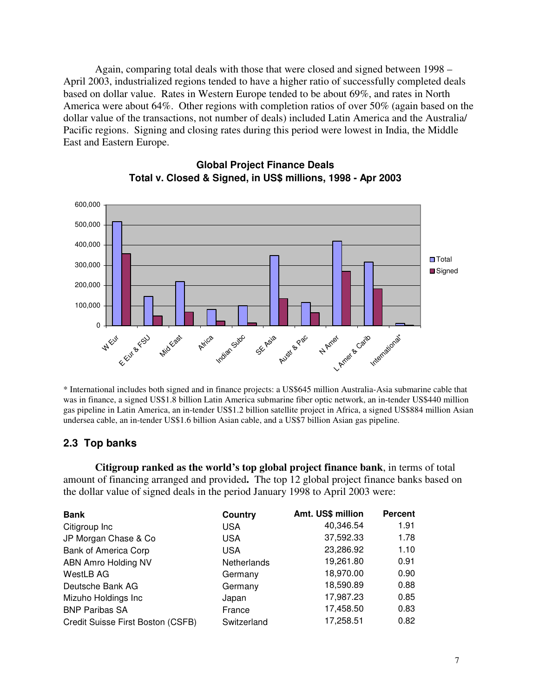Again, comparing total deals with those that were closed and signed between 1998 – April 2003, industrialized regions tended to have a higher ratio of successfully completed deals based on dollar value. Rates in Western Europe tended to be about 69%, and rates in North America were about 64%. Other regions with completion ratios of over 50% (again based on the dollar value of the transactions, not number of deals) included Latin America and the Australia/ Pacific regions. Signing and closing rates during this period were lowest in India, the Middle East and Eastern Europe.



# **Global Project Finance Deals Total v. Closed & Signed, in US\$ millions, 1998 - Apr 2003**

\* International includes both signed and in finance projects: a US\$645 million Australia-Asia submarine cable that was in finance, a signed US\$1.8 billion Latin America submarine fiber optic network, an in-tender US\$440 million gas pipeline in Latin America, an in-tender US\$1.2 billion satellite project in Africa, a signed US\$884 million Asian undersea cable, an in-tender US\$1.6 billion Asian cable, and a US\$7 billion Asian gas pipeline.

# **2.3 Top banks**

**Citigroup ranked as the world's top global project finance bank**, in terms of total amount of financing arranged and provided**.** The top 12 global project finance banks based on the dollar value of signed deals in the period January 1998 to April 2003 were:

| <b>Bank</b>                       | <b>Country</b>     | Amt. US\$ million | <b>Percent</b> |
|-----------------------------------|--------------------|-------------------|----------------|
| Citigroup Inc                     | <b>USA</b>         | 40,346.54         | 1.91           |
| JP Morgan Chase & Co              | <b>USA</b>         | 37,592.33         | 1.78           |
| <b>Bank of America Corp</b>       | <b>USA</b>         | 23,286.92         | 1.10           |
| ABN Amro Holding NV               | <b>Netherlands</b> | 19,261.80         | 0.91           |
| WestLB AG                         | Germany            | 18,970.00         | 0.90           |
| Deutsche Bank AG                  | Germany            | 18,590.89         | 0.88           |
| Mizuho Holdings Inc               | Japan              | 17,987.23         | 0.85           |
| <b>BNP Paribas SA</b>             | France             | 17,458.50         | 0.83           |
| Credit Suisse First Boston (CSFB) | Switzerland        | 17,258.51         | 0.82           |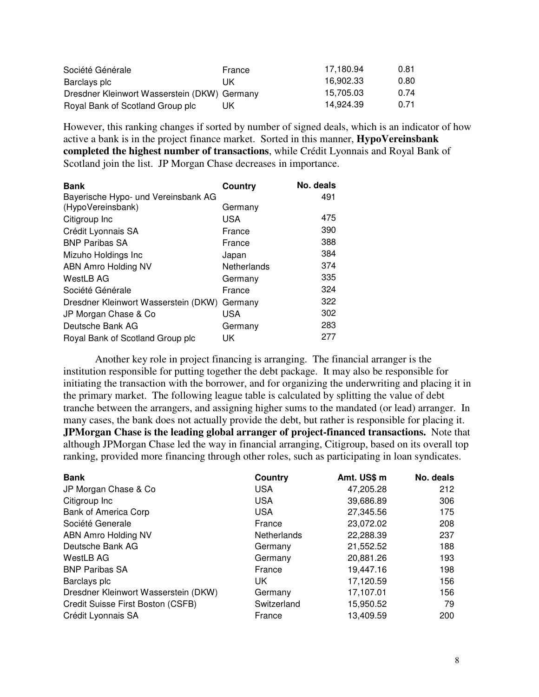| Société Générale                             | France | 17.180.94 | 0.81 |
|----------------------------------------------|--------|-----------|------|
| Barclays plc                                 | ПK     | 16.902.33 | 0.80 |
| Dresdner Kleinwort Wasserstein (DKW) Germany |        | 15.705.03 | 0.74 |
| Royal Bank of Scotland Group plc             | UK     | 14.924.39 | 0.71 |

However, this ranking changes if sorted by number of signed deals, which is an indicator of how active a bank is in the project finance market. Sorted in this manner, **HypoVereinsbank completed the highest number of transactions**, while Crédit Lyonnais and Royal Bank of Scotland join the list. JP Morgan Chase decreases in importance.

| <b>Bank</b>                          | Country     | No. deals |
|--------------------------------------|-------------|-----------|
| Bayerische Hypo- und Vereinsbank AG  |             | 491       |
| (HypoVereinsbank)                    | Germany     |           |
| Citigroup Inc                        | USA         | 475       |
| Crédit Lyonnais SA                   | France      | 390       |
| <b>BNP Paribas SA</b>                | France      | 388       |
| Mizuho Holdings Inc                  | Japan       | 384       |
| <b>ABN Amro Holding NV</b>           | Netherlands | 374       |
| <b>WestLB AG</b>                     | Germany     | 335       |
| Société Générale                     | France      | 324       |
| Dresdner Kleinwort Wasserstein (DKW) | Germany     | 322       |
| JP Morgan Chase & Co                 | USA         | 302       |
| Deutsche Bank AG                     | Germany     | 283       |
| Royal Bank of Scotland Group plc     | UK          | 277       |

Another key role in project financing is arranging. The financial arranger is the institution responsible for putting together the debt package. It may also be responsible for initiating the transaction with the borrower, and for organizing the underwriting and placing it in the primary market. The following league table is calculated by splitting the value of debt tranche between the arrangers, and assigning higher sums to the mandated (or lead) arranger. In many cases, the bank does not actually provide the debt, but rather is responsible for placing it. **JPMorgan Chase is the leading global arranger of project-financed transactions.** Note that although JPMorgan Chase led the way in financial arranging, Citigroup, based on its overall top ranking, provided more financing through other roles, such as participating in loan syndicates.

| <b>Bank</b>                          | Country     | Amt. US\$ m | No. deals |
|--------------------------------------|-------------|-------------|-----------|
| JP Morgan Chase & Co                 | <b>USA</b>  | 47,205.28   | 212       |
| Citigroup Inc                        | <b>USA</b>  | 39,686.89   | 306       |
| <b>Bank of America Corp</b>          | <b>USA</b>  | 27,345.56   | 175       |
| Société Generale                     | France      | 23,072.02   | 208       |
| ABN Amro Holding NV                  | Netherlands | 22,288.39   | 237       |
| Deutsche Bank AG                     | Germany     | 21,552.52   | 188       |
| WestLB AG                            | Germany     | 20,881.26   | 193       |
| <b>BNP Paribas SA</b>                | France      | 19,447.16   | 198       |
| Barclays plc                         | UK.         | 17,120.59   | 156       |
| Dresdner Kleinwort Wasserstein (DKW) | Germany     | 17,107.01   | 156       |
| Credit Suisse First Boston (CSFB)    | Switzerland | 15,950.52   | 79        |
| Crédit Lyonnais SA                   | France      | 13,409.59   | 200       |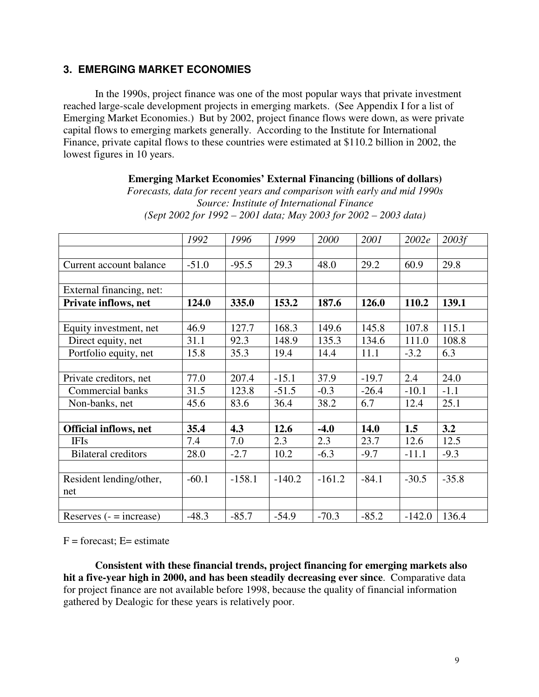# **3. EMERGING MARKET ECONOMIES**

In the 1990s, project finance was one of the most popular ways that private investment reached large-scale development projects in emerging markets. (See Appendix I for a list of Emerging Market Economies.) But by 2002, project finance flows were down, as were private capital flows to emerging markets generally. According to the Institute for International Finance, private capital flows to these countries were estimated at \$110.2 billion in 2002, the lowest figures in 10 years.

#### **Emerging Market Economies' External Financing (billions of dollars)**

*Forecasts, data for recent years and comparison with early and mid 1990s Source: Institute of International Finance (Sept 2002 for 1992 – 2001 data; May 2003 for 2002 – 2003 data)*

|                              | 1992    | 1996     | 1999     | 2000     | 2001        | 2002e    | 2003f   |
|------------------------------|---------|----------|----------|----------|-------------|----------|---------|
|                              |         |          |          |          |             |          |         |
| Current account balance      | $-51.0$ | $-95.5$  | 29.3     | 48.0     | 29.2        | 60.9     | 29.8    |
|                              |         |          |          |          |             |          |         |
| External financing, net:     |         |          |          |          |             |          |         |
| Private inflows, net         | 124.0   | 335.0    | 153.2    | 187.6    | 126.0       | 110.2    | 139.1   |
|                              |         |          |          |          |             |          |         |
| Equity investment, net       | 46.9    | 127.7    | 168.3    | 149.6    | 145.8       | 107.8    | 115.1   |
| Direct equity, net           | 31.1    | 92.3     | 148.9    | 135.3    | 134.6       | 111.0    | 108.8   |
| Portfolio equity, net        | 15.8    | 35.3     | 19.4     | 14.4     | 11.1        | $-3.2$   | 6.3     |
|                              |         |          |          |          |             |          |         |
| Private creditors, net       | 77.0    | 207.4    | $-15.1$  | 37.9     | $-19.7$     | 2.4      | 24.0    |
| Commercial banks             | 31.5    | 123.8    | $-51.5$  | $-0.3$   | $-26.4$     | $-10.1$  | $-1.1$  |
| Non-banks, net               | 45.6    | 83.6     | 36.4     | 38.2     | 6.7         | 12.4     | 25.1    |
|                              |         |          |          |          |             |          |         |
| <b>Official inflows, net</b> | 35.4    | 4.3      | 12.6     | $-4.0$   | <b>14.0</b> | 1.5      | 3.2     |
| <b>IFIs</b>                  | 7.4     | 7.0      | 2.3      | 2.3      | 23.7        | 12.6     | 12.5    |
| <b>Bilateral creditors</b>   | 28.0    | $-2.7$   | 10.2     | $-6.3$   | $-9.7$      | $-11.1$  | $-9.3$  |
|                              |         |          |          |          |             |          |         |
| Resident lending/other,      | $-60.1$ | $-158.1$ | $-140.2$ | $-161.2$ | $-84.1$     | $-30.5$  | $-35.8$ |
| net                          |         |          |          |          |             |          |         |
|                              |         |          |          |          |             |          |         |
| Reserves $( - = increase)$   | $-48.3$ | $-85.7$  | $-54.9$  | $-70.3$  | $-85.2$     | $-142.0$ | 136.4   |

 $F =$  forecast;  $E =$  estimate

**Consistent with these financial trends, project financing for emerging markets also hit a five-year high in 2000, and has been steadily decreasing ever since**. Comparative data for project finance are not available before 1998, because the quality of financial information gathered by Dealogic for these years is relatively poor.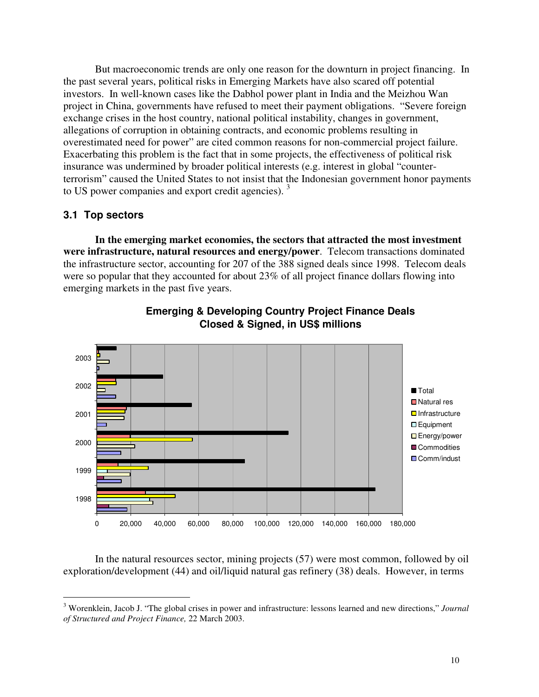But macroeconomic trends are only one reason for the downturn in project financing. In the past several years, political risks in Emerging Markets have also scared off potential investors. In well-known cases like the Dabhol power plant in India and the Meizhou Wan project in China, governments have refused to meet their payment obligations. "Severe foreign exchange crises in the host country, national political instability, changes in government, allegations of corruption in obtaining contracts, and economic problems resulting in overestimated need for power" are cited common reasons for non-commercial project failure. Exacerbating this problem is the fact that in some projects, the effectiveness of political risk insurance was undermined by broader political interests (e.g. interest in global "counterterrorism" caused the United States to not insist that the Indonesian government honor payments to US power companies and export credit agencies).<sup>3</sup>

# **3.1 Top sectors**

**In the emerging market economies, the sectors that attracted the most investment were infrastructure, natural resources and energy/power**. Telecom transactions dominated the infrastructure sector, accounting for 207 of the 388 signed deals since 1998. Telecom deals were so popular that they accounted for about 23% of all project finance dollars flowing into emerging markets in the past five years.



# **Emerging & Developing Country Project Finance Deals Closed & Signed, in US\$ millions**

In the natural resources sector, mining projects (57) were most common, followed by oil exploration/development (44) and oil/liquid natural gas refinery (38) deals. However, in terms

<sup>3</sup> Worenklein, Jacob J. "The global crises in power and infrastructure: lessons learned and new directions," *Journal of Structured and Project Finance,* 22 March 2003.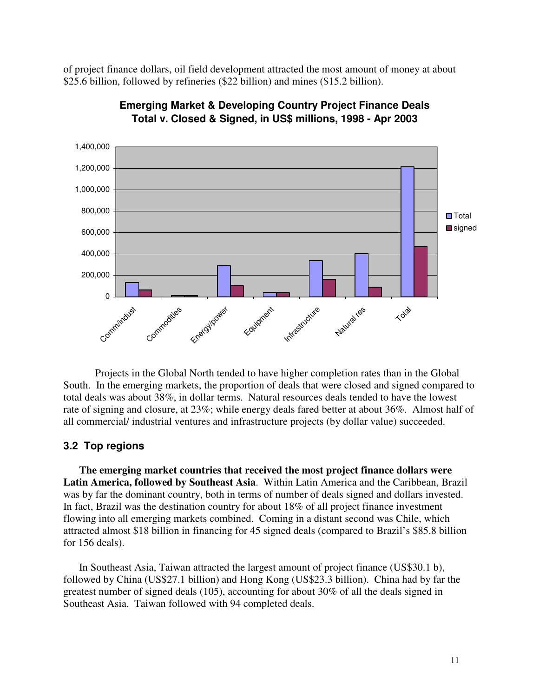of project finance dollars, oil field development attracted the most amount of money at about \$25.6 billion, followed by refineries (\$22 billion) and mines (\$15.2 billion).



**Emerging Market & Developing Country Project Finance Deals Total v. Closed & Signed, in US\$ millions, 1998 - Apr 2003**

Projects in the Global North tended to have higher completion rates than in the Global South. In the emerging markets, the proportion of deals that were closed and signed compared to total deals was about 38%, in dollar terms. Natural resources deals tended to have the lowest rate of signing and closure, at 23%; while energy deals fared better at about 36%. Almost half of all commercial/ industrial ventures and infrastructure projects (by dollar value) succeeded.

#### **3.2 Top regions**

**The emerging market countries that received the most project finance dollars were Latin America, followed by Southeast Asia**. Within Latin America and the Caribbean, Brazil was by far the dominant country, both in terms of number of deals signed and dollars invested. In fact, Brazil was the destination country for about 18% of all project finance investment flowing into all emerging markets combined. Coming in a distant second was Chile, which attracted almost \$18 billion in financing for 45 signed deals (compared to Brazil's \$85.8 billion for 156 deals).

In Southeast Asia, Taiwan attracted the largest amount of project finance (US\$30.1 b), followed by China (US\$27.1 billion) and Hong Kong (US\$23.3 billion). China had by far the greatest number of signed deals (105), accounting for about 30% of all the deals signed in Southeast Asia. Taiwan followed with 94 completed deals.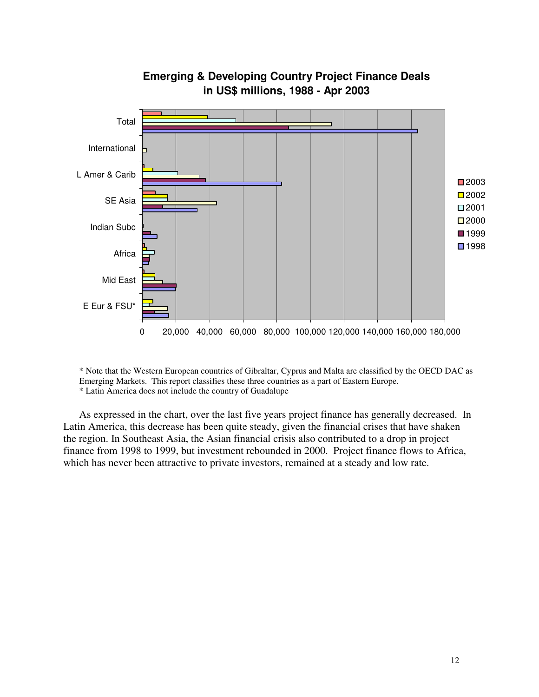

# **Emerging & Developing Country Project Finance Deals in US\$ millions, 1988 - Apr 2003**

\* Note that the Western European countries of Gibraltar, Cyprus and Malta are classified by the OECD DAC as Emerging Markets. This report classifies these three countries as a part of Eastern Europe. \* Latin America does not include the country of Guadalupe

As expressed in the chart, over the last five years project finance has generally decreased. In Latin America, this decrease has been quite steady, given the financial crises that have shaken the region. In Southeast Asia, the Asian financial crisis also contributed to a drop in project finance from 1998 to 1999, but investment rebounded in 2000. Project finance flows to Africa, which has never been attractive to private investors, remained at a steady and low rate.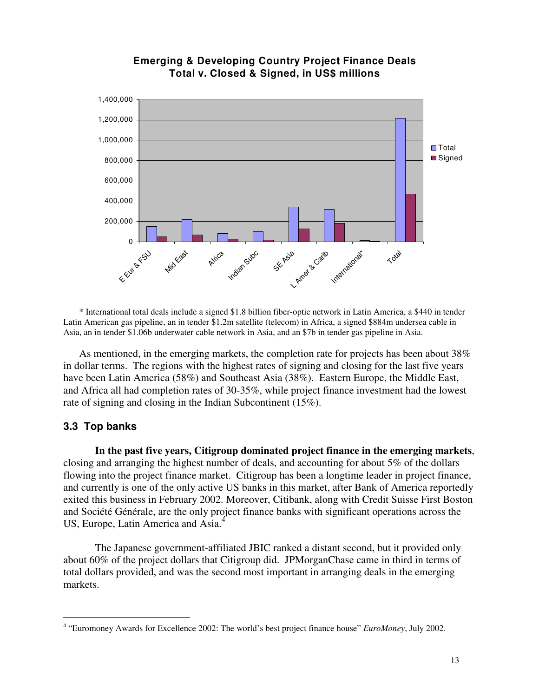

# **Emerging & Developing Country Project Finance Deals Total v. Closed & Signed, in US\$ millions**

\* International total deals include a signed \$1.8 billion fiber-optic network in Latin America, a \$440 in tender Latin American gas pipeline, an in tender \$1.2m satellite (telecom) in Africa, a signed \$884m undersea cable in Asia, an in tender \$1.06b underwater cable network in Asia, and an \$7b in tender gas pipeline in Asia.

As mentioned, in the emerging markets, the completion rate for projects has been about 38% in dollar terms. The regions with the highest rates of signing and closing for the last five years have been Latin America (58%) and Southeast Asia (38%). Eastern Europe, the Middle East, and Africa all had completion rates of 30-35%, while project finance investment had the lowest rate of signing and closing in the Indian Subcontinent (15%).

# **3.3 Top banks**

**In the past five years, Citigroup dominated project finance in the emerging markets**, closing and arranging the highest number of deals, and accounting for about 5% of the dollars flowing into the project finance market. Citigroup has been a longtime leader in project finance, and currently is one of the only active US banks in this market, after Bank of America reportedly exited this business in February 2002. Moreover, Citibank, along with Credit Suisse First Boston and Société Générale, are the only project finance banks with significant operations across the US, Europe, Latin America and Asia. 4

The Japanese government-affiliated JBIC ranked a distant second, but it provided only about 60% of the project dollars that Citigroup did. JPMorganChase came in third in terms of total dollars provided, and was the second most important in arranging deals in the emerging markets.

<sup>4</sup> "Euromoney Awards for Excellence 2002: The world's best project finance house" *EuroMoney*, July 2002.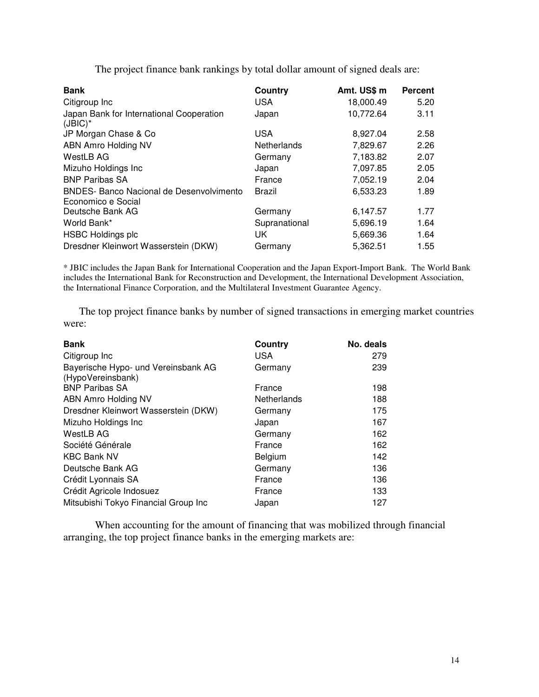The project finance bank rankings by total dollar amount of signed deals are:

| <b>Bank</b>                                                           | Country       | Amt. US\$ m | <b>Percent</b> |
|-----------------------------------------------------------------------|---------------|-------------|----------------|
| Citigroup Inc                                                         | <b>USA</b>    | 18,000.49   | 5.20           |
| Japan Bank for International Cooperation<br>$(JBIC)^*$                | Japan         | 10,772.64   | 3.11           |
| JP Morgan Chase & Co                                                  | <b>USA</b>    | 8,927.04    | 2.58           |
| <b>ABN Amro Holding NV</b>                                            | Netherlands   | 7,829.67    | 2.26           |
| WestLB AG                                                             | Germany       | 7,183.82    | 2.07           |
| Mizuho Holdings Inc                                                   | Japan         | 7,097.85    | 2.05           |
| <b>BNP Paribas SA</b>                                                 | France        | 7,052.19    | 2.04           |
| <b>BNDES- Banco Nacional de Desenvolvimento</b><br>Economico e Social | Brazil        | 6,533.23    | 1.89           |
| Deutsche Bank AG                                                      | Germany       | 6,147.57    | 1.77           |
| World Bank*                                                           | Supranational | 5,696.19    | 1.64           |
| <b>HSBC Holdings plc</b>                                              | UK            | 5,669.36    | 1.64           |
| Dresdner Kleinwort Wasserstein (DKW)                                  | Germany       | 5.362.51    | 1.55           |

\* JBIC includes the Japan Bank for International Cooperation and the Japan Export-Import Bank. The World Bank includes the International Bank for Reconstruction and Development, the International Development Association, the International Finance Corporation, and the Multilateral Investment Guarantee Agency.

The top project finance banks by number of signed transactions in emerging market countries were:

| <b>Bank</b>                                              | Country     | No. deals |
|----------------------------------------------------------|-------------|-----------|
| Citigroup Inc                                            | <b>USA</b>  | 279       |
| Bayerische Hypo- und Vereinsbank AG<br>(HypoVereinsbank) | Germany     | 239       |
| <b>BNP Paribas SA</b>                                    | France      | 198       |
| ABN Amro Holding NV                                      | Netherlands | 188       |
| Dresdner Kleinwort Wasserstein (DKW)                     | Germany     | 175       |
| Mizuho Holdings Inc                                      | Japan       | 167       |
| WestLB AG                                                | Germany     | 162       |
| Société Générale                                         | France      | 162       |
| <b>KBC Bank NV</b>                                       | Belgium     | 142       |
| Deutsche Bank AG                                         | Germany     | 136       |
| Crédit Lyonnais SA                                       | France      | 136       |
| Crédit Agricole Indosuez                                 | France      | 133       |
| Mitsubishi Tokyo Financial Group Inc                     | Japan       | 127       |

When accounting for the amount of financing that was mobilized through financial arranging, the top project finance banks in the emerging markets are: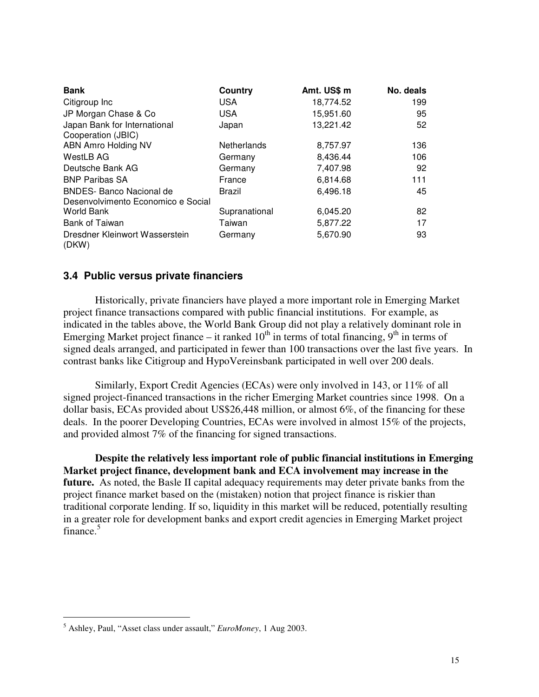| <b>Bank</b>                                                           | Country            | Amt. US\$ m | No. deals |
|-----------------------------------------------------------------------|--------------------|-------------|-----------|
| Citigroup Inc                                                         | <b>USA</b>         | 18,774.52   | 199       |
| JP Morgan Chase & Co                                                  | USA.               | 15,951.60   | 95        |
| Japan Bank for International<br>Cooperation (JBIC)                    | Japan              | 13,221.42   | 52        |
| ABN Amro Holding NV                                                   | <b>Netherlands</b> | 8,757.97    | 136       |
| <b>WestLB AG</b>                                                      | Germany            | 8,436.44    | 106       |
| Deutsche Bank AG                                                      | Germany            | 7.407.98    | 92        |
| <b>BNP Paribas SA</b>                                                 | France             | 6,814.68    | 111       |
| <b>BNDES- Banco Nacional de</b><br>Desenvolvimento Economico e Social | Brazil             | 6.496.18    | 45        |
| <b>World Bank</b>                                                     | Supranational      | 6,045.20    | 82        |
| Bank of Taiwan                                                        | Taiwan             | 5,877.22    | 17        |
| Dresdner Kleinwort Wasserstein<br>(DKW)                               | Germany            | 5,670.90    | 93        |

# **3.4 Public versus private financiers**

Historically, private financiers have played a more important role in Emerging Market project finance transactions compared with public financial institutions. For example, as indicated in the tables above, the World Bank Group did not play a relatively dominant role in Emerging Market project finance – it ranked  $10^{th}$  in terms of total financing,  $9^{th}$  in terms of signed deals arranged, and participated in fewer than 100 transactions over the last five years. In contrast banks like Citigroup and HypoVereinsbank participated in well over 200 deals.

Similarly, Export Credit Agencies (ECAs) were only involved in 143, or 11% of all signed project-financed transactions in the richer Emerging Market countries since 1998. On a dollar basis, ECAs provided about US\$26,448 million, or almost 6%, of the financing for these deals. In the poorer Developing Countries, ECAs were involved in almost 15% of the projects, and provided almost 7% of the financing for signed transactions.

**Despite the relatively less important role of public financial institutions in Emerging Market project finance, development bank and ECA involvement may increase in the future.** As noted, the Basle II capital adequacy requirements may deter private banks from the project finance market based on the (mistaken) notion that project finance is riskier than traditional corporate lending. If so, liquidity in this market will be reduced, potentially resulting in a greater role for development banks and export credit agencies in Emerging Market project finance.<sup>5</sup>

<sup>5</sup> Ashley, Paul, "Asset class under assault," *EuroMoney*, 1 Aug 2003.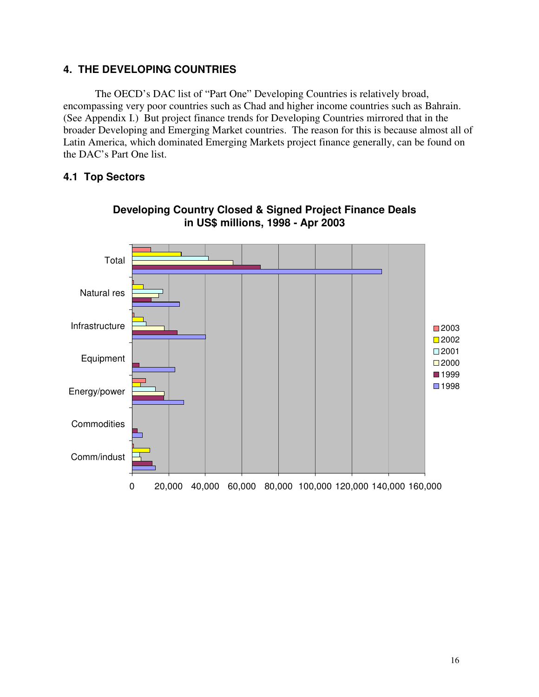# **4. THE DEVELOPING COUNTRIES**

The OECD's DAC list of "Part One" Developing Countries is relatively broad, encompassing very poor countries such as Chad and higher income countries such as Bahrain. (See Appendix I.) But project finance trends for Developing Countries mirrored that in the broader Developing and Emerging Market countries. The reason for this is because almost all of Latin America, which dominated Emerging Markets project finance generally, can be found on the DAC's Part One list.

# **4.1 Top Sectors**



# **Developing Country Closed & Signed Project Finance Deals in US\$ millions, 1998 - Apr 2003**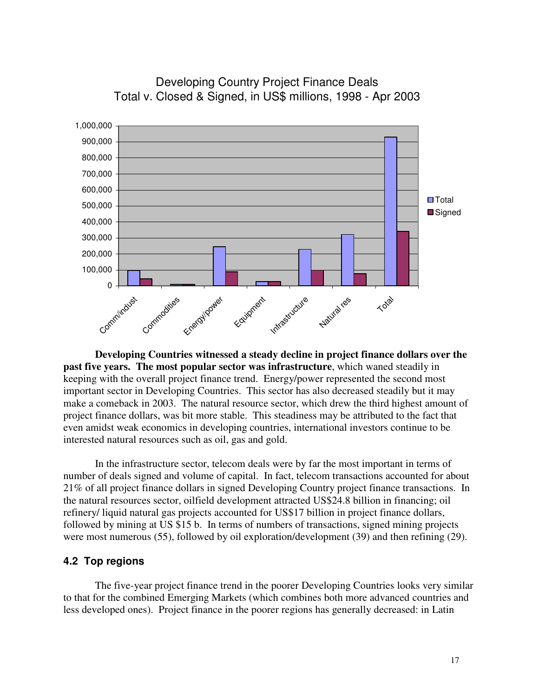

Developing Country Project Finance Deals Total v. Closed & Signed, in US\$ millions, 1998 - Apr 2003

**Developing Countries witnessed a steady decline in project finance dollars over the past five years. The most popular sector was infrastructure**, which waned steadily in keeping with the overall project finance trend. Energy/power represented the second most important sector in Developing Countries. This sector has also decreased steadily but it may make a comeback in 2003. The natural resource sector, which drew the third highest amount of project finance dollars, was bit more stable. This steadiness may be attributed to the fact that even amidst weak economics in developing countries, international investors continue to be interested natural resources such as oil, gas and gold.

In the infrastructure sector, telecom deals were by far the most important in terms of number of deals signed and volume of capital. In fact, telecom transactions accounted for about 21% of all project finance dollars in signed Developing Country project finance transactions. In the natural resources sector, oilfield development attracted US\$24.8 billion in financing; oil refinery/ liquid natural gas projects accounted for US\$17 billion in project finance dollars, followed by mining at US \$15 b. In terms of numbers of transactions, signed mining projects were most numerous (55), followed by oil exploration/development (39) and then refining (29).

# **4.2 Top regions**

The five-year project finance trend in the poorer Developing Countries looks very similar to that for the combined Emerging Markets (which combines both more advanced countries and less developed ones). Project finance in the poorer regions has generally decreased: in Latin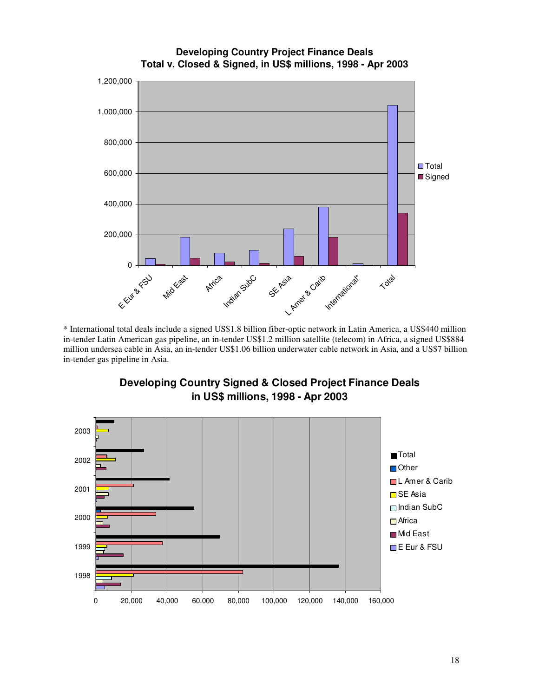

**Developing Country Project Finance Deals Total v. Closed & Signed, in US\$ millions, 1998 - Apr 2003**

\* International total deals include a signed US\$1.8 billion fiber-optic network in Latin America, a US\$440 million in-tender Latin American gas pipeline, an in-tender US\$1.2 million satellite (telecom) in Africa, a signed US\$884 million undersea cable in Asia, an in-tender US\$1.06 billion underwater cable network in Asia, and a US\$7 billion in-tender gas pipeline in Asia.



**Developing Country Signed & Closed Project Finance Deals in US\$ millions, 1998 - Apr 2003**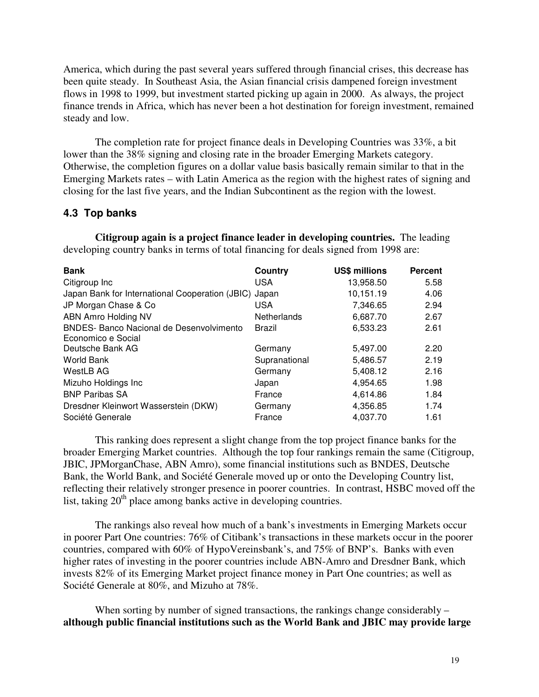America, which during the past several years suffered through financial crises, this decrease has been quite steady. In Southeast Asia, the Asian financial crisis dampened foreign investment flows in 1998 to 1999, but investment started picking up again in 2000. As always, the project finance trends in Africa, which has never been a hot destination for foreign investment, remained steady and low.

The completion rate for project finance deals in Developing Countries was 33%, a bit lower than the 38% signing and closing rate in the broader Emerging Markets category. Otherwise, the completion figures on a dollar value basis basically remain similar to that in the Emerging Markets rates – with Latin America as the region with the highest rates of signing and closing for the last five years, and the Indian Subcontinent as the region with the lowest.

# **4.3 Top banks**

**Citigroup again is a project finance leader in developing countries.** The leading developing country banks in terms of total financing for deals signed from 1998 are:

| <b>Bank</b>                                                           | Country            | <b>US\$ millions</b> | <b>Percent</b> |
|-----------------------------------------------------------------------|--------------------|----------------------|----------------|
| Citigroup Inc                                                         | <b>USA</b>         | 13,958.50            | 5.58           |
| Japan Bank for International Cooperation (JBIC) Japan                 |                    | 10,151.19            | 4.06           |
| JP Morgan Chase & Co                                                  | <b>USA</b>         | 7,346.65             | 2.94           |
| <b>ABN Amro Holding NV</b>                                            | <b>Netherlands</b> | 6,687.70             | 2.67           |
| <b>BNDES- Banco Nacional de Desenvolvimento</b><br>Economico e Social | Brazil             | 6,533.23             | 2.61           |
| Deutsche Bank AG                                                      | Germany            | 5,497.00             | 2.20           |
| World Bank                                                            | Supranational      | 5,486.57             | 2.19           |
| WestLB AG                                                             | Germany            | 5,408.12             | 2.16           |
| Mizuho Holdings Inc                                                   | Japan              | 4,954.65             | 1.98           |
| <b>BNP Paribas SA</b>                                                 | France             | 4,614.86             | 1.84           |
| Dresdner Kleinwort Wasserstein (DKW)                                  | Germany            | 4,356.85             | 1.74           |
| Société Generale                                                      | France             | 4,037.70             | 1.61           |

This ranking does represent a slight change from the top project finance banks for the broader Emerging Market countries. Although the top four rankings remain the same (Citigroup, JBIC, JPMorganChase, ABN Amro), some financial institutions such as BNDES, Deutsche Bank, the World Bank, and Société Generale moved up or onto the Developing Country list, reflecting their relatively stronger presence in poorer countries. In contrast, HSBC moved off the list, taking 20<sup>th</sup> place among banks active in developing countries.

The rankings also reveal how much of a bank's investments in Emerging Markets occur in poorer Part One countries: 76% of Citibank's transactions in these markets occur in the poorer countries, compared with 60% of HypoVereinsbank's, and 75% of BNP's. Banks with even higher rates of investing in the poorer countries include ABN-Amro and Dresdner Bank, which invests 82% of its Emerging Market project finance money in Part One countries; as well as Société Generale at 80%, and Mizuho at 78%.

When sorting by number of signed transactions, the rankings change considerably – **although public financial institutions such as the World Bank and JBIC may provide large**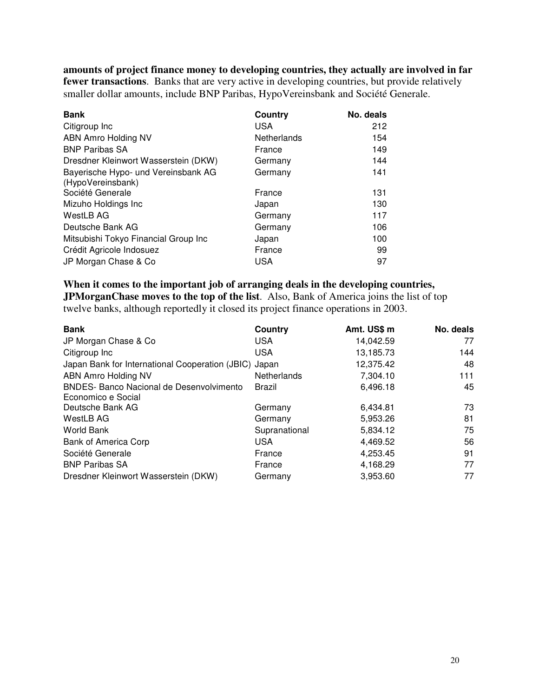**amounts of project finance money to developing countries, they actually are involved in far fewer transactions**. Banks that are very active in developing countries, but provide relatively smaller dollar amounts, include BNP Paribas, HypoVereinsbank and Société Generale.

| <b>Bank</b>                                              | Country     | No. deals |
|----------------------------------------------------------|-------------|-----------|
| Citigroup Inc                                            | <b>USA</b>  | 212       |
| ABN Amro Holding NV                                      | Netherlands | 154       |
| <b>BNP Paribas SA</b>                                    | France      | 149       |
| Dresdner Kleinwort Wasserstein (DKW)                     | Germany     | 144       |
| Bayerische Hypo- und Vereinsbank AG<br>(HypoVereinsbank) | Germany     | 141       |
| Société Generale                                         | France      | 131       |
| Mizuho Holdings Inc                                      | Japan       | 130       |
| WestLB AG                                                | Germany     | 117       |
| Deutsche Bank AG                                         | Germany     | 106       |
| Mitsubishi Tokyo Financial Group Inc                     | Japan       | 100       |
| Crédit Agricole Indosuez                                 | France      | 99        |
| JP Morgan Chase & Co                                     | <b>USA</b>  | 97        |

**When it comes to the important job of arranging deals in the developing countries, JPMorganChase moves to the top of the list**. Also, Bank of America joins the list of top twelve banks, although reportedly it closed its project finance operations in 2003.

| <b>Bank</b>                                           | Country       | Amt. US\$ m | No. deals |
|-------------------------------------------------------|---------------|-------------|-----------|
| JP Morgan Chase & Co                                  | <b>USA</b>    | 14,042.59   | 77        |
| Citigroup Inc                                         | <b>USA</b>    | 13,185.73   | 144       |
| Japan Bank for International Cooperation (JBIC) Japan |               | 12,375.42   | 48        |
| <b>ABN Amro Holding NV</b>                            | Netherlands   | 7.304.10    | 111       |
| <b>BNDES- Banco Nacional de Desenvolvimento</b>       | Brazil        | 6,496.18    | 45        |
| Economico e Social                                    |               |             |           |
| Deutsche Bank AG                                      | Germany       | 6,434.81    | 73        |
| WestLB AG                                             | Germany       | 5,953.26    | 81        |
| World Bank                                            | Supranational | 5,834.12    | 75        |
| Bank of America Corp                                  | <b>USA</b>    | 4,469.52    | 56        |
| Société Generale                                      | France        | 4,253.45    | 91        |
| <b>BNP Paribas SA</b>                                 | France        | 4,168.29    | 77        |
| Dresdner Kleinwort Wasserstein (DKW)                  | Germany       | 3,953.60    | 77        |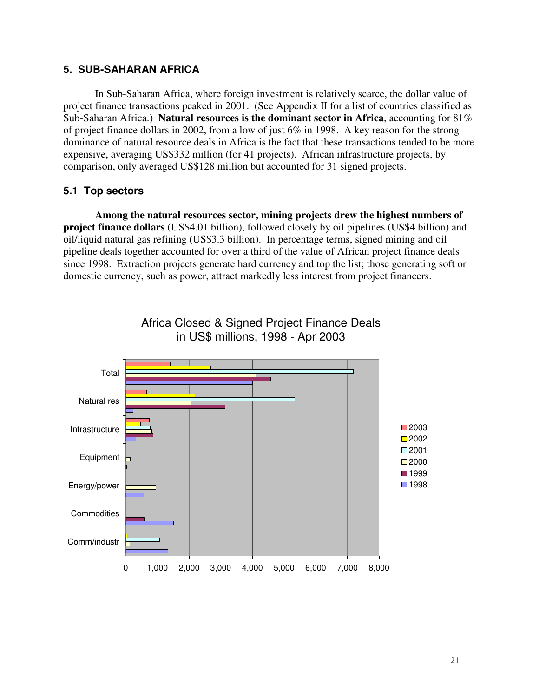# **5. SUB-SAHARAN AFRICA**

In Sub-Saharan Africa, where foreign investment is relatively scarce, the dollar value of project finance transactions peaked in 2001. (See Appendix II for a list of countries classified as Sub-Saharan Africa.) **Natural resources is the dominant sector in Africa**, accounting for 81% of project finance dollars in 2002, from a low of just 6% in 1998. A key reason for the strong dominance of natural resource deals in Africa is the fact that these transactions tended to be more expensive, averaging US\$332 million (for 41 projects). African infrastructure projects, by comparison, only averaged US\$128 million but accounted for 31 signed projects.

# **5.1 Top sectors**

**Among the natural resources sector, mining projects drew the highest numbers of project finance dollars** (US\$4.01 billion), followed closely by oil pipelines (US\$4 billion) and oil/liquid natural gas refining (US\$3.3 billion). In percentage terms, signed mining and oil pipeline deals together accounted for over a third of the value of African project finance deals since 1998. Extraction projects generate hard currency and top the list; those generating soft or domestic currency, such as power, attract markedly less interest from project financers.

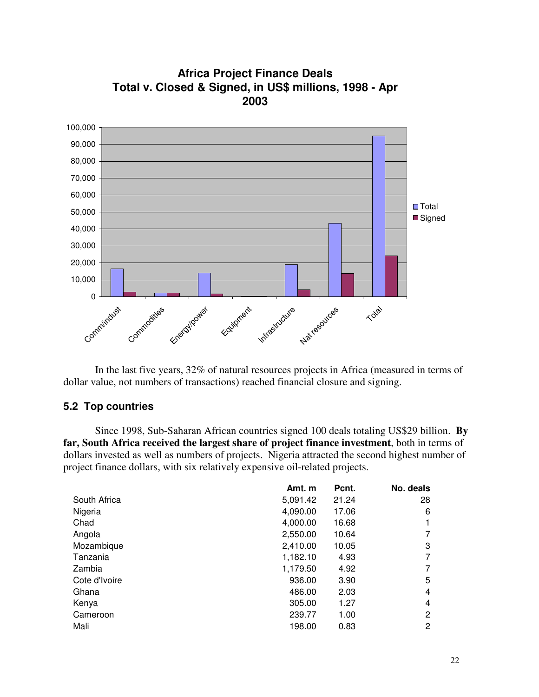

**Africa Project Finance Deals Total v. Closed & Signed, in US\$ millions, 1998 - Apr 2003**

In the last five years, 32% of natural resources projects in Africa (measured in terms of dollar value, not numbers of transactions) reached financial closure and signing.

#### **5.2 Top countries**

Since 1998, Sub-Saharan African countries signed 100 deals totaling US\$29 billion. **By far, South Africa received the largest share of project finance investment**, both in terms of dollars invested as well as numbers of projects. Nigeria attracted the second highest number of project finance dollars, with six relatively expensive oil-related projects.

| Amt. m   | Pcnt. | No. deals      |
|----------|-------|----------------|
| 5,091.42 | 21.24 | 28             |
| 4,090.00 | 17.06 | 6              |
| 4,000.00 | 16.68 | 1              |
| 2,550.00 | 10.64 | 7              |
| 2,410.00 | 10.05 | 3              |
| 1,182.10 | 4.93  | 7              |
| 1,179.50 | 4.92  | 7              |
| 936.00   | 3.90  | 5              |
| 486.00   | 2.03  | 4              |
| 305.00   | 1.27  | 4              |
| 239.77   | 1.00  | $\overline{2}$ |
| 198.00   | 0.83  | $\overline{2}$ |
|          |       |                |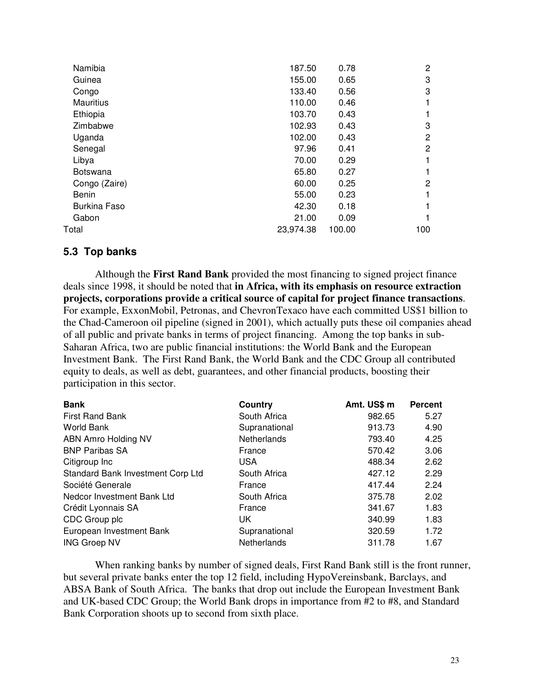| Namibia             | 187.50    | 0.78   | 2   |
|---------------------|-----------|--------|-----|
| Guinea              | 155.00    | 0.65   | 3   |
| Congo               | 133.40    | 0.56   | 3   |
| <b>Mauritius</b>    | 110.00    | 0.46   |     |
| Ethiopia            | 103.70    | 0.43   |     |
| Zimbabwe            | 102.93    | 0.43   | 3   |
| Uganda              | 102.00    | 0.43   | 2   |
| Senegal             | 97.96     | 0.41   | 2   |
| Libya               | 70.00     | 0.29   |     |
| <b>Botswana</b>     | 65.80     | 0.27   |     |
| Congo (Zaire)       | 60.00     | 0.25   | 2   |
| Benin               | 55.00     | 0.23   |     |
| <b>Burkina Faso</b> | 42.30     | 0.18   |     |
| Gabon               | 21.00     | 0.09   |     |
| Total               | 23,974.38 | 100.00 | 100 |
|                     |           |        |     |

# **5.3 Top banks**

Although the **First Rand Bank** provided the most financing to signed project finance deals since 1998, it should be noted that **in Africa, with its emphasis on resource extraction projects, corporations provide a critical source of capital for project finance transactions**. For example, ExxonMobil, Petronas, and ChevronTexaco have each committed US\$1 billion to the Chad-Cameroon oil pipeline (signed in 2001), which actually puts these oil companies ahead of all public and private banks in terms of project financing. Among the top banks in sub-Saharan Africa, two are public financial institutions: the World Bank and the European Investment Bank. The First Rand Bank, the World Bank and the CDC Group all contributed equity to deals, as well as debt, guarantees, and other financial products, boosting their participation in this sector.

| <b>Bank</b>                       | Country       | Amt. US\$ m | <b>Percent</b> |
|-----------------------------------|---------------|-------------|----------------|
| <b>First Rand Bank</b>            | South Africa  | 982.65      | 5.27           |
| <b>World Bank</b>                 | Supranational | 913.73      | 4.90           |
| ABN Amro Holding NV               | Netherlands   | 793.40      | 4.25           |
| <b>BNP Paribas SA</b>             | France        | 570.42      | 3.06           |
| Citigroup Inc                     | USA.          | 488.34      | 2.62           |
| Standard Bank Investment Corp Ltd | South Africa  | 427.12      | 2.29           |
| Société Generale                  | France        | 417.44      | 2.24           |
| Nedcor Investment Bank Ltd        | South Africa  | 375.78      | 2.02           |
| Crédit Lyonnais SA                | France        | 341.67      | 1.83           |
| CDC Group plc                     | UK.           | 340.99      | 1.83           |
| European Investment Bank          | Supranational | 320.59      | 1.72           |
| <b>ING Groep NV</b>               | Netherlands   | 311.78      | 1.67           |

When ranking banks by number of signed deals, First Rand Bank still is the front runner, but several private banks enter the top 12 field, including HypoVereinsbank, Barclays, and ABSA Bank of South Africa. The banks that drop out include the European Investment Bank and UK-based CDC Group; the World Bank drops in importance from #2 to #8, and Standard Bank Corporation shoots up to second from sixth place.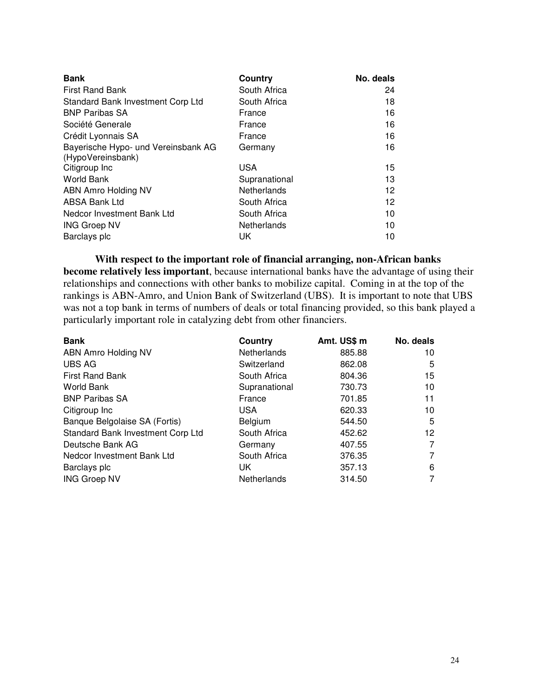| <b>Bank</b>                         | Country            | No. deals |
|-------------------------------------|--------------------|-----------|
| <b>First Rand Bank</b>              | South Africa       | 24        |
| Standard Bank Investment Corp Ltd   | South Africa       | 18        |
| <b>BNP Paribas SA</b>               | France             | 16        |
| Société Generale                    | France             | 16        |
| Crédit Lyonnais SA                  | France             | 16        |
| Bayerische Hypo- und Vereinsbank AG | Germany            | 16        |
| (HypoVereinsbank)                   |                    |           |
| Citigroup Inc                       | <b>USA</b>         | 15        |
| World Bank                          | Supranational      | 13        |
| ABN Amro Holding NV                 | Netherlands        | 12        |
| <b>ABSA Bank Ltd</b>                | South Africa       | 12        |
| Nedcor Investment Bank Ltd          | South Africa       | 10        |
| <b>ING Groep NV</b>                 | <b>Netherlands</b> | 10        |
| Barclays plc                        | UK.                | 10        |

**With respect to the important role of financial arranging, non-African banks become relatively less important**, because international banks have the advantage of using their relationships and connections with other banks to mobilize capital. Coming in at the top of the rankings is ABN-Amro, and Union Bank of Switzerland (UBS). It is important to note that UBS was not a top bank in terms of numbers of deals or total financing provided, so this bank played a particularly important role in catalyzing debt from other financiers.

| <b>Bank</b>                       | Country       | Amt. US\$ m | No. deals |
|-----------------------------------|---------------|-------------|-----------|
| ABN Amro Holding NV               | Netherlands   | 885.88      | 10        |
| <b>UBS AG</b>                     | Switzerland   | 862.08      | 5         |
| <b>First Rand Bank</b>            | South Africa  | 804.36      | 15        |
| World Bank                        | Supranational | 730.73      | 10        |
| <b>BNP Paribas SA</b>             | France        | 701.85      | 11        |
| Citigroup Inc                     | <b>USA</b>    | 620.33      | 10        |
| Banque Belgolaise SA (Fortis)     | Belgium       | 544.50      | 5         |
| Standard Bank Investment Corp Ltd | South Africa  | 452.62      | 12        |
| Deutsche Bank AG                  | Germany       | 407.55      | 7         |
| Nedcor Investment Bank Ltd        | South Africa  | 376.35      | 7         |
| Barclays plc                      | UK            | 357.13      | 6         |
| <b>ING Groep NV</b>               | Netherlands   | 314.50      | 7         |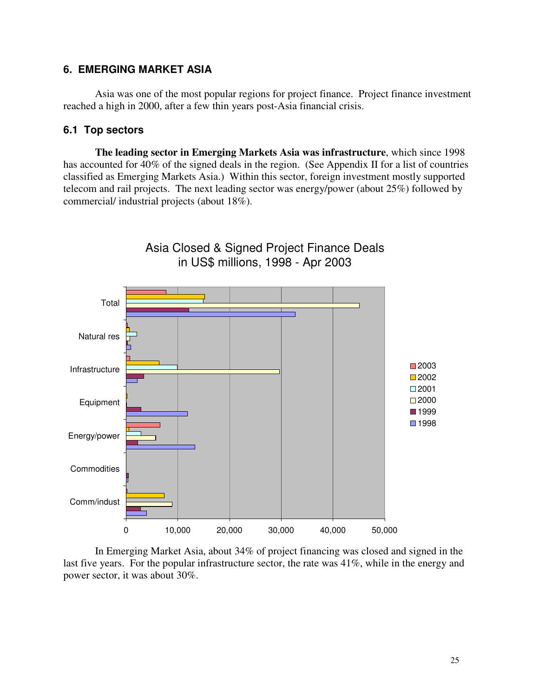# **6. EMERGING MARKET ASIA**

Asia was one of the most popular regions for project finance. Project finance investment reached a high in 2000, after a few thin years post-Asia financial crisis.

# **6.1 Top sectors**

**The leading sector in Emerging Markets Asia was infrastructure**, which since 1998 has accounted for 40% of the signed deals in the region. (See Appendix II for a list of countries classified as Emerging Markets Asia.) Within this sector, foreign investment mostly supported telecom and rail projects. The next leading sector was energy/power (about 25%) followed by commercial/ industrial projects (about 18%).



In Emerging Market Asia, about 34% of project financing was closed and signed in the last five years. For the popular infrastructure sector, the rate was 41%, while in the energy and power sector, it was about 30%.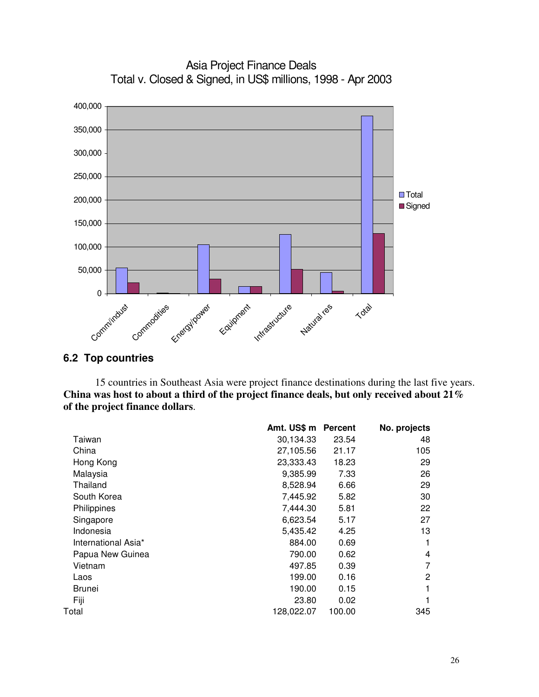

Asia Project Finance Deals Total v. Closed & Signed, in US\$ millions, 1998 - Apr 2003

# **6.2 Top countries**

15 countries in Southeast Asia were project finance destinations during the last five years. **China was host to about a third of the project finance deals, but only received about 21% of the project finance dollars**.

|                     | Amt. US\$ m | <b>Percent</b> | No. projects |
|---------------------|-------------|----------------|--------------|
| Taiwan              | 30,134.33   | 23.54          | 48           |
| China               | 27,105.56   | 21.17          | 105          |
| Hong Kong           | 23,333.43   | 18.23          | 29           |
| Malaysia            | 9,385.99    | 7.33           | 26           |
| Thailand            | 8,528.94    | 6.66           | 29           |
| South Korea         | 7,445.92    | 5.82           | 30           |
| Philippines         | 7,444.30    | 5.81           | 22           |
| Singapore           | 6,623.54    | 5.17           | 27           |
| Indonesia           | 5,435.42    | 4.25           | 13           |
| International Asia* | 884.00      | 0.69           | 1            |
| Papua New Guinea    | 790.00      | 0.62           | 4            |
| Vietnam             | 497.85      | 0.39           | 7            |
| Laos                | 199.00      | 0.16           | 2            |
| Brunei              | 190.00      | 0.15           | 1            |
| Fiji                | 23.80       | 0.02           |              |
| Total               | 128,022.07  | 100.00         | 345          |
|                     |             |                |              |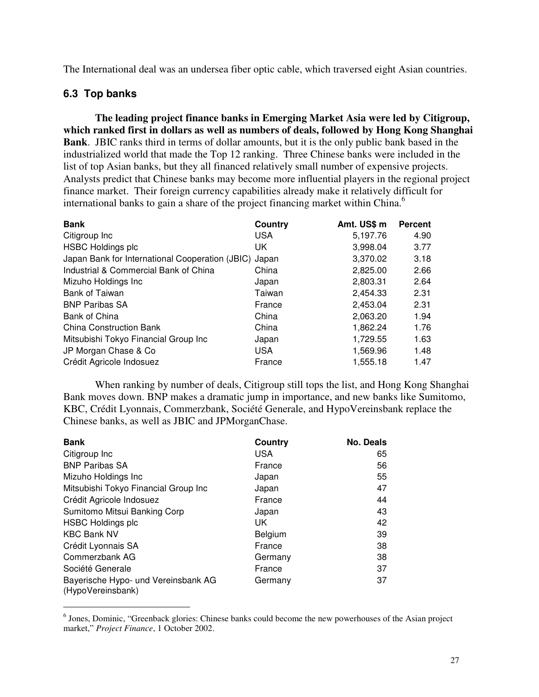The International deal was an undersea fiber optic cable, which traversed eight Asian countries.

# **6.3 Top banks**

**The leading project finance banks in Emerging Market Asia were led by Citigroup, which ranked first in dollars as well as numbers of deals, followed by Hong Kong Shanghai Bank**. JBIC ranks third in terms of dollar amounts, but it is the only public bank based in the industrialized world that made the Top 12 ranking. Three Chinese banks were included in the list of top Asian banks, but they all financed relatively small number of expensive projects. Analysts predict that Chinese banks may become more influential players in the regional project finance market. Their foreign currency capabilities already make it relatively difficult for international banks to gain a share of the project financing market within China. 6

| <b>Bank</b>                                     | Country    | Amt. US\$ m | <b>Percent</b> |
|-------------------------------------------------|------------|-------------|----------------|
| Citigroup Inc                                   | <b>USA</b> | 5.197.76    | 4.90           |
| <b>HSBC Holdings plc</b>                        | UK.        | 3,998.04    | 3.77           |
| Japan Bank for International Cooperation (JBIC) | Japan      | 3,370.02    | 3.18           |
| Industrial & Commercial Bank of China           | China      | 2,825.00    | 2.66           |
| Mizuho Holdings Inc                             | Japan      | 2,803.31    | 2.64           |
| <b>Bank of Taiwan</b>                           | Taiwan     | 2,454.33    | 2.31           |
| <b>BNP Paribas SA</b>                           | France     | 2,453.04    | 2.31           |
| Bank of China                                   | China      | 2,063.20    | 1.94           |
| <b>China Construction Bank</b>                  | China      | 1.862.24    | 1.76           |
| Mitsubishi Tokyo Financial Group Inc            | Japan      | 1,729.55    | 1.63           |
| JP Morgan Chase & Co                            | <b>USA</b> | 1,569.96    | 1.48           |
| Crédit Agricole Indosuez                        | France     | 1,555.18    | 1.47           |

When ranking by number of deals, Citigroup still tops the list, and Hong Kong Shanghai Bank moves down. BNP makes a dramatic jump in importance, and new banks like Sumitomo, KBC, Crédit Lyonnais, Commerzbank, Société Generale, and HypoVereinsbank replace the Chinese banks, as well as JBIC and JPMorganChase.

| <b>Bank</b>                                              | Country    | <b>No. Deals</b> |
|----------------------------------------------------------|------------|------------------|
| Citigroup Inc                                            | <b>USA</b> | 65               |
| <b>BNP Paribas SA</b>                                    | France     | 56               |
| Mizuho Holdings Inc                                      | Japan      | 55               |
| Mitsubishi Tokyo Financial Group Inc                     | Japan      | 47               |
| Crédit Agricole Indosuez                                 | France     | 44               |
| Sumitomo Mitsui Banking Corp                             | Japan      | 43               |
| <b>HSBC Holdings plc</b>                                 | UK         | 42               |
| <b>KBC Bank NV</b>                                       | Belgium    | 39               |
| Crédit Lyonnais SA                                       | France     | 38               |
| Commerzbank AG                                           | Germany    | 38               |
| Société Generale                                         | France     | 37               |
| Bayerische Hypo- und Vereinsbank AG<br>(HypoVereinsbank) | Germany    | 37               |

<sup>&</sup>lt;sup>6</sup> Jones, Dominic, "Greenback glories: Chinese banks could become the new powerhouses of the Asian project market," *Project Finance*, 1 October 2002.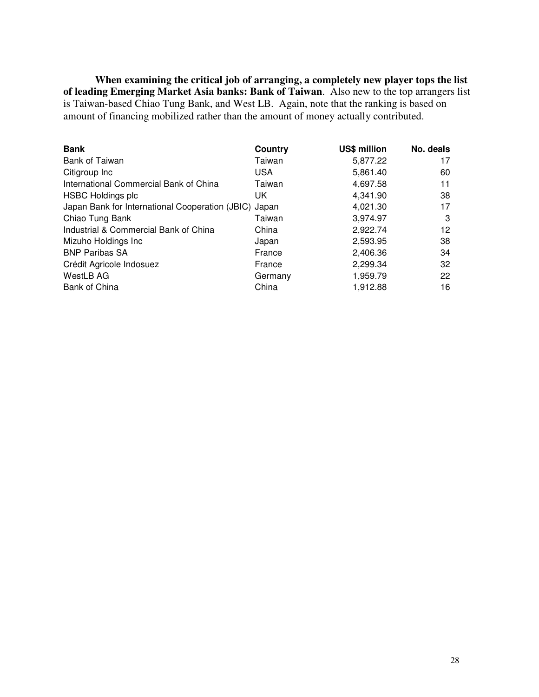**When examining the critical job of arranging, a completely new player tops the list of leading Emerging Market Asia banks: Bank of Taiwan**. Also new to the top arrangers list is Taiwan-based Chiao Tung Bank, and West LB. Again, note that the ranking is based on amount of financing mobilized rather than the amount of money actually contributed.

| <b>Bank</b>                                           | Country    | US\$ million | No. deals |
|-------------------------------------------------------|------------|--------------|-----------|
| <b>Bank of Taiwan</b>                                 | Taiwan     | 5,877.22     | 17        |
| Citigroup Inc                                         | <b>USA</b> | 5,861.40     | 60        |
| International Commercial Bank of China                | Taiwan     | 4,697.58     | 11        |
| <b>HSBC Holdings plc</b>                              | UK.        | 4,341.90     | 38        |
| Japan Bank for International Cooperation (JBIC) Japan |            | 4,021.30     | 17        |
| Chiao Tung Bank                                       | Taiwan     | 3,974.97     | 3         |
| Industrial & Commercial Bank of China                 | China      | 2,922.74     | 12        |
| Mizuho Holdings Inc                                   | Japan      | 2,593.95     | 38        |
| <b>BNP Paribas SA</b>                                 | France     | 2,406.36     | 34        |
| Crédit Agricole Indosuez                              | France     | 2,299.34     | 32        |
| WestLB AG                                             | Germany    | 1,959.79     | 22        |
| Bank of China                                         | China      | 1,912.88     | 16        |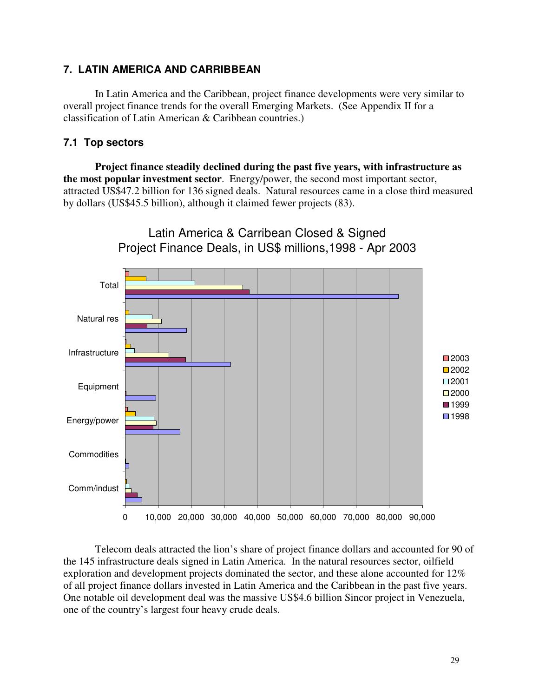# **7. LATIN AMERICA AND CARRIBBEAN**

In Latin America and the Caribbean, project finance developments were very similar to overall project finance trends for the overall Emerging Markets. (See Appendix II for a classification of Latin American & Caribbean countries.)

## **7.1 Top sectors**

**Project finance steadily declined during the past five years, with infrastructure as the most popular investment sector**. Energy/power, the second most important sector, attracted US\$47.2 billion for 136 signed deals. Natural resources came in a close third measured by dollars (US\$45.5 billion), although it claimed fewer projects (83).



Telecom deals attracted the lion's share of project finance dollars and accounted for 90 of the 145 infrastructure deals signed in Latin America. In the natural resources sector, oilfield exploration and development projects dominated the sector, and these alone accounted for 12% of all project finance dollars invested in Latin America and the Caribbean in the past five years. One notable oil development deal was the massive US\$4.6 billion Sincor project in Venezuela, one of the country's largest four heavy crude deals.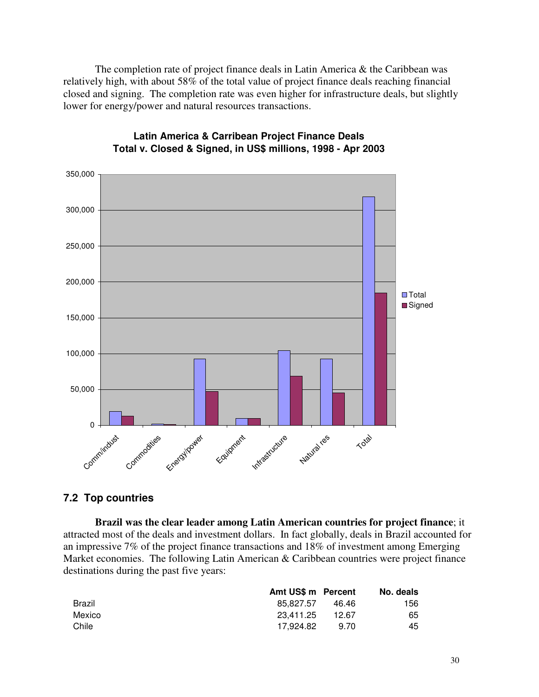The completion rate of project finance deals in Latin America & the Caribbean was relatively high, with about 58% of the total value of project finance deals reaching financial closed and signing. The completion rate was even higher for infrastructure deals, but slightly lower for energy/power and natural resources transactions.



# **Latin America & Carribean Project Finance Deals Total v. Closed & Signed, in US\$ millions, 1998 - Apr 2003**

# **7.2 Top countries**

**Brazil was the clear leader among Latin American countries for project finance**; it attracted most of the deals and investment dollars. In fact globally, deals in Brazil accounted for an impressive 7% of the project finance transactions and 18% of investment among Emerging Market economies. The following Latin American & Caribbean countries were project finance destinations during the past five years:

|        | Amt US\$ m Percent |       | No. deals |
|--------|--------------------|-------|-----------|
| Brazil | 85.827.57          | 46.46 | 156       |
| Mexico | 23.411.25          | 12.67 | 65        |
| Chile  | 17.924.82          | 9.70  | 45        |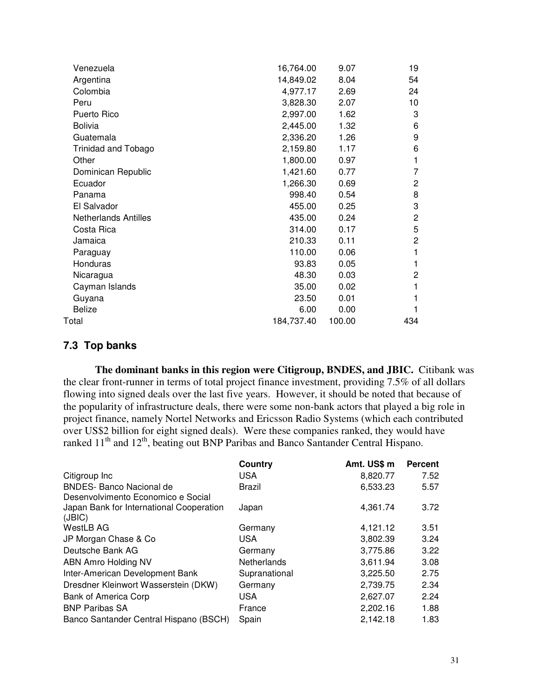| Venezuela                   | 16,764.00  | 9.07   | 19             |
|-----------------------------|------------|--------|----------------|
| Argentina                   | 14,849.02  | 8.04   | 54             |
| Colombia                    | 4,977.17   | 2.69   | 24             |
| Peru                        | 3,828.30   | 2.07   | 10             |
| Puerto Rico                 | 2,997.00   | 1.62   | 3              |
| <b>Bolivia</b>              | 2,445.00   | 1.32   | 6              |
| Guatemala                   | 2,336.20   | 1.26   | 9              |
| Trinidad and Tobago         | 2,159.80   | 1.17   | 6              |
| Other                       | 1,800.00   | 0.97   | 1              |
| Dominican Republic          | 1,421.60   | 0.77   | 7              |
| Ecuador                     | 1,266.30   | 0.69   | $\overline{c}$ |
| Panama                      | 998.40     | 0.54   | 8              |
| El Salvador                 | 455.00     | 0.25   | 3              |
| <b>Netherlands Antilles</b> | 435.00     | 0.24   | 2              |
| Costa Rica                  | 314.00     | 0.17   | 5              |
| Jamaica                     | 210.33     | 0.11   | 2              |
| Paraguay                    | 110.00     | 0.06   | 1              |
| Honduras                    | 93.83      | 0.05   | 1              |
| Nicaragua                   | 48.30      | 0.03   | $\overline{c}$ |
| Cayman Islands              | 35.00      | 0.02   | 1              |
| Guyana                      | 23.50      | 0.01   | 1              |
| <b>Belize</b>               | 6.00       | 0.00   | 1              |
| Total                       | 184,737.40 | 100.00 | 434            |
|                             |            |        |                |

# **7.3 Top banks**

**The dominant banks in this region were Citigroup, BNDES, and JBIC.** Citibank was the clear front-runner in terms of total project finance investment, providing 7.5% of all dollars flowing into signed deals over the last five years. However, it should be noted that because of the popularity of infrastructure deals, there were some non-bank actors that played a big role in project finance, namely Nortel Networks and Ericsson Radio Systems (which each contributed over US\$2 billion for eight signed deals). Were these companies ranked, they would have ranked 11<sup>th</sup> and 12<sup>th</sup>, beating out BNP Paribas and Banco Santander Central Hispano.

|                                          | Country       | Amt. US\$ m | <b>Percent</b> |
|------------------------------------------|---------------|-------------|----------------|
| Citigroup Inc                            | USA.          | 8,820.77    | 7.52           |
| <b>BNDES- Banco Nacional de</b>          | Brazil        | 6,533.23    | 5.57           |
| Desenvolvimento Economico e Social       |               |             |                |
| Japan Bank for International Cooperation | Japan         | 4,361.74    | 3.72           |
| JBIC                                     |               |             |                |
| <b>WestLB AG</b>                         | Germany       | 4,121.12    | 3.51           |
| JP Morgan Chase & Co                     | <b>USA</b>    | 3,802.39    | 3.24           |
| Deutsche Bank AG                         | Germany       | 3,775.86    | 3.22           |
| ABN Amro Holding NV                      | Netherlands   | 3,611.94    | 3.08           |
| Inter-American Development Bank          | Supranational | 3,225.50    | 2.75           |
| Dresdner Kleinwort Wasserstein (DKW)     | Germany       | 2,739.75    | 2.34           |
| <b>Bank of America Corp</b>              | <b>USA</b>    | 2,627.07    | 2.24           |
| <b>BNP Paribas SA</b>                    | France        | 2,202.16    | 1.88           |
| Banco Santander Central Hispano (BSCH)   | Spain         | 2,142.18    | 1.83           |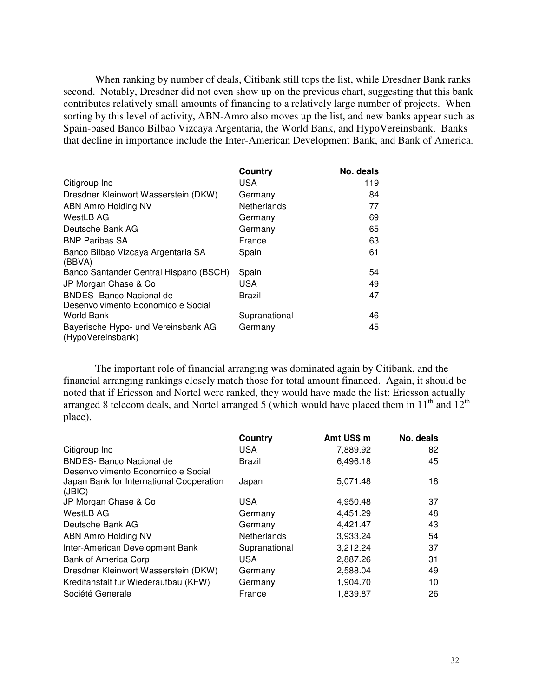When ranking by number of deals, Citibank still tops the list, while Dresdner Bank ranks second. Notably, Dresdner did not even show up on the previous chart, suggesting that this bank contributes relatively small amounts of financing to a relatively large number of projects. When sorting by this level of activity, ABN-Amro also moves up the list, and new banks appear such as Spain-based Banco Bilbao Vizcaya Argentaria, the World Bank, and HypoVereinsbank. Banks that decline in importance include the Inter-American Development Bank, and Bank of America.

|                                                                       | Country            | No. deals |
|-----------------------------------------------------------------------|--------------------|-----------|
| Citigroup Inc                                                         | <b>USA</b>         | 119       |
| Dresdner Kleinwort Wasserstein (DKW)                                  | Germany            | 84        |
| ABN Amro Holding NV                                                   | <b>Netherlands</b> | 77        |
| WestLB AG                                                             | Germany            | 69        |
| Deutsche Bank AG                                                      | Germany            | 65        |
| <b>BNP Paribas SA</b>                                                 | France             | 63        |
| Banco Bilbao Vizcaya Argentaria SA<br>(BBVA)                          | Spain              | 61        |
| Banco Santander Central Hispano (BSCH)                                | Spain              | 54        |
| JP Morgan Chase & Co                                                  | <b>USA</b>         | 49        |
| <b>BNDES- Banco Nacional de</b><br>Desenvolvimento Economico e Social | Brazil             | 47        |
| <b>World Bank</b>                                                     | Supranational      | 46        |
| Bayerische Hypo- und Vereinsbank AG<br>(HypoVereinsbank)              | Germany            | 45        |

The important role of financial arranging was dominated again by Citibank, and the financial arranging rankings closely match those for total amount financed. Again, it should be noted that if Ericsson and Nortel were ranked, they would have made the list: Ericsson actually arranged 8 telecom deals, and Nortel arranged 5 (which would have placed them in  $11<sup>th</sup>$  and  $12<sup>th</sup>$ place).

|                                          | Country            | Amt US\$ m | No. deals |
|------------------------------------------|--------------------|------------|-----------|
| Citigroup Inc                            | USA.               | 7,889.92   | 82        |
| <b>BNDES- Banco Nacional de</b>          | Brazil             | 6,496.18   | 45        |
| Desenvolvimento Economico e Social       |                    |            |           |
| Japan Bank for International Cooperation | Japan              | 5,071.48   | 18        |
| (JBIC)                                   |                    |            |           |
| JP Morgan Chase & Co                     | <b>USA</b>         | 4,950.48   | 37        |
| WestLB AG                                | Germany            | 4,451.29   | 48        |
| Deutsche Bank AG                         | Germany            | 4,421.47   | 43        |
| ABN Amro Holding NV                      | <b>Netherlands</b> | 3,933.24   | 54        |
| Inter-American Development Bank          | Supranational      | 3,212.24   | 37        |
| Bank of America Corp                     | <b>USA</b>         | 2,887.26   | 31        |
| Dresdner Kleinwort Wasserstein (DKW)     | Germany            | 2,588.04   | 49        |
| Kreditanstalt fur Wiederaufbau (KFW)     | Germany            | 1,904.70   | 10        |
| Société Generale                         | France             | 1,839.87   | 26        |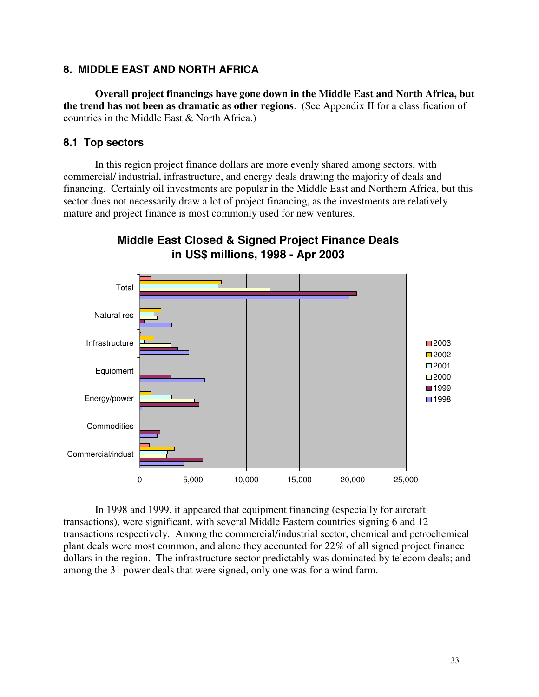# **8. MIDDLE EAST AND NORTH AFRICA**

**Overall project financings have gone down in the Middle East and North Africa, but the trend has not been as dramatic as other regions**. (See Appendix II for a classification of countries in the Middle East & North Africa.)

# **8.1 Top sectors**

In this region project finance dollars are more evenly shared among sectors, with commercial/ industrial, infrastructure, and energy deals drawing the majority of deals and financing. Certainly oil investments are popular in the Middle East and Northern Africa, but this sector does not necessarily draw a lot of project financing, as the investments are relatively mature and project finance is most commonly used for new ventures.



# **Middle East Closed & Signed Project Finance Deals in US\$ millions, 1998 - Apr 2003**

In 1998 and 1999, it appeared that equipment financing (especially for aircraft transactions), were significant, with several Middle Eastern countries signing 6 and 12 transactions respectively. Among the commercial/industrial sector, chemical and petrochemical plant deals were most common, and alone they accounted for 22% of all signed project finance dollars in the region. The infrastructure sector predictably was dominated by telecom deals; and among the 31 power deals that were signed, only one was for a wind farm.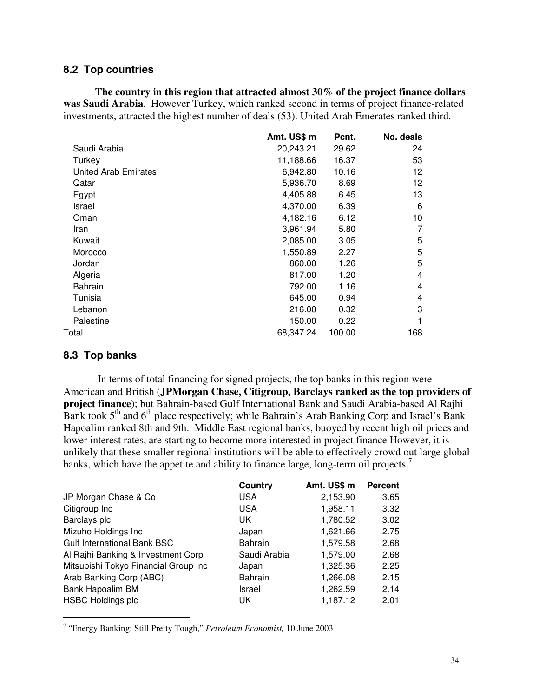### **8.2 Top countries**

**The country in this region that attracted almost 30% of the project finance dollars was Saudi Arabia**. However Turkey, which ranked second in terms of project finance-related investments, attracted the highest number of deals (53). United Arab Emerates ranked third.

|                      | Amt. US\$ m | Pcnt.  | No. deals |
|----------------------|-------------|--------|-----------|
| Saudi Arabia         | 20,243.21   | 29.62  | 24        |
| Turkey               | 11,188.66   | 16.37  | 53        |
| United Arab Emirates | 6,942.80    | 10.16  | 12        |
| Qatar                | 5,936.70    | 8.69   | 12        |
| Egypt                | 4,405.88    | 6.45   | 13        |
| Israel               | 4,370.00    | 6.39   | 6         |
| Oman                 | 4,182.16    | 6.12   | 10        |
| Iran                 | 3,961.94    | 5.80   | 7         |
| Kuwait               | 2,085.00    | 3.05   | 5         |
| Morocco              | 1,550.89    | 2.27   | 5         |
| Jordan               | 860.00      | 1.26   | 5         |
| Algeria              | 817.00      | 1.20   | 4         |
| Bahrain              | 792.00      | 1.16   | 4         |
| Tunisia              | 645.00      | 0.94   | 4         |
| Lebanon              | 216.00      | 0.32   | 3         |
| Palestine            | 150.00      | 0.22   | 1         |
| Total                | 68.347.24   | 100.00 | 168       |
|                      |             |        |           |

### **8.3 Top banks**

In terms of total financing for signed projects, the top banks in this region were American and British (**JPMorgan Chase, Citigroup, Barclays ranked as the top providers of project finance**); but Bahrain-based Gulf International Bank and Saudi Arabia-based Al Rajhi Bank took 5<sup>th</sup> and 6<sup>th</sup> place respectively; while Bahrain's Arab Banking Corp and Israel's Bank Hapoalim ranked 8th and 9th. Middle East regional banks, buoyed by recent high oil prices and lower interest rates, are starting to become more interested in project finance However, it is unlikely that these smaller regional institutions will be able to effectively crowd out large global banks, which have the appetite and ability to finance large, long-term oil projects.<sup>7</sup>

|                                      | Country        | Amt. US\$ m | <b>Percent</b> |
|--------------------------------------|----------------|-------------|----------------|
| JP Morgan Chase & Co                 | USA            | 2,153.90    | 3.65           |
| Citigroup Inc                        | <b>USA</b>     | 1,958.11    | 3.32           |
| Barclays plc                         | UK             | 1,780.52    | 3.02           |
| Mizuho Holdings Inc                  | Japan          | 1,621.66    | 2.75           |
| <b>Gulf International Bank BSC</b>   | <b>Bahrain</b> | 1,579.58    | 2.68           |
| Al Rajhi Banking & Investment Corp   | Saudi Arabia   | 1,579.00    | 2.68           |
| Mitsubishi Tokyo Financial Group Inc | Japan          | 1,325.36    | 2.25           |
| Arab Banking Corp (ABC)              | <b>Bahrain</b> | 1,266.08    | 2.15           |
| Bank Hapoalim BM                     | Israel         | 1,262.59    | 2.14           |
| <b>HSBC Holdings plc</b>             | UK             | 1,187.12    | 2.01           |

<sup>7</sup> "Energy Banking; Still Pretty Tough," *Petroleum Economist,* 10 June 2003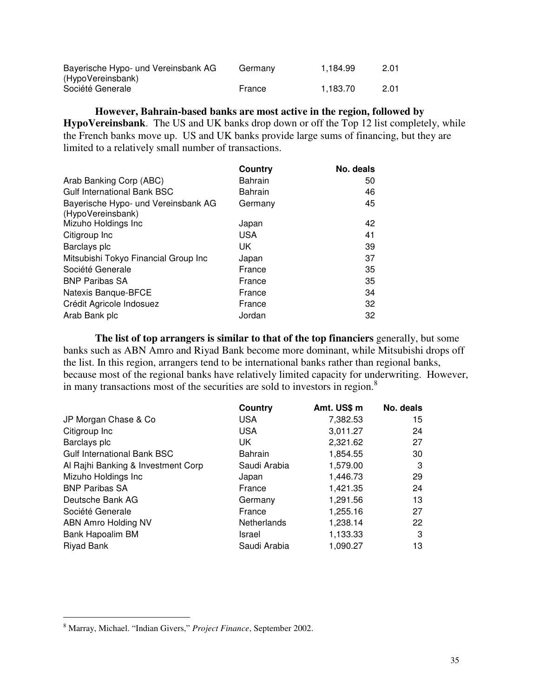| Bayerische Hypo- und Vereinsbank AG | Germany | 1.184.99 | 2.01 |
|-------------------------------------|---------|----------|------|
| (HypoVereinsbank)                   |         |          |      |
| Société Generale                    | France  | 1.183.70 | 2.01 |

**However, Bahrain-based banks are most active in the region, followed by HypoVereinsbank**. The US and UK banks drop down or off the Top 12 list completely, while the French banks move up. US and UK banks provide large sums of financing, but they are limited to a relatively small number of transactions.

|                                                          | Country        | No. deals |
|----------------------------------------------------------|----------------|-----------|
| Arab Banking Corp (ABC)                                  | <b>Bahrain</b> | 50        |
| <b>Gulf International Bank BSC</b>                       | <b>Bahrain</b> | 46        |
| Bayerische Hypo- und Vereinsbank AG<br>(HypoVereinsbank) | Germany        | 45        |
| Mizuho Holdings Inc                                      | Japan          | 42        |
| Citigroup Inc                                            | <b>USA</b>     | 41        |
| Barclays plc                                             | UK             | 39        |
| Mitsubishi Tokyo Financial Group Inc                     | Japan          | 37        |
| Société Generale                                         | France         | 35        |
| <b>BNP Paribas SA</b>                                    | France         | 35        |
| Natexis Banque-BFCE                                      | France         | 34        |
| Crédit Agricole Indosuez                                 | France         | 32        |
| Arab Bank plc                                            | Jordan         | 32        |

**The list of top arrangers is similar to that of the top financiers** generally, but some banks such as ABN Amro and Riyad Bank become more dominant, while Mitsubishi drops off the list. In this region, arrangers tend to be international banks rather than regional banks, because most of the regional banks have relatively limited capacity for underwriting. However, in many transactions most of the securities are sold to investors in region. 8

|                                    | Country            | Amt. US\$ m | No. deals |
|------------------------------------|--------------------|-------------|-----------|
| JP Morgan Chase & Co               | <b>USA</b>         | 7,382.53    | 15        |
| Citigroup Inc                      | <b>USA</b>         | 3,011.27    | 24        |
| Barclays plc                       | UK                 | 2,321.62    | 27        |
| <b>Gulf International Bank BSC</b> | <b>Bahrain</b>     | 1,854.55    | 30        |
| Al Rajhi Banking & Investment Corp | Saudi Arabia       | 1,579.00    | 3         |
| Mizuho Holdings Inc                | Japan              | 1,446.73    | 29        |
| <b>BNP Paribas SA</b>              | France             | 1,421.35    | 24        |
| Deutsche Bank AG                   | Germany            | 1,291.56    | 13        |
| Société Generale                   | France             | 1,255.16    | 27        |
| ABN Amro Holding NV                | <b>Netherlands</b> | 1,238.14    | 22        |
| Bank Hapoalim BM                   | Israel             | 1,133.33    | 3         |
| Riyad Bank                         | Saudi Arabia       | 1,090.27    | 13        |
|                                    |                    |             |           |

<sup>8</sup> Marray, Michael. "Indian Givers," *Project Finance*, September 2002.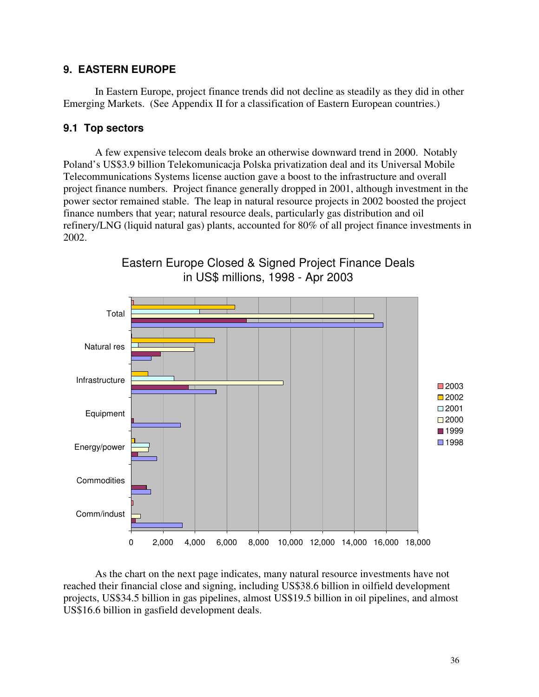## **9. EASTERN EUROPE**

In Eastern Europe, project finance trends did not decline as steadily as they did in other Emerging Markets. (See Appendix II for a classification of Eastern European countries.)

### **9.1 Top sectors**

A few expensive telecom deals broke an otherwise downward trend in 2000. Notably Poland's US\$3.9 billion Telekomunicacja Polska privatization deal and its Universal Mobile Telecommunications Systems license auction gave a boost to the infrastructure and overall project finance numbers. Project finance generally dropped in 2001, although investment in the power sector remained stable. The leap in natural resource projects in 2002 boosted the project finance numbers that year; natural resource deals, particularly gas distribution and oil refinery/LNG (liquid natural gas) plants, accounted for 80% of all project finance investments in 2002.



Eastern Europe Closed & Signed Project Finance Deals in US\$ millions, 1998 - Apr 2003

As the chart on the next page indicates, many natural resource investments have not reached their financial close and signing, including US\$38.6 billion in oilfield development projects, US\$34.5 billion in gas pipelines, almost US\$19.5 billion in oil pipelines, and almost US\$16.6 billion in gasfield development deals.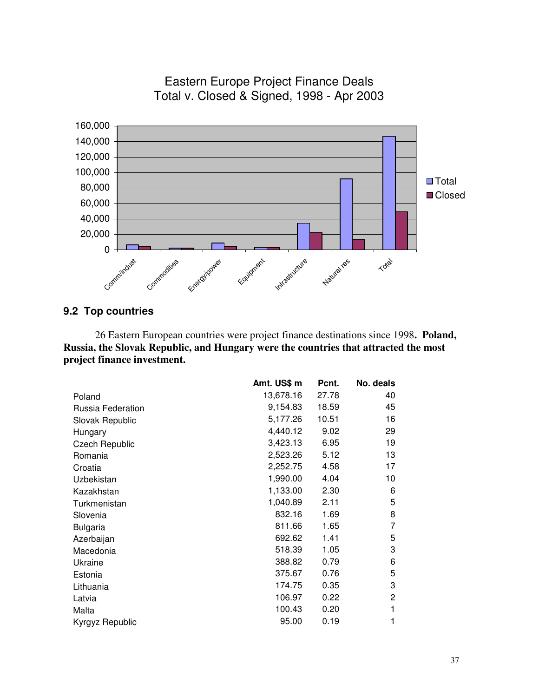

# Eastern Europe Project Finance Deals Total v. Closed & Signed, 1998 - Apr 2003

## **9.2 Top countries**

26 Eastern European countries were project finance destinations since 1998**. Poland, Russia, the Slovak Republic, and Hungary were the countries that attracted the most project finance investment.**

|                   | Amt. US\$ m | Pcnt. | No. deals |
|-------------------|-------------|-------|-----------|
| Poland            | 13,678.16   | 27.78 | 40        |
| Russia Federation | 9,154.83    | 18.59 | 45        |
| Slovak Republic   | 5,177.26    | 10.51 | 16        |
| Hungary           | 4,440.12    | 9.02  | 29        |
| Czech Republic    | 3,423.13    | 6.95  | 19        |
| Romania           | 2,523.26    | 5.12  | 13        |
| Croatia           | 2,252.75    | 4.58  | 17        |
| Uzbekistan        | 1,990.00    | 4.04  | 10        |
| Kazakhstan        | 1,133.00    | 2.30  | 6         |
| Turkmenistan      | 1,040.89    | 2.11  | 5         |
| Slovenia          | 832.16      | 1.69  | 8         |
| <b>Bulgaria</b>   | 811.66      | 1.65  | 7         |
| Azerbaijan        | 692.62      | 1.41  | 5         |
| Macedonia         | 518.39      | 1.05  | 3         |
| Ukraine           | 388.82      | 0.79  | 6         |
| Estonia           | 375.67      | 0.76  | 5         |
| Lithuania         | 174.75      | 0.35  | 3         |
| Latvia            | 106.97      | 0.22  | 2         |
| Malta             | 100.43      | 0.20  | 1         |
| Kyrgyz Republic   | 95.00       | 0.19  | 1         |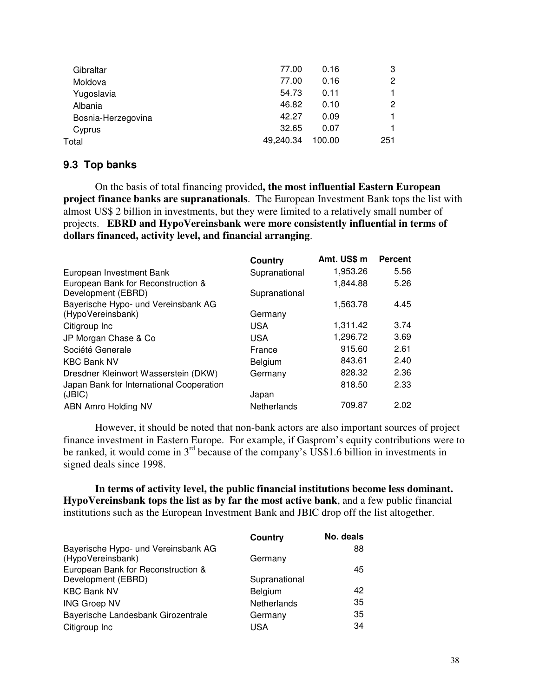| Gibraltar          | 77.00     | 0.16   | 3   |
|--------------------|-----------|--------|-----|
| Moldova            | 77.00     | 0.16   | 2   |
| Yugoslavia         | 54.73     | 0.11   |     |
| Albania            | 46.82     | 0.10   | 2   |
| Bosnia-Herzegovina | 42.27     | 0.09   |     |
| Cyprus             | 32.65     | 0.07   | 1   |
| Total              | 49,240.34 | 100.00 | 251 |
|                    |           |        |     |

### **9.3 Top banks**

On the basis of total financing provided**, the most influential Eastern European project finance banks are supranationals**. The European Investment Bank tops the list with almost US\$ 2 billion in investments, but they were limited to a relatively small number of projects. **EBRD and HypoVereinsbank were more consistently influential in terms of dollars financed, activity level, and financial arranging**.

|                                          | Country        | Amt. US\$ m | <b>Percent</b> |
|------------------------------------------|----------------|-------------|----------------|
| European Investment Bank                 | Supranational  | 1,953.26    | 5.56           |
| European Bank for Reconstruction &       |                | 1,844.88    | 5.26           |
| Development (EBRD)                       | Supranational  |             |                |
| Bayerische Hypo- und Vereinsbank AG      |                | 1,563.78    | 4.45           |
| (HypoVereinsbank)                        | Germany        |             |                |
| Citigroup Inc                            | <b>USA</b>     | 1,311.42    | 3.74           |
| JP Morgan Chase & Co                     | <b>USA</b>     | 1,296.72    | 3.69           |
| Société Generale                         | France         | 915.60      | 2.61           |
| <b>KBC Bank NV</b>                       | <b>Belgium</b> | 843.61      | 2.40           |
| Dresdner Kleinwort Wasserstein (DKW)     | Germany        | 828.32      | 2.36           |
| Japan Bank for International Cooperation |                | 818.50      | 2.33           |
| (JBIC)                                   | Japan          |             |                |
| ABN Amro Holding NV                      | Netherlands    | 709.87      | 2.02           |

However, it should be noted that non-bank actors are also important sources of project finance investment in Eastern Europe. For example, if Gasprom's equity contributions were to be ranked, it would come in  $3<sup>rd</sup>$  because of the company's US\$1.6 billion in investments in signed deals since 1998.

**In terms of activity level, the public financial institutions become less dominant. HypoVereinsbank tops the list as by far the most active bank**, and a few public financial institutions such as the European Investment Bank and JBIC drop off the list altogether.

|                                     | Country       | No. deals |
|-------------------------------------|---------------|-----------|
| Bayerische Hypo- und Vereinsbank AG |               | 88        |
| (HypoVereinsbank)                   | Germany       |           |
| European Bank for Reconstruction &  |               | 45        |
| Development (EBRD)                  | Supranational |           |
| <b>KBC Bank NV</b>                  | Belgium       | 42        |
| <b>ING Groep NV</b>                 | Netherlands   | 35        |
| Bayerische Landesbank Girozentrale  | Germany       | 35        |
| Citigroup Inc                       | USA           | 34        |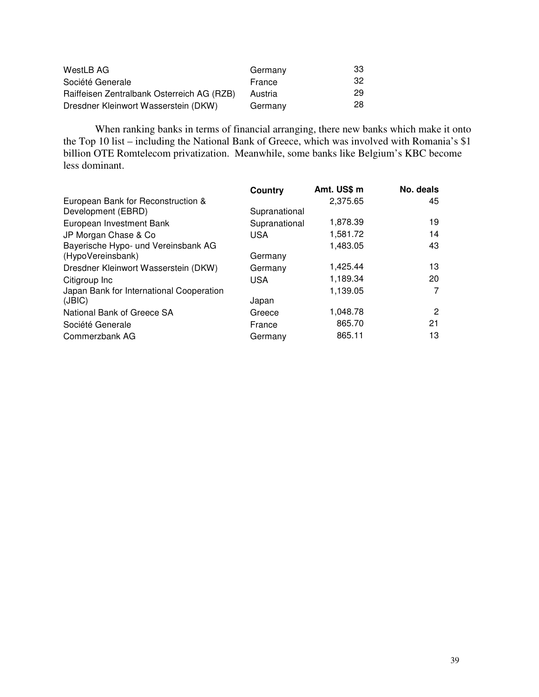| WestLB AG                                  | Germany | 33 |
|--------------------------------------------|---------|----|
| Société Generale                           | France  | 32 |
| Raiffeisen Zentralbank Osterreich AG (RZB) | Austria | 29 |
| Dresdner Kleinwort Wasserstein (DKW)       | Germany | 28 |

When ranking banks in terms of financial arranging, there new banks which make it onto the Top 10 list – including the National Bank of Greece, which was involved with Romania's \$1 billion OTE Romtelecom privatization. Meanwhile, some banks like Belgium's KBC become less dominant.

|                                          | Country       | Amt. US\$ m | No. deals |
|------------------------------------------|---------------|-------------|-----------|
| European Bank for Reconstruction &       |               | 2,375.65    | 45        |
| Development (EBRD)                       | Supranational |             |           |
| European Investment Bank                 | Supranational | 1,878.39    | 19        |
| JP Morgan Chase & Co                     | <b>USA</b>    | 1,581.72    | 14        |
| Bayerische Hypo- und Vereinsbank AG      |               | 1,483.05    | 43        |
| (HypoVereinsbank)                        | Germany       |             |           |
| Dresdner Kleinwort Wasserstein (DKW)     | Germany       | 1,425.44    | 13        |
| Citigroup Inc                            | <b>USA</b>    | 1,189.34    | 20        |
| Japan Bank for International Cooperation |               | 1,139.05    | 7         |
| (JBIC)                                   | Japan         |             |           |
| National Bank of Greece SA               | Greece        | 1,048.78    | 2         |
| Société Generale                         | France        | 865.70      | 21        |
| Commerzbank AG                           | Germany       | 865.11      | 13        |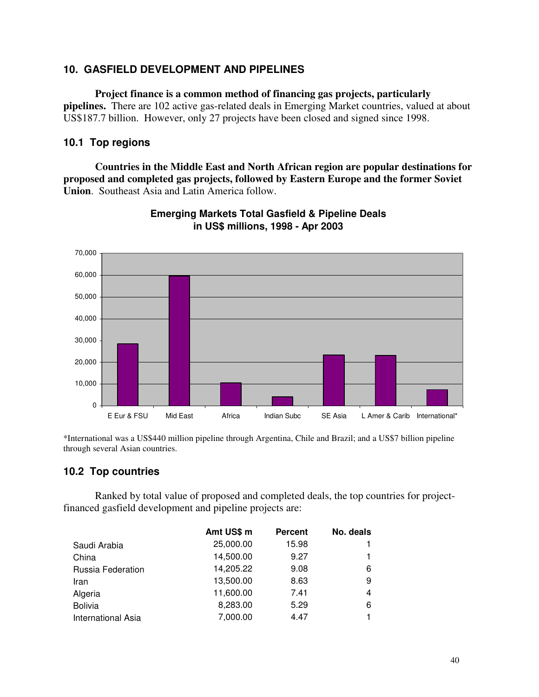## **10. GASFIELD DEVELOPMENT AND PIPELINES**

**Project finance is a common method of financing gas projects, particularly pipelines.** There are 102 active gas-related deals in Emerging Market countries, valued at about US\$187.7 billion. However, only 27 projects have been closed and signed since 1998.

## **10.1 Top regions**

**Countries in the Middle East and North African region are popular destinations for proposed and completed gas projects, followed by Eastern Europe and the former Soviet Union**. Southeast Asia and Latin America follow.



**Emerging Markets Total Gasfield & Pipeline Deals in US\$ millions, 1998 - Apr 2003**

\*International was a US\$440 million pipeline through Argentina, Chile and Brazil; and a US\$7 billion pipeline through several Asian countries.

## **10.2 Top countries**

Ranked by total value of proposed and completed deals, the top countries for projectfinanced gasfield development and pipeline projects are:

|                           | Amt US\$ m | <b>Percent</b> | No. deals |
|---------------------------|------------|----------------|-----------|
| Saudi Arabia              | 25,000.00  | 15.98          |           |
| China                     | 14,500.00  | 9.27           |           |
| Russia Federation         | 14,205.22  | 9.08           | 6         |
| Iran                      | 13,500.00  | 8.63           | 9         |
| Algeria                   | 11,600.00  | 7.41           | 4         |
| <b>Bolivia</b>            | 8,283.00   | 5.29           | 6         |
| <b>International Asia</b> | 7,000.00   | 4.47           |           |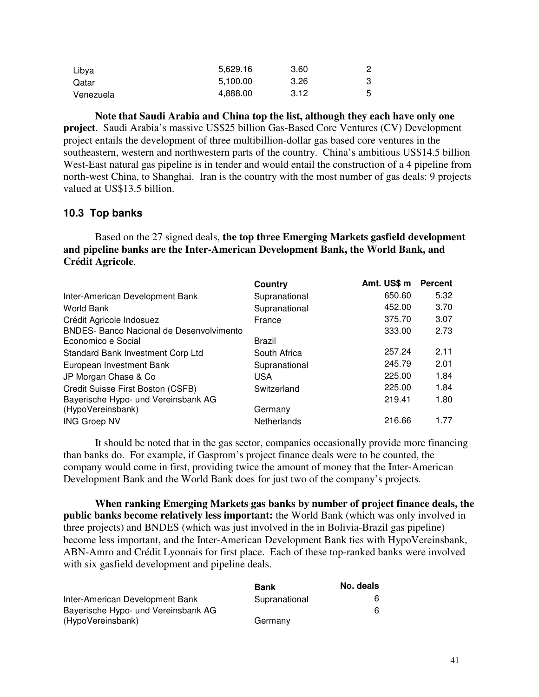| Libya     | 5.629.16 | 3.60 |   |
|-----------|----------|------|---|
| Qatar     | 5.100.00 | 3.26 |   |
| Venezuela | 4,888.00 | 3.12 | 5 |

**Note that Saudi Arabia and China top the list, although they each have only one project**. Saudi Arabia's massive US\$25 billion Gas-Based Core Ventures (CV) Development project entails the development of three multibillion-dollar gas based core ventures in the southeastern, western and northwestern parts of the country. China's ambitious US\$14.5 billion West-East natural gas pipeline is in tender and would entail the construction of a 4 pipeline from north-west China, to Shanghai. Iran is the country with the most number of gas deals: 9 projects valued at US\$13.5 billion.

## **10.3 Top banks**

Based on the 27 signed deals, **the top three Emerging Markets gasfield development and pipeline banks are the Inter-American Development Bank, the World Bank, and Crédit Agricole**.

|                                                 | Country       | Amt. US\$ m | <b>Percent</b> |
|-------------------------------------------------|---------------|-------------|----------------|
| Inter-American Development Bank                 | Supranational | 650.60      | 5.32           |
| <b>World Bank</b>                               | Supranational | 452.00      | 3.70           |
| Crédit Agricole Indosuez                        | France        | 375.70      | 3.07           |
| <b>BNDES- Banco Nacional de Desenvolvimento</b> |               | 333.00      | 2.73           |
| Economico e Social                              | Brazil        |             |                |
| Standard Bank Investment Corp Ltd               | South Africa  | 257.24      | 2.11           |
| European Investment Bank                        | Supranational | 245.79      | 2.01           |
| JP Morgan Chase & Co                            | USA           | 225.00      | 1.84           |
| Credit Suisse First Boston (CSFB)               | Switzerland   | 225.00      | 1.84           |
| Bayerische Hypo- und Vereinsbank AG             |               | 219.41      | 1.80           |
| (HypoVereinsbank)                               | Germany       |             |                |
| <b>ING Groep NV</b>                             | Netherlands   | 216.66      | 1.77           |

It should be noted that in the gas sector, companies occasionally provide more financing than banks do. For example, if Gasprom's project finance deals were to be counted, the company would come in first, providing twice the amount of money that the Inter-American Development Bank and the World Bank does for just two of the company's projects.

**When ranking Emerging Markets gas banks by number of project finance deals, the public banks become relatively less important:** the World Bank (which was only involved in three projects) and BNDES (which was just involved in the in Bolivia-Brazil gas pipeline) become less important, and the Inter-American Development Bank ties with HypoVereinsbank, ABN-Amro and Crédit Lyonnais for first place. Each of these top-ranked banks were involved with six gasfield development and pipeline deals.

|                                     | Bank          | No. deals |
|-------------------------------------|---------------|-----------|
| Inter-American Development Bank     | Supranational |           |
| Bayerische Hypo- und Vereinsbank AG |               |           |
| (HypoVereinsbank)                   | Germany       |           |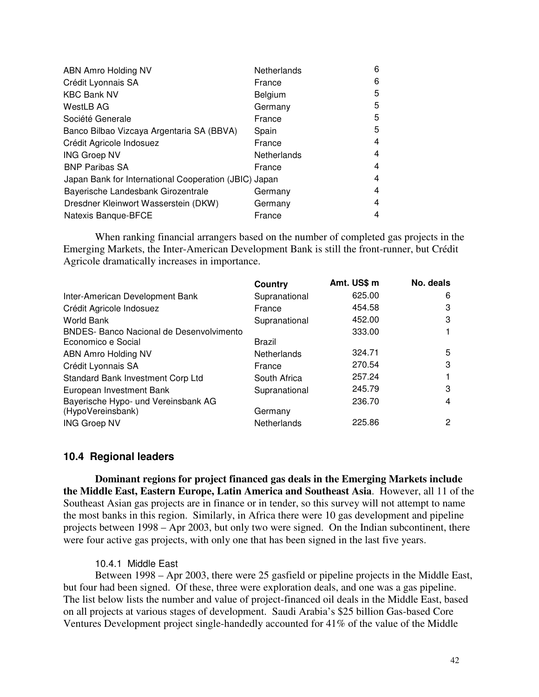| ABN Amro Holding NV                                   | Netherlands | 6 |
|-------------------------------------------------------|-------------|---|
| Crédit Lyonnais SA                                    | France      | 6 |
| <b>KBC Bank NV</b>                                    | Belgium     | 5 |
| <b>WestLB AG</b>                                      | Germany     | 5 |
| Société Generale                                      | France      | 5 |
| Banco Bilbao Vizcaya Argentaria SA (BBVA)             | Spain       | 5 |
| Crédit Agricole Indosuez                              | France      | 4 |
| <b>ING Groep NV</b>                                   | Netherlands | 4 |
| <b>BNP Paribas SA</b>                                 | France      | 4 |
| Japan Bank for International Cooperation (JBIC) Japan |             | 4 |
| Bayerische Landesbank Girozentrale                    | Germany     | 4 |
| Dresdner Kleinwort Wasserstein (DKW)                  | Germany     | 4 |
| Natexis Banque-BFCE                                   | France      | 4 |

When ranking financial arrangers based on the number of completed gas projects in the Emerging Markets, the Inter-American Development Bank is still the front-runner, but Crédit Agricole dramatically increases in importance.

|                                                 | Country       | Amt. US\$ m | No. deals |
|-------------------------------------------------|---------------|-------------|-----------|
| Inter-American Development Bank                 | Supranational | 625.00      | 6         |
| Crédit Agricole Indosuez                        | France        | 454.58      | 3         |
| World Bank                                      | Supranational | 452.00      | 3         |
| <b>BNDES- Banco Nacional de Desenvolvimento</b> |               | 333.00      |           |
| Economico e Social                              | Brazil        |             |           |
| ABN Amro Holding NV                             | Netherlands   | 324.71      | 5         |
| Crédit Lyonnais SA                              | France        | 270.54      | 3         |
| Standard Bank Investment Corp Ltd               | South Africa  | 257.24      |           |
| European Investment Bank                        | Supranational | 245.79      | 3         |
| Bayerische Hypo- und Vereinsbank AG             |               | 236.70      | 4         |
| (HypoVereinsbank)                               | Germany       |             |           |
| <b>ING Groep NV</b>                             | Netherlands   | 225.86      | 2         |

#### **10.4 Regional leaders**

**Dominant regions for project financed gas deals in the Emerging Markets include the Middle East, Eastern Europe, Latin America and Southeast Asia**. However, all 11 of the Southeast Asian gas projects are in finance or in tender, so this survey will not attempt to name the most banks in this region. Similarly, in Africa there were 10 gas development and pipeline projects between 1998 – Apr 2003, but only two were signed. On the Indian subcontinent, there were four active gas projects, with only one that has been signed in the last five years.

#### 10.4.1 Middle East

Between 1998 – Apr 2003, there were 25 gasfield or pipeline projects in the Middle East, but four had been signed. Of these, three were exploration deals, and one was a gas pipeline. The list below lists the number and value of project-financed oil deals in the Middle East, based on all projects at various stages of development. Saudi Arabia's \$25 billion Gas-based Core Ventures Development project single-handedly accounted for 41% of the value of the Middle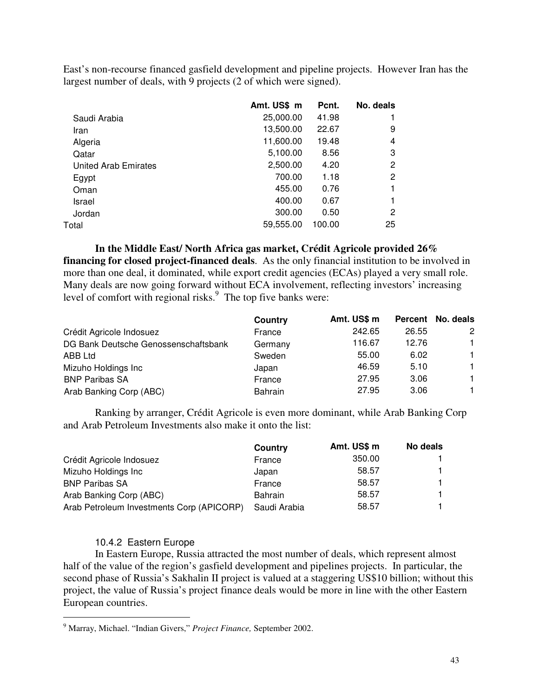East's non-recourse financed gasfield development and pipeline projects. However Iran has the largest number of deals, with 9 projects (2 of which were signed).

|                      | Amt. US\$ m | Pcnt.  | No. deals |
|----------------------|-------------|--------|-----------|
| Saudi Arabia         | 25,000.00   | 41.98  |           |
| Iran                 | 13,500.00   | 22.67  | 9         |
| Algeria              | 11,600.00   | 19.48  | 4         |
| Qatar                | 5,100.00    | 8.56   | 3         |
| United Arab Emirates | 2,500.00    | 4.20   | 2         |
| Egypt                | 700.00      | 1.18   | 2         |
| Oman                 | 455.00      | 0.76   |           |
| Israel               | 400.00      | 0.67   |           |
| Jordan               | 300.00      | 0.50   | 2         |
| Total                | 59,555.00   | 100.00 | 25        |
|                      |             |        |           |

**In the Middle East/ North Africa gas market, Crédit Agricole provided 26% financing for closed project-financed deals**. As the only financial institution to be involved in more than one deal, it dominated, while export credit agencies (ECAs) played a very small role. Many deals are now going forward without ECA involvement, reflecting investors' increasing level of comfort with regional risks.<sup>9</sup> The top five banks were:

|                                      | Country        | Amt. US\$ m |       | Percent No. deals |
|--------------------------------------|----------------|-------------|-------|-------------------|
| Crédit Agricole Indosuez             | France         | 242.65      | 26.55 | 2                 |
| DG Bank Deutsche Genossenschaftsbank | Germany        | 116.67      | 12.76 | $\mathbf{1}$      |
| ABB Ltd                              | Sweden         | 55.00       | 6.02  | $\mathbf{1}$      |
| Mizuho Holdings Inc                  | Japan          | 46.59       | 5.10  | 1.                |
| <b>BNP Paribas SA</b>                | France         | 27.95       | 3.06  | $\mathbf{1}$      |
| Arab Banking Corp (ABC)              | <b>Bahrain</b> | 27.95       | 3.06  | 1                 |

Ranking by arranger, Crédit Agricole is even more dominant, while Arab Banking Corp and Arab Petroleum Investments also make it onto the list:

|                                           | Country        | Amt. US\$ m | No deals |
|-------------------------------------------|----------------|-------------|----------|
| Crédit Agricole Indosuez                  | France         | 350.00      |          |
| Mizuho Holdings Inc                       | Japan          | 58.57       |          |
| <b>BNP Paribas SA</b>                     | France         | 58.57       |          |
| Arab Banking Corp (ABC)                   | <b>Bahrain</b> | 58.57       |          |
| Arab Petroleum Investments Corp (APICORP) | Saudi Arabia   | 58.57       |          |

#### 10.4.2 Eastern Europe

In Eastern Europe, Russia attracted the most number of deals, which represent almost half of the value of the region's gasfield development and pipelines projects. In particular, the second phase of Russia's Sakhalin II project is valued at a staggering US\$10 billion; without this project, the value of Russia's project finance deals would be more in line with the other Eastern European countries.

<sup>9</sup> Marray, Michael. "Indian Givers," *Project Finance,* September 2002.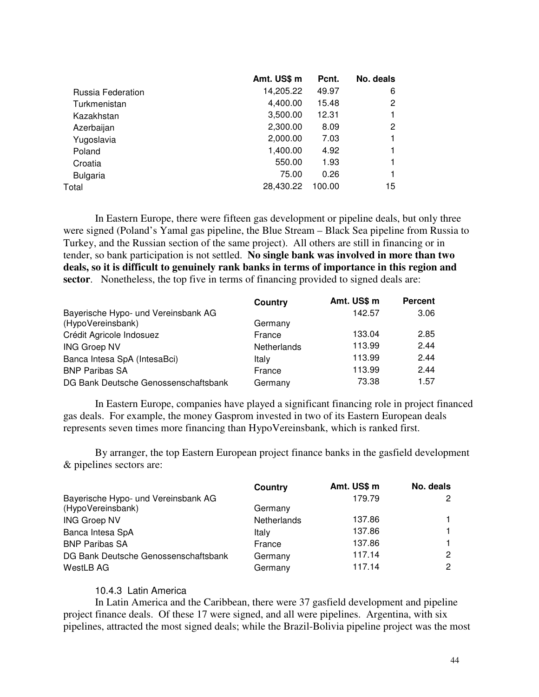|                   | Amt. US\$ m | Pcnt.  | No. deals |
|-------------------|-------------|--------|-----------|
| Russia Federation | 14,205.22   | 49.97  | 6         |
| Turkmenistan      | 4,400.00    | 15.48  | 2         |
| Kazakhstan        | 3,500.00    | 12.31  |           |
| Azerbaijan        | 2,300.00    | 8.09   | 2         |
| Yugoslavia        | 2,000.00    | 7.03   |           |
| Poland            | 1,400.00    | 4.92   |           |
| Croatia           | 550.00      | 1.93   |           |
| <b>Bulgaria</b>   | 75.00       | 0.26   |           |
| Total             | 28,430.22   | 100.00 | 15        |
|                   |             |        |           |

In Eastern Europe, there were fifteen gas development or pipeline deals, but only three were signed (Poland's Yamal gas pipeline, the Blue Stream – Black Sea pipeline from Russia to Turkey, and the Russian section of the same project). All others are still in financing or in tender, so bank participation is not settled. **No single bank was involved in more than two deals, so it is difficult to genuinely rank banks in terms of importance in this region and sector**. Nonetheless, the top five in terms of financing provided to signed deals are:

|                                      | Country     | Amt. US\$ m | <b>Percent</b> |
|--------------------------------------|-------------|-------------|----------------|
| Bayerische Hypo- und Vereinsbank AG  |             | 142.57      | 3.06           |
| (HypoVereinsbank)                    | Germany     |             |                |
| Crédit Agricole Indosuez             | France      | 133.04      | 2.85           |
| <b>ING Groep NV</b>                  | Netherlands | 113.99      | 2.44           |
| Banca Intesa SpA (IntesaBci)         | Italy       | 113.99      | 2.44           |
| <b>BNP Paribas SA</b>                | France      | 113.99      | 2.44           |
| DG Bank Deutsche Genossenschaftsbank | Germany     | 73.38       | 1.57           |

In Eastern Europe, companies have played a significant financing role in project financed gas deals. For example, the money Gasprom invested in two of its Eastern European deals represents seven times more financing than HypoVereinsbank, which is ranked first.

By arranger, the top Eastern European project finance banks in the gasfield development & pipelines sectors are:

|                                      | Country     | Amt. US\$ m | No. deals |
|--------------------------------------|-------------|-------------|-----------|
| Bayerische Hypo- und Vereinsbank AG  |             | 179.79      |           |
| (HypoVereinsbank)                    | Germany     |             |           |
| <b>ING Groep NV</b>                  | Netherlands | 137.86      |           |
| Banca Intesa SpA                     | Italy       | 137.86      |           |
| <b>BNP Paribas SA</b>                | France      | 137.86      |           |
| DG Bank Deutsche Genossenschaftsbank | Germany     | 117.14      | 2         |
| WestLB AG                            | Germany     | 117.14      | 2         |

#### 10.4.3 Latin America

In Latin America and the Caribbean, there were 37 gasfield development and pipeline project finance deals. Of these 17 were signed, and all were pipelines. Argentina, with six pipelines, attracted the most signed deals; while the Brazil-Bolivia pipeline project was the most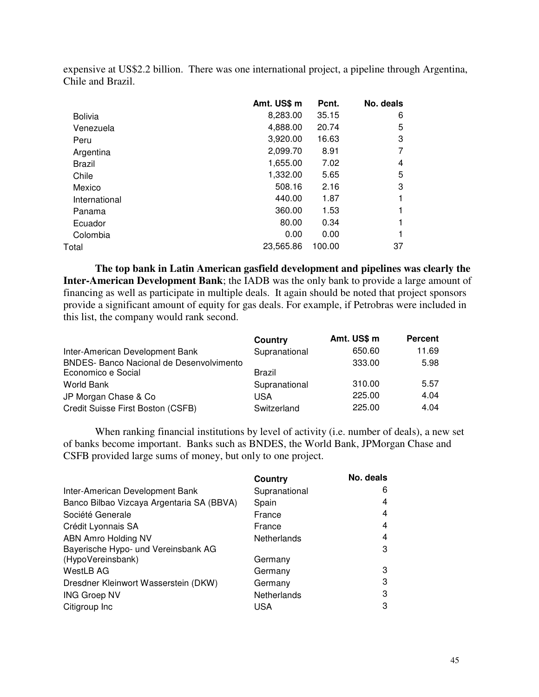|                | Amt. US\$ m | Pcnt.  | No. deals |
|----------------|-------------|--------|-----------|
| <b>Bolivia</b> | 8,283.00    | 35.15  | 6         |
| Venezuela      | 4,888.00    | 20.74  | 5         |
| Peru           | 3,920.00    | 16.63  | 3         |
| Argentina      | 2,099.70    | 8.91   |           |
| Brazil         | 1,655.00    | 7.02   | 4         |
| Chile          | 1,332.00    | 5.65   | 5         |
| Mexico         | 508.16      | 2.16   | 3         |
| International  | 440.00      | 1.87   |           |
| Panama         | 360.00      | 1.53   |           |
| Ecuador        | 80.00       | 0.34   |           |
| Colombia       | 0.00        | 0.00   |           |
| Total          | 23.565.86   | 100.00 | 37        |
|                |             |        |           |

expensive at US\$2.2 billion. There was one international project, a pipeline through Argentina, Chile and Brazil.

**The top bank in Latin American gasfield development and pipelines was clearly the Inter-American Development Bank**; the IADB was the only bank to provide a large amount of financing as well as participate in multiple deals. It again should be noted that project sponsors provide a significant amount of equity for gas deals. For example, if Petrobras were included in this list, the company would rank second.

|                                                 | Country       | Amt. US\$ m | <b>Percent</b> |
|-------------------------------------------------|---------------|-------------|----------------|
| Inter-American Development Bank                 | Supranational | 650.60      | 11.69          |
| <b>BNDES- Banco Nacional de Desenvolvimento</b> |               | 333.00      | 5.98           |
| Economico e Social                              | Brazil        |             |                |
| World Bank                                      | Supranational | 310.00      | 5.57           |
| JP Morgan Chase & Co                            | <b>USA</b>    | 225.00      | 4.04           |
| Credit Suisse First Boston (CSFB)               | Switzerland   | 225.00      | 4.04           |

When ranking financial institutions by level of activity (i.e. number of deals), a new set of banks become important. Banks such as BNDES, the World Bank, JPMorgan Chase and CSFB provided large sums of money, but only to one project.

|                                           | Country       | No. deals |
|-------------------------------------------|---------------|-----------|
| Inter-American Development Bank           | Supranational | 6         |
| Banco Bilbao Vizcaya Argentaria SA (BBVA) | Spain         | 4         |
| Société Generale                          | France        | 4         |
| Crédit Lyonnais SA                        | France        | 4         |
| ABN Amro Holding NV                       | Netherlands   | 4         |
| Bayerische Hypo- und Vereinsbank AG       |               | З         |
| (HypoVereinsbank)                         | Germany       |           |
| <b>WestLB AG</b>                          | Germany       | 3         |
| Dresdner Kleinwort Wasserstein (DKW)      | Germany       | 3         |
| <b>ING Groep NV</b>                       | Netherlands   | 3         |
| Citigroup Inc                             | USA           | З         |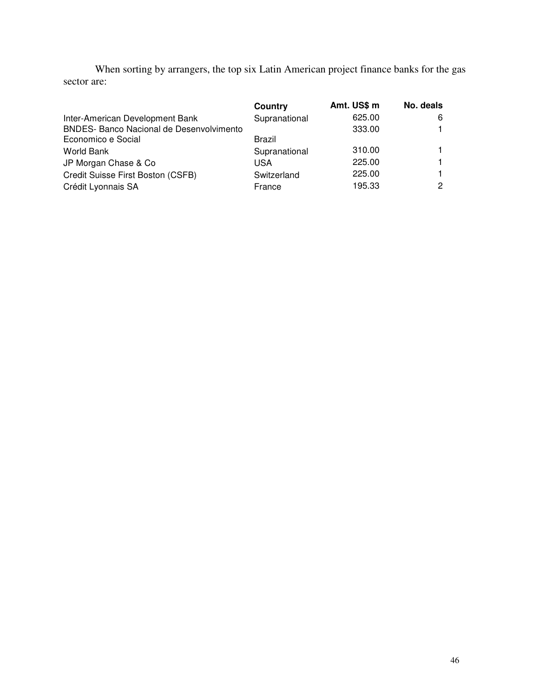When sorting by arrangers, the top six Latin American project finance banks for the gas sector are:

|                                                 | Country       | Amt. US\$ m | No. deals |
|-------------------------------------------------|---------------|-------------|-----------|
| Inter-American Development Bank                 | Supranational | 625.00      | 6         |
| <b>BNDES- Banco Nacional de Desenvolvimento</b> |               | 333.00      |           |
| Economico e Social                              | Brazil        |             |           |
| World Bank                                      | Supranational | 310.00      |           |
| JP Morgan Chase & Co                            | USA           | 225.00      |           |
| Credit Suisse First Boston (CSFB)               | Switzerland   | 225.00      |           |
| Crédit Lyonnais SA                              | France        | 195.33      |           |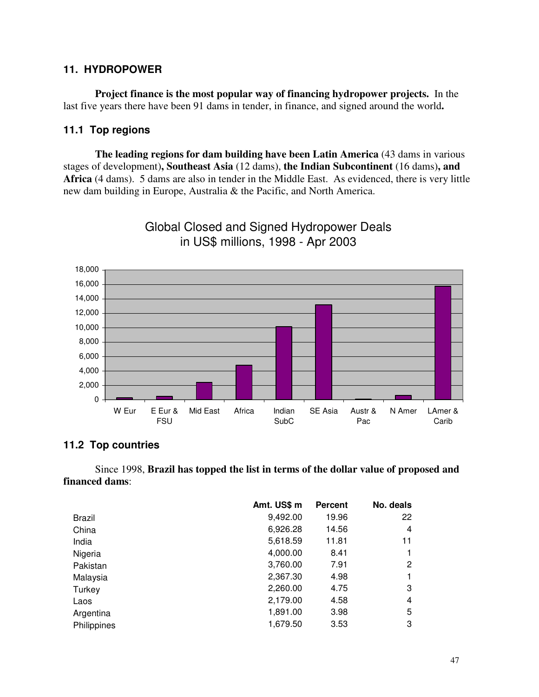### **11. HYDROPOWER**

**Project finance is the most popular way of financing hydropower projects.** In the last five years there have been 91 dams in tender, in finance, and signed around the world**.**

### **11.1 Top regions**

**The leading regions for dam building have been Latin America** (43 dams in various stages of development)**, Southeast Asia** (12 dams), **the Indian Subcontinent** (16 dams)**, and Africa** (4 dams). 5 dams are also in tender in the Middle East. As evidenced, there is very little new dam building in Europe, Australia & the Pacific, and North America.



Global Closed and Signed Hydropower Deals in US\$ millions, 1998 - Apr 2003

### **11.2 Top countries**

Since 1998, **Brazil has topped the list in terms of the dollar value of proposed and financed dams**:

|               | Amt. US\$ m | <b>Percent</b> | No. deals |
|---------------|-------------|----------------|-----------|
| <b>Brazil</b> | 9,492.00    | 19.96          | 22        |
| China         | 6,926.28    | 14.56          | 4         |
| India         | 5,618.59    | 11.81          | 11        |
| Nigeria       | 4,000.00    | 8.41           |           |
| Pakistan      | 3,760.00    | 7.91           | 2         |
| Malaysia      | 2,367.30    | 4.98           |           |
| Turkey        | 2,260.00    | 4.75           | 3         |
| Laos          | 2,179.00    | 4.58           | 4         |
| Argentina     | 1,891.00    | 3.98           | 5         |
| Philippines   | 1,679.50    | 3.53           | 3         |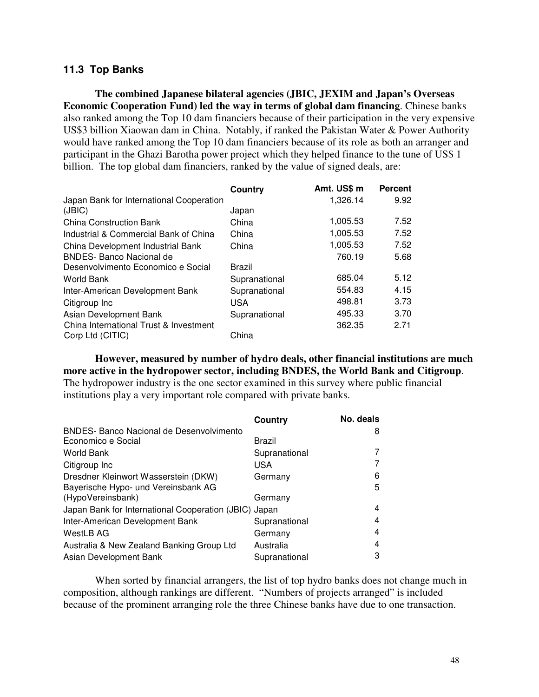### **11.3 Top Banks**

**The combined Japanese bilateral agencies (JBIC, JEXIM and Japan's Overseas Economic Cooperation Fund) led the way in terms of global dam financing**. Chinese banks also ranked among the Top 10 dam financiers because of their participation in the very expensive US\$3 billion Xiaowan dam in China. Notably, if ranked the Pakistan Water & Power Authority would have ranked among the Top 10 dam financiers because of its role as both an arranger and participant in the Ghazi Barotha power project which they helped finance to the tune of US\$ 1 billion. The top global dam financiers, ranked by the value of signed deals, are:

|                                          | Country       | Amt. US\$ m | <b>Percent</b> |
|------------------------------------------|---------------|-------------|----------------|
| Japan Bank for International Cooperation |               | 1,326.14    | 9.92           |
| (JBIC)                                   | Japan         |             |                |
| <b>China Construction Bank</b>           | China         | 1,005.53    | 7.52           |
| Industrial & Commercial Bank of China    | China         | 1,005.53    | 7.52           |
| China Development Industrial Bank        | China         | 1,005.53    | 7.52           |
| <b>BNDES- Banco Nacional de</b>          |               | 760.19      | 5.68           |
| Desenvolvimento Economico e Social       | Brazil        |             |                |
| World Bank                               | Supranational | 685.04      | 5.12           |
| Inter-American Development Bank          | Supranational | 554.83      | 4.15           |
| Citigroup Inc                            | USA           | 498.81      | 3.73           |
| Asian Development Bank                   | Supranational | 495.33      | 3.70           |
| China International Trust & Investment   |               | 362.35      | 2.71           |
| Corp Ltd (CITIC)                         | China         |             |                |

**However, measured by number of hydro deals, other financial institutions are much more active in the hydropower sector, including BNDES, the World Bank and Citigroup**. The hydropower industry is the one sector examined in this survey where public financial institutions play a very important role compared with private banks.

|                                                       | <b>Country</b> | No. deals |
|-------------------------------------------------------|----------------|-----------|
| <b>BNDES- Banco Nacional de Desenvolvimento</b>       |                | 8         |
| Economico e Social                                    | Brazil         |           |
| <b>World Bank</b>                                     | Supranational  |           |
| Citigroup Inc                                         | USA            |           |
| Dresdner Kleinwort Wasserstein (DKW)                  | Germany        | 6         |
| Bayerische Hypo- und Vereinsbank AG                   |                | 5         |
| (HypoVereinsbank)                                     | Germany        |           |
| Japan Bank for International Cooperation (JBIC) Japan |                | 4         |
| Inter-American Development Bank                       | Supranational  | 4         |
| WestLB AG                                             | Germany        | 4         |
| Australia & New Zealand Banking Group Ltd             | Australia      | 4         |
| Asian Development Bank                                | Supranational  | 3         |

When sorted by financial arrangers, the list of top hydro banks does not change much in composition, although rankings are different. "Numbers of projects arranged" is included because of the prominent arranging role the three Chinese banks have due to one transaction.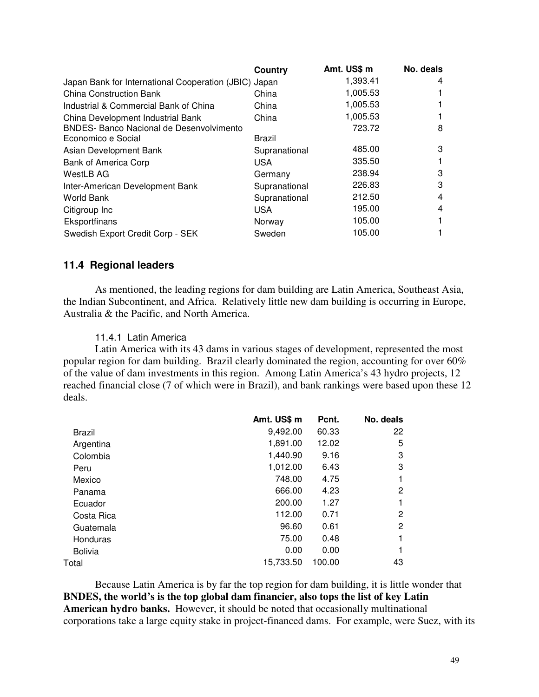|                                                       | Country       | Amt. US\$ m | No. deals |
|-------------------------------------------------------|---------------|-------------|-----------|
| Japan Bank for International Cooperation (JBIC) Japan |               | 1,393.41    | 4         |
| <b>China Construction Bank</b>                        | China         | 1,005.53    |           |
| Industrial & Commercial Bank of China                 | China         | 1,005.53    |           |
| China Development Industrial Bank                     | China         | 1,005.53    |           |
| <b>BNDES- Banco Nacional de Desenvolvimento</b>       |               | 723.72      | 8         |
| Economico e Social                                    | <b>Brazil</b> |             |           |
| Asian Development Bank                                | Supranational | 485.00      | 3         |
| <b>Bank of America Corp</b>                           | <b>USA</b>    | 335.50      |           |
| WestLB AG                                             | Germany       | 238.94      | 3         |
| Inter-American Development Bank                       | Supranational | 226.83      | 3         |
| <b>World Bank</b>                                     | Supranational | 212.50      | 4         |
| Citigroup Inc                                         | <b>USA</b>    | 195.00      | 4         |
| Eksportfinans                                         | Norway        | 105.00      |           |
| Swedish Export Credit Corp - SEK                      | Sweden        | 105.00      |           |

#### **11.4 Regional leaders**

As mentioned, the leading regions for dam building are Latin America, Southeast Asia, the Indian Subcontinent, and Africa. Relatively little new dam building is occurring in Europe, Australia & the Pacific, and North America.

#### 11.4.1 Latin America

Latin America with its 43 dams in various stages of development, represented the most popular region for dam building. Brazil clearly dominated the region, accounting for over 60% of the value of dam investments in this region. Among Latin America's 43 hydro projects, 12 reached financial close (7 of which were in Brazil), and bank rankings were based upon these 12 deals.

|                | Amt. US\$ m | Pcnt.  | No. deals      |
|----------------|-------------|--------|----------------|
| <b>Brazil</b>  | 9,492.00    | 60.33  | 22             |
| Argentina      | 1,891.00    | 12.02  | 5              |
| Colombia       | 1,440.90    | 9.16   | 3              |
| Peru           | 1,012.00    | 6.43   | 3              |
| Mexico         | 748.00      | 4.75   | 1              |
| Panama         | 666.00      | 4.23   | $\overline{2}$ |
| Ecuador        | 200.00      | 1.27   | 1              |
| Costa Rica     | 112.00      | 0.71   | 2              |
| Guatemala      | 96.60       | 0.61   | 2              |
| Honduras       | 75.00       | 0.48   | 1              |
| <b>Bolivia</b> | 0.00        | 0.00   |                |
| Total          | 15,733.50   | 100.00 | 43             |
|                |             |        |                |

Because Latin America is by far the top region for dam building, it is little wonder that **BNDES, the world's is the top global dam financier, also tops the list of key Latin American hydro banks.** However, it should be noted that occasionally multinational corporations take a large equity stake in project-financed dams. For example, were Suez, with its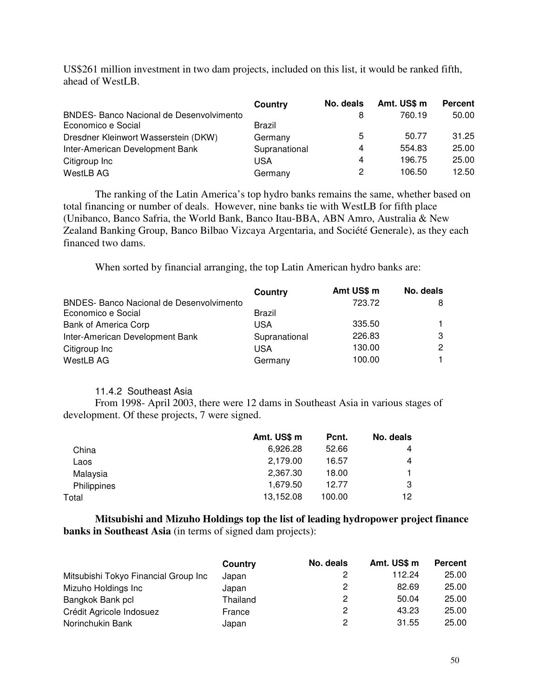US\$261 million investment in two dam projects, included on this list, it would be ranked fifth, ahead of WestLB.

|                                                                       | Country       | No. deals | Amt. US\$ m | <b>Percent</b> |
|-----------------------------------------------------------------------|---------------|-----------|-------------|----------------|
| <b>BNDES- Banco Nacional de Desenvolvimento</b><br>Economico e Social | Brazil        | 8         | 760.19      | 50.00          |
| Dresdner Kleinwort Wasserstein (DKW)                                  | Germany       | 5         | 50.77       | 31.25          |
| Inter-American Development Bank                                       | Supranational | 4         | 554.83      | 25.00          |
| Citigroup Inc                                                         | USA           | 4         | 196.75      | 25.00          |
| WestLB AG                                                             | Germany       | 2         | 106.50      | 12.50          |

The ranking of the Latin America's top hydro banks remains the same, whether based on total financing or number of deals. However, nine banks tie with WestLB for fifth place (Unibanco, Banco Safria, the World Bank, Banco Itau-BBA, ABN Amro, Australia & New Zealand Banking Group, Banco Bilbao Vizcaya Argentaria, and Société Generale), as they each financed two dams.

When sorted by financial arranging, the top Latin American hydro banks are:

|                                                 | Country       | Amt US\$ m | No. deals    |
|-------------------------------------------------|---------------|------------|--------------|
| <b>BNDES- Banco Nacional de Desenvolvimento</b> |               | 723.72     | 8            |
| Economico e Social                              | <b>Brazil</b> |            |              |
| <b>Bank of America Corp</b>                     | USA           | 335.50     |              |
| Inter-American Development Bank                 | Supranational | 226.83     | 3            |
| Citigroup Inc                                   | USA           | 130.00     | $\mathbf{2}$ |
| WestLB AG                                       | Germany       | 100.00     |              |

#### 11.4.2 Southeast Asia

From 1998- April 2003, there were 12 dams in Southeast Asia in various stages of development. Of these projects, 7 were signed.

|             | Amt. US\$ m | Pcnt.  | No. deals |
|-------------|-------------|--------|-----------|
| China       | 6,926.28    | 52.66  | 4         |
| Laos        | 2,179.00    | 16.57  | 4         |
| Malaysia    | 2.367.30    | 18.00  | 1.        |
| Philippines | 1,679.50    | 12.77  | 3         |
| Total       | 13,152.08   | 100.00 | 12        |

**Mitsubishi and Mizuho Holdings top the list of leading hydropower project finance banks in Southeast Asia** (in terms of signed dam projects):

|                                      | Country  | No. deals | Amt. US\$ m | <b>Percent</b> |
|--------------------------------------|----------|-----------|-------------|----------------|
| Mitsubishi Tokyo Financial Group Inc | Japan    |           | 112.24      | 25.00          |
| Mizuho Holdings Inc                  | Japan    | 2         | 82.69       | 25.00          |
| Bangkok Bank pcl                     | Thailand | 2         | 50.04       | 25.00          |
| Crédit Agricole Indosuez             | France   | 2         | 43.23       | 25.00          |
| Norinchukin Bank                     | Japan    | 2         | 31.55       | 25.00          |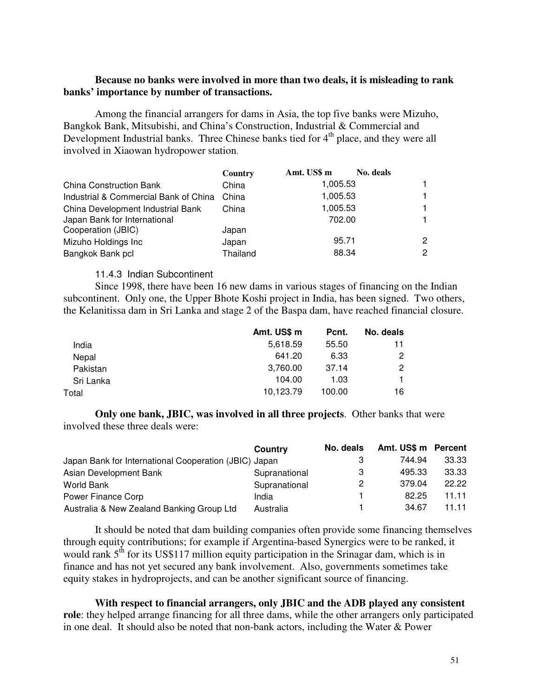#### **Because no banks were involved in more than two deals, it is misleading to rank banks' importance by number of transactions.**

Among the financial arrangers for dams in Asia, the top five banks were Mizuho, Bangkok Bank, Mitsubishi, and China's Construction, Industrial & Commercial and Development Industrial banks. Three Chinese banks tied for 4<sup>th</sup> place, and they were all involved in Xiaowan hydropower station.

|                                       | Country  | Amt. US\$ m | No. deals |   |
|---------------------------------------|----------|-------------|-----------|---|
| <b>China Construction Bank</b>        | China    | 1,005.53    |           | 1 |
| Industrial & Commercial Bank of China | China    | 1,005.53    |           | 1 |
| China Development Industrial Bank     | China    | 1,005.53    |           | 1 |
| Japan Bank for International          |          | 702.00      |           | 1 |
| Cooperation (JBIC)                    | Japan    |             |           |   |
| Mizuho Holdings Inc                   | Japan    | 95.71       |           | 2 |
| Bangkok Bank pcl                      | Thailand | 88.34       |           | 2 |

#### 11.4.3 Indian Subcontinent

Since 1998, there have been 16 new dams in various stages of financing on the Indian subcontinent. Only one, the Upper Bhote Koshi project in India, has been signed. Two others, the Kelanitissa dam in Sri Lanka and stage 2 of the Baspa dam, have reached financial closure.

|           | Amt. US\$ m | Pcnt.  | No. deals            |
|-----------|-------------|--------|----------------------|
| India     | 5,618.59    | 55.50  | 11                   |
| Nepal     | 641.20      | 6.33   | 2                    |
| Pakistan  | 3,760.00    | 37.14  | $\mathbf{2}^{\circ}$ |
| Sri Lanka | 104.00      | 1.03   |                      |
| Total     | 10.123.79   | 100.00 | 16                   |

**Only one bank, JBIC, was involved in all three projects**. Other banks that were involved these three deals were:

|                                                       | Country       | No. deals | Amt. US\$ m Percent |       |
|-------------------------------------------------------|---------------|-----------|---------------------|-------|
| Japan Bank for International Cooperation (JBIC) Japan |               |           | 744.94              | 33.33 |
| Asian Development Bank                                | Supranational | З         | 495.33              | 33.33 |
| World Bank                                            | Supranational | 2         | 379.04              | 22.22 |
| Power Finance Corp                                    | India         |           | 82.25               | 11.11 |
| Australia & New Zealand Banking Group Ltd             | Australia     |           | 34.67               | 11.11 |

It should be noted that dam building companies often provide some financing themselves through equity contributions; for example if Argentina-based Synergics were to be ranked, it would rank  $5<sup>th</sup>$  for its US\$117 million equity participation in the Srinagar dam, which is in finance and has not yet secured any bank involvement. Also, governments sometimes take equity stakes in hydroprojects, and can be another significant source of financing.

**With respect to financial arrangers, only JBIC and the ADB played any consistent role**: they helped arrange financing for all three dams, while the other arrangers only participated in one deal. It should also be noted that non-bank actors, including the Water & Power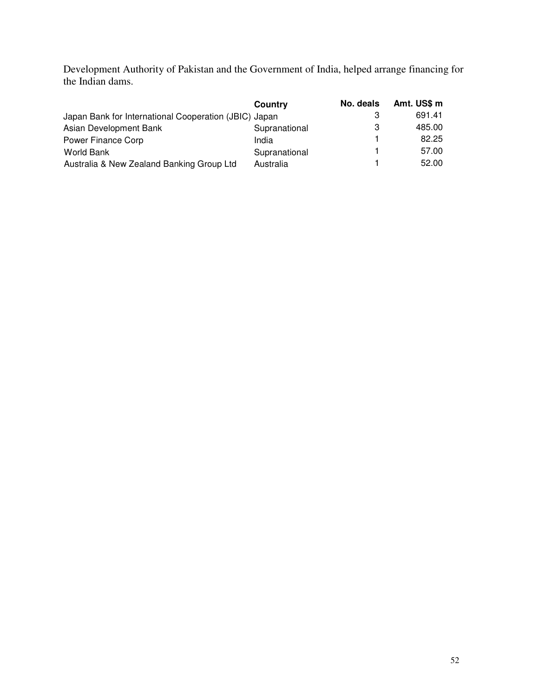Development Authority of Pakistan and the Government of India, helped arrange financing for the Indian dams.

|                                                       | Country       | No. deals | Amt. US\$ m |
|-------------------------------------------------------|---------------|-----------|-------------|
| Japan Bank for International Cooperation (JBIC) Japan |               |           | 691.41      |
| Asian Development Bank                                | Supranational | З         | 485.00      |
| Power Finance Corp                                    | India         |           | 82.25       |
| World Bank                                            | Supranational |           | 57.00       |
| Australia & New Zealand Banking Group Ltd             | Australia     |           | 52.00       |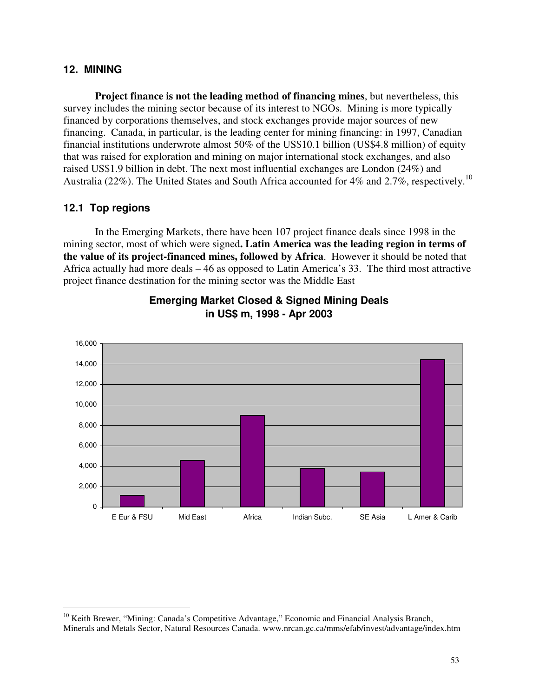### **12. MINING**

**Project finance is not the leading method of financing mines**, but nevertheless, this survey includes the mining sector because of its interest to NGOs. Mining is more typically financed by corporations themselves, and stock exchanges provide major sources of new financing. Canada, in particular, is the leading center for mining financing: in 1997, Canadian financial institutions underwrote almost 50% of the US\$10.1 billion (US\$4.8 million) of equity that was raised for exploration and mining on major international stock exchanges, and also raised US\$1.9 billion in debt. The next most influential exchanges are London (24%) and Australia (22%). The United States and South Africa accounted for 4% and 2.7%, respectively.<sup>10</sup>

### **12.1 Top regions**

In the Emerging Markets, there have been 107 project finance deals since 1998 in the mining sector, most of which were signed**. Latin America was the leading region in terms of the value of its project-financed mines, followed by Africa**. However it should be noted that Africa actually had more deals – 46 as opposed to Latin America's 33. The third most attractive project finance destination for the mining sector was the Middle East



## **Emerging Market Closed & Signed Mining Deals in US\$ m, 1998 - Apr 2003**

<sup>&</sup>lt;sup>10</sup> Keith Brewer, "Mining: Canada's Competitive Advantage," Economic and Financial Analysis Branch, Minerals and Metals Sector, Natural Resources Canada. www.nrcan.gc.ca/mms/efab/invest/advantage/index.htm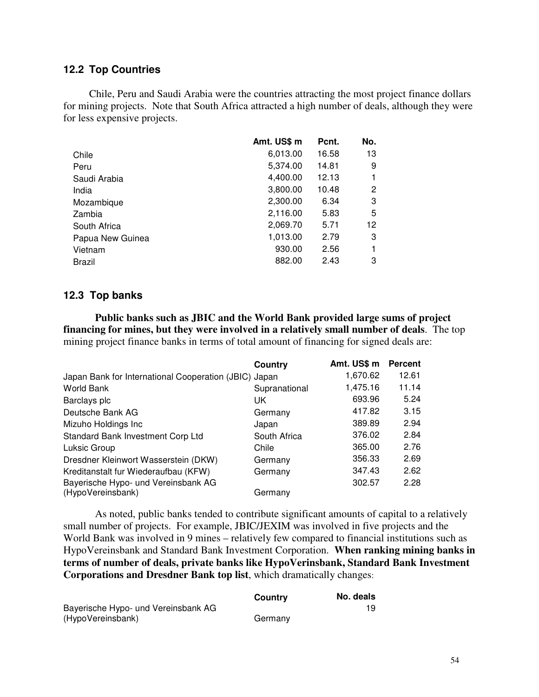#### **12.2 Top Countries**

Chile, Peru and Saudi Arabia were the countries attracting the most project finance dollars for mining projects. Note that South Africa attracted a high number of deals, although they were for less expensive projects.

|                  | Amt. US\$ m | Pcnt. | No.                   |
|------------------|-------------|-------|-----------------------|
| Chile            | 6,013.00    | 16.58 | 13                    |
| Peru             | 5,374.00    | 14.81 | 9                     |
| Saudi Arabia     | 4,400.00    | 12.13 | 1                     |
| India            | 3,800.00    | 10.48 | $\mathbf{2}^{\prime}$ |
| Mozambique       | 2,300.00    | 6.34  | 3                     |
| Zambia           | 2,116.00    | 5.83  | 5                     |
| South Africa     | 2,069.70    | 5.71  | 12                    |
| Papua New Guinea | 1,013.00    | 2.79  | 3                     |
| Vietnam          | 930.00      | 2.56  | 1                     |
| <b>Brazil</b>    | 882.00      | 2.43  | 3                     |

#### **12.3 Top banks**

**Public banks such as JBIC and the World Bank provided large sums of project financing for mines, but they were involved in a relatively small number of deals**. The top mining project finance banks in terms of total amount of financing for signed deals are:

|                                                       | Country       | Amt. US\$ m | <b>Percent</b> |
|-------------------------------------------------------|---------------|-------------|----------------|
| Japan Bank for International Cooperation (JBIC) Japan |               | 1,670.62    | 12.61          |
| <b>World Bank</b>                                     | Supranational | 1,475.16    | 11.14          |
| Barclays plc                                          | UK            | 693.96      | 5.24           |
| Deutsche Bank AG                                      | Germany       | 417.82      | 3.15           |
| Mizuho Holdings Inc                                   | Japan         | 389.89      | 2.94           |
| Standard Bank Investment Corp Ltd                     | South Africa  | 376.02      | 2.84           |
| Luksic Group                                          | Chile         | 365.00      | 2.76           |
| Dresdner Kleinwort Wasserstein (DKW)                  | Germany       | 356.33      | 2.69           |
| Kreditanstalt fur Wiederaufbau (KFW)                  | Germany       | 347.43      | 2.62           |
| Bayerische Hypo- und Vereinsbank AG                   |               | 302.57      | 2.28           |
| (HypoVereinsbank)                                     | Germany       |             |                |

As noted, public banks tended to contribute significant amounts of capital to a relatively small number of projects. For example, JBIC/JEXIM was involved in five projects and the World Bank was involved in 9 mines – relatively few compared to financial institutions such as HypoVereinsbank and Standard Bank Investment Corporation. **When ranking mining banks in terms of number of deals, private banks like HypoVerinsbank, Standard Bank Investment Corporations and Dresdner Bank top list**, which dramatically changes:

|                                     | Country | No. deals |
|-------------------------------------|---------|-----------|
| Bayerische Hypo- und Vereinsbank AG |         | 19        |
| (HypoVereinsbank)                   | Germany |           |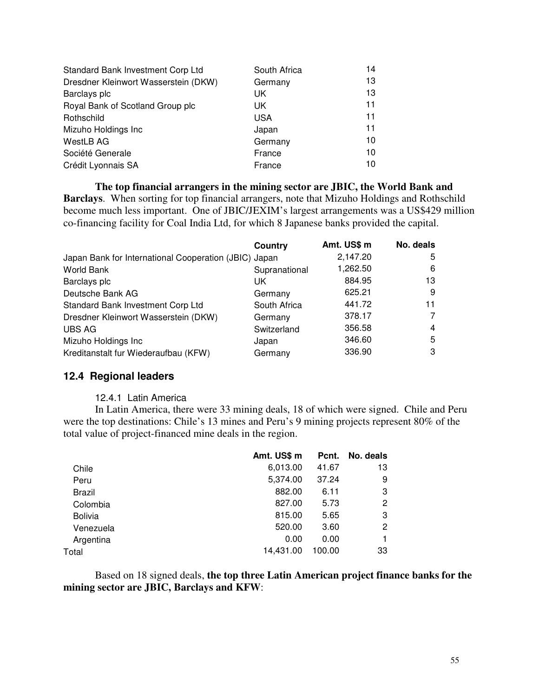| Standard Bank Investment Corp Ltd    | South Africa | 14 |
|--------------------------------------|--------------|----|
| Dresdner Kleinwort Wasserstein (DKW) | Germany      | 13 |
| Barclays plc                         | UK           | 13 |
| Royal Bank of Scotland Group plc     | UK.          | 11 |
| Rothschild                           | <b>USA</b>   | 11 |
| Mizuho Holdings Inc                  | Japan        | 11 |
| WestLB AG                            | Germany      | 10 |
| Société Generale                     | France       | 10 |
| Crédit Lyonnais SA                   | France       | 10 |

**The top financial arrangers in the mining sector are JBIC, the World Bank and Barclays**. When sorting for top financial arrangers, note that Mizuho Holdings and Rothschild become much less important. One of JBIC/JEXIM's largest arrangements was a US\$429 million co-financing facility for Coal India Ltd, for which 8 Japanese banks provided the capital.

|                                                       | Country       | Amt. US\$ m | No. deals |
|-------------------------------------------------------|---------------|-------------|-----------|
| Japan Bank for International Cooperation (JBIC) Japan |               | 2,147.20    | 5         |
| World Bank                                            | Supranational | 1,262.50    | 6         |
| Barclays plc                                          | UK.           | 884.95      | 13        |
| Deutsche Bank AG                                      | Germany       | 625.21      | 9         |
| Standard Bank Investment Corp Ltd                     | South Africa  | 441.72      | 11        |
| Dresdner Kleinwort Wasserstein (DKW)                  | Germany       | 378.17      |           |
| <b>UBS AG</b>                                         | Switzerland   | 356.58      | 4         |
| Mizuho Holdings Inc                                   | Japan         | 346.60      | 5         |
| Kreditanstalt fur Wiederaufbau (KFW)                  | Germany       | 336.90      | 3         |

#### **12.4 Regional leaders**

#### 12.4.1 Latin America

In Latin America, there were 33 mining deals, 18 of which were signed. Chile and Peru were the top destinations: Chile's 13 mines and Peru's 9 mining projects represent 80% of the total value of project-financed mine deals in the region.

|                | Amt. US\$ m | Pcnt.  | No. deals |
|----------------|-------------|--------|-----------|
| Chile          | 6,013.00    | 41.67  | 13        |
| Peru           | 5,374.00    | 37.24  | 9         |
| <b>Brazil</b>  | 882.00      | 6.11   | 3         |
| Colombia       | 827.00      | 5.73   | 2         |
| <b>Bolivia</b> | 815.00      | 5.65   | 3         |
| Venezuela      | 520.00      | 3.60   | 2         |
| Argentina      | 0.00        | 0.00   |           |
| Total          | 14.431.00   | 100.00 | 33        |

Based on 18 signed deals, **the top three Latin American project finance banks for the mining sector are JBIC, Barclays and KFW**: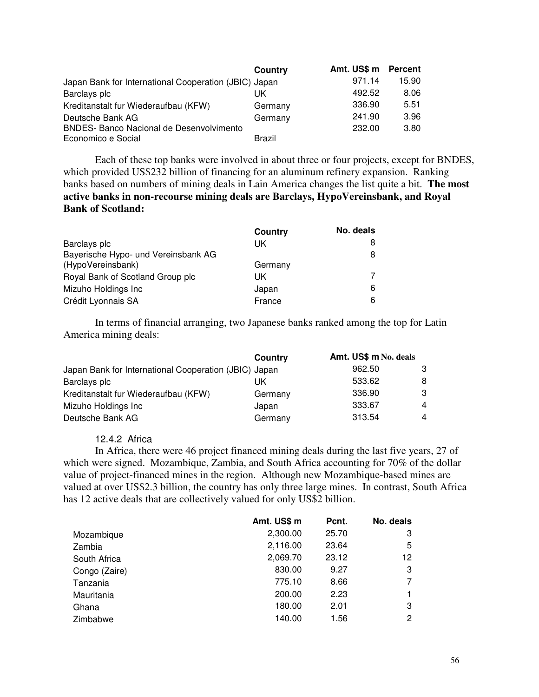|                                                       | Country       | Amt. US\$ m | <b>Percent</b> |
|-------------------------------------------------------|---------------|-------------|----------------|
| Japan Bank for International Cooperation (JBIC) Japan |               | 971.14      | 15.90          |
| Barclays plc                                          | UK            | 492.52      | 8.06           |
| Kreditanstalt fur Wiederaufbau (KFW)                  | Germany       | 336.90      | 5.51           |
| Deutsche Bank AG                                      | Germany       | 241.90      | 3.96           |
| <b>BNDES- Banco Nacional de Desenvolvimento</b>       |               | 232.00      | 3.80           |
| Economico e Social                                    | <b>Brazil</b> |             |                |

Each of these top banks were involved in about three or four projects, except for BNDES, which provided US\$232 billion of financing for an aluminum refinery expansion. Ranking banks based on numbers of mining deals in Lain America changes the list quite a bit. **The most active banks in non-recourse mining deals are Barclays, HypoVereinsbank, and Royal Bank of Scotland:**

|                                     | Country | No. deals |
|-------------------------------------|---------|-----------|
| Barclays plc                        | UK      | 8         |
| Bayerische Hypo- und Vereinsbank AG |         | 8         |
| (HypoVereinsbank)                   | Germany |           |
| Royal Bank of Scotland Group plc    | UK.     |           |
| Mizuho Holdings Inc                 | Japan   | 6         |
| Crédit Lyonnais SA                  | France  | 6         |

In terms of financial arranging, two Japanese banks ranked among the top for Latin America mining deals:

|                                                       | Country | Amt. US\$ m No. deals |    |
|-------------------------------------------------------|---------|-----------------------|----|
| Japan Bank for International Cooperation (JBIC) Japan |         | 962.50                | 3  |
| Barclays plc                                          | UK      | 533.62                | 8  |
| Kreditanstalt fur Wiederaufbau (KFW)                  | Germany | 336.90                | -3 |
| Mizuho Holdings Inc                                   | Japan   | 333.67                | 4  |
| Deutsche Bank AG                                      | Germany | 313.54                | 4  |

#### 12.4.2 Africa

In Africa, there were 46 project financed mining deals during the last five years, 27 of which were signed. Mozambique, Zambia, and South Africa accounting for 70% of the dollar value of project-financed mines in the region. Although new Mozambique-based mines are valued at over US\$2.3 billion, the country has only three large mines. In contrast, South Africa has 12 active deals that are collectively valued for only US\$2 billion.

|               | Amt. US\$ m | Pcnt. | No. deals |
|---------------|-------------|-------|-----------|
| Mozambique    | 2,300.00    | 25.70 | 3         |
| Zambia        | 2,116.00    | 23.64 | 5         |
| South Africa  | 2,069.70    | 23.12 | 12.       |
| Congo (Zaire) | 830.00      | 9.27  | 3         |
| Tanzania      | 775.10      | 8.66  | 7         |
| Mauritania    | 200.00      | 2.23  |           |
| Ghana         | 180.00      | 2.01  | 3         |
| Zimbabwe      | 140.00      | 1.56  | 2         |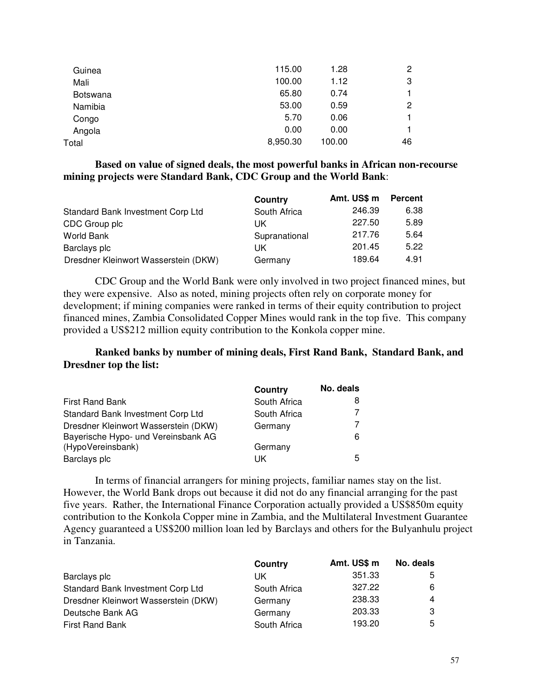| Guinea   | 115.00   | 1.28   | $\overline{c}$ |
|----------|----------|--------|----------------|
| Mali     | 100.00   | 1.12   | 3              |
| Botswana | 65.80    | 0.74   | 1.             |
| Namibia  | 53.00    | 0.59   | $\overline{c}$ |
| Congo    | 5.70     | 0.06   | 1.             |
| Angola   | 0.00     | 0.00   |                |
| Total    | 8,950.30 | 100.00 | 46             |
|          |          |        |                |

**Based on value of signed deals, the most powerful banks in African non-recourse mining projects were Standard Bank, CDC Group and the World Bank**:

|                                      | Country       | Amt. US\$ m | <b>Percent</b> |
|--------------------------------------|---------------|-------------|----------------|
| Standard Bank Investment Corp Ltd    | South Africa  | 246.39      | 6.38           |
| CDC Group plc                        | UK            | 227.50      | 5.89           |
| World Bank                           | Supranational | 217.76      | 5.64           |
| Barclays plc                         | UK            | 201.45      | 5.22           |
| Dresdner Kleinwort Wasserstein (DKW) | Germany       | 189.64      | 4.91           |

CDC Group and the World Bank were only involved in two project financed mines, but they were expensive. Also as noted, mining projects often rely on corporate money for development; if mining companies were ranked in terms of their equity contribution to project financed mines, Zambia Consolidated Copper Mines would rank in the top five. This company provided a US\$212 million equity contribution to the Konkola copper mine.

**Ranked banks by number of mining deals, First Rand Bank, Standard Bank, and Dresdner top the list:**

|                                      | Country      | No. deals |
|--------------------------------------|--------------|-----------|
| <b>First Rand Bank</b>               | South Africa |           |
| Standard Bank Investment Corp Ltd    | South Africa |           |
| Dresdner Kleinwort Wasserstein (DKW) | Germany      |           |
| Bayerische Hypo- und Vereinsbank AG  |              | 6         |
| (HypoVereinsbank)                    | Germany      |           |
| Barclays plc                         | ΠK           | 5         |

In terms of financial arrangers for mining projects, familiar names stay on the list. However, the World Bank drops out because it did not do any financial arranging for the past five years. Rather, the International Finance Corporation actually provided a US\$850m equity contribution to the Konkola Copper mine in Zambia, and the Multilateral Investment Guarantee Agency guaranteed a US\$200 million loan led by Barclays and others for the Bulyanhulu project in Tanzania.

|                                      | Country      | Amt. US\$ m | No. deals |
|--------------------------------------|--------------|-------------|-----------|
| Barclays plc                         | UK           | 351.33      | 5         |
| Standard Bank Investment Corp Ltd    | South Africa | 327.22      | 6         |
| Dresdner Kleinwort Wasserstein (DKW) | Germany      | 238.33      | 4         |
| Deutsche Bank AG                     | Germany      | 203.33      | 3         |
| <b>First Rand Bank</b>               | South Africa | 193.20      | 5         |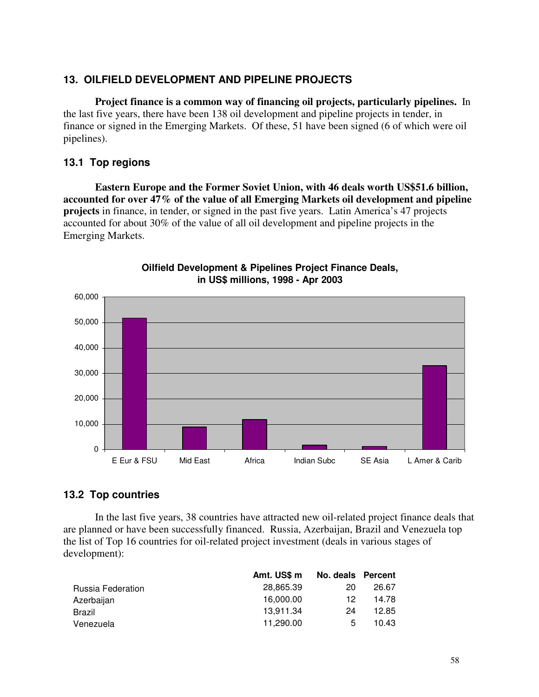## **13. OILFIELD DEVELOPMENT AND PIPELINE PROJECTS**

**Project finance is a common way of financing oil projects, particularly pipelines.** In the last five years, there have been 138 oil development and pipeline projects in tender, in finance or signed in the Emerging Markets. Of these, 51 have been signed (6 of which were oil pipelines).

## **13.1 Top regions**

**Eastern Europe and the Former Soviet Union, with 46 deals worth US\$51.6 billion, accounted for over 47% of the value of all Emerging Markets oil development and pipeline projects** in finance, in tender, or signed in the past five years. Latin America's 47 projects accounted for about 30% of the value of all oil development and pipeline projects in the Emerging Markets.



#### **Oilfield Development & Pipelines Project Finance Deals, in US\$ millions, 1998 - Apr 2003**

### **13.2 Top countries**

In the last five years, 38 countries have attracted new oil-related project finance deals that are planned or have been successfully financed. Russia, Azerbaijan, Brazil and Venezuela top the list of Top 16 countries for oil-related project investment (deals in various stages of development):

|                   | Amt. US\$ m | No. deals Percent |       |
|-------------------|-------------|-------------------|-------|
| Russia Federation | 28.865.39   | 20                | 26.67 |
| Azerbaijan        | 16,000.00   | 12                | 14.78 |
| Brazil            | 13.911.34   | 24                | 12.85 |
| Venezuela         | 11.290.00   | 5                 | 10.43 |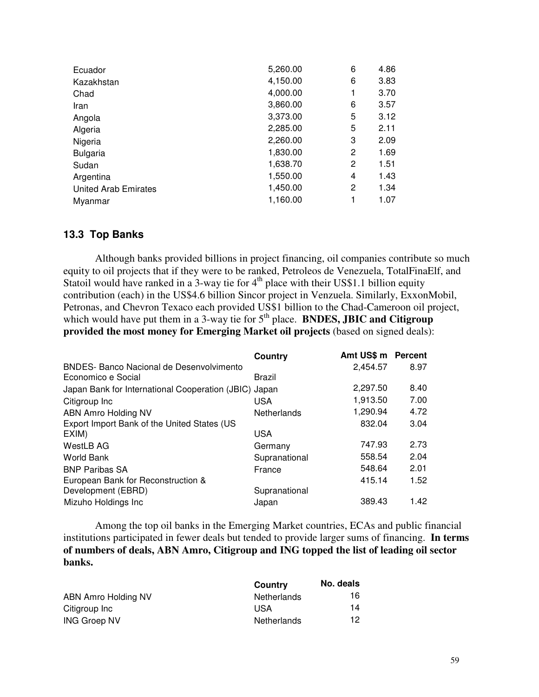| Ecuador                     | 5,260.00 | 6 | 4.86 |
|-----------------------------|----------|---|------|
| Kazakhstan                  | 4,150.00 | 6 | 3.83 |
| Chad                        | 4,000.00 | 1 | 3.70 |
| Iran                        | 3,860.00 | 6 | 3.57 |
| Angola                      | 3,373.00 | 5 | 3.12 |
| Algeria                     | 2,285.00 | 5 | 2.11 |
| Nigeria                     | 2,260.00 | 3 | 2.09 |
| <b>Bulgaria</b>             | 1,830.00 | 2 | 1.69 |
| Sudan                       | 1,638.70 | 2 | 1.51 |
| Argentina                   | 1,550.00 | 4 | 1.43 |
| <b>United Arab Emirates</b> | 1,450.00 | 2 | 1.34 |
| Myanmar                     | 1,160.00 | 1 | 1.07 |

#### **13.3 Top Banks**

Although banks provided billions in project financing, oil companies contribute so much equity to oil projects that if they were to be ranked, Petroleos de Venezuela, TotalFinaElf, and Statoil would have ranked in a 3-way tie for  $4<sup>th</sup>$  place with their US\$1.1 billion equity contribution (each) in the US\$4.6 billion Sincor project in Venzuela. Similarly, ExxonMobil, Petronas, and Chevron Texaco each provided US\$1 billion to the Chad-Cameroon oil project, which would have put them in a 3-way tie for 5<sup>th</sup> place. **BNDES, JBIC and Citigroup provided the most money for Emerging Market oil projects** (based on signed deals):

|                                                       | Country       | Amt US\$ m Percent |      |
|-------------------------------------------------------|---------------|--------------------|------|
| <b>BNDES- Banco Nacional de Desenvolvimento</b>       |               | 2,454.57           | 8.97 |
| Economico e Social                                    | Brazil        |                    |      |
| Japan Bank for International Cooperation (JBIC) Japan |               | 2,297.50           | 8.40 |
| Citigroup Inc                                         | <b>USA</b>    | 1,913.50           | 7.00 |
| ABN Amro Holding NV                                   | Netherlands   | 1,290.94           | 4.72 |
| Export Import Bank of the United States (US           |               | 832.04             | 3.04 |
| EXIM)                                                 | <b>USA</b>    |                    |      |
| WestLB AG                                             | Germany       | 747.93             | 2.73 |
| World Bank                                            | Supranational | 558.54             | 2.04 |
| <b>BNP Paribas SA</b>                                 | France        | 548.64             | 2.01 |
| European Bank for Reconstruction &                    |               | 415.14             | 1.52 |
| Development (EBRD)                                    | Supranational |                    |      |
| Mizuho Holdings Inc                                   | Japan         | 389.43             | 1.42 |

Among the top oil banks in the Emerging Market countries, ECAs and public financial institutions participated in fewer deals but tended to provide larger sums of financing. **In terms of numbers of deals, ABN Amro, Citigroup and ING topped the list of leading oil sector banks.**

|                     | Country     | No. deals |
|---------------------|-------------|-----------|
| ABN Amro Holding NV | Netherlands | 16        |
| Citigroup Inc       | USA         | 14        |
| <b>ING Groep NV</b> | Netherlands | 12        |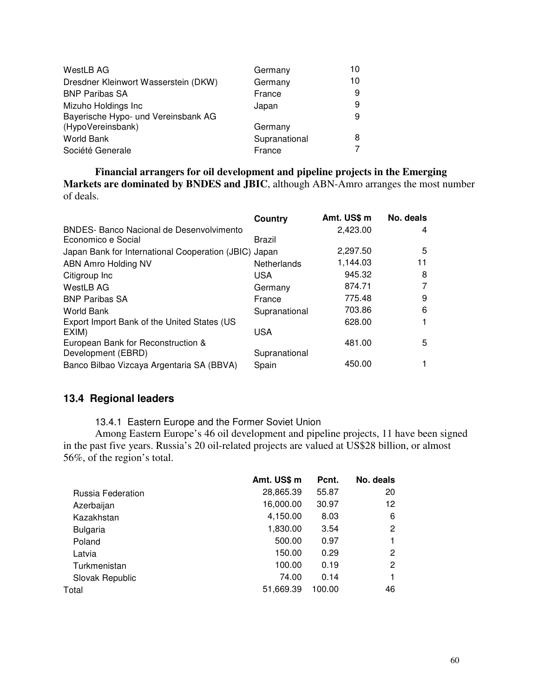| WestLB AG                            | Germany       | 10 |
|--------------------------------------|---------------|----|
| Dresdner Kleinwort Wasserstein (DKW) | Germany       | 10 |
| <b>BNP Paribas SA</b>                | France        | 9  |
| Mizuho Holdings Inc                  | Japan         | 9  |
| Bayerische Hypo- und Vereinsbank AG  |               | 9  |
| (HypoVereinsbank)                    | Germany       |    |
| <b>World Bank</b>                    | Supranational | 8  |
| Société Generale                     | France        |    |

**Financial arrangers for oil development and pipeline projects in the Emerging Markets are dominated by BNDES and JBIC**, although ABN-Amro arranges the most number of deals.

|                                                       | Country            | Amt. US\$ m | No. deals |
|-------------------------------------------------------|--------------------|-------------|-----------|
| <b>BNDES- Banco Nacional de Desenvolvimento</b>       |                    | 2,423.00    | 4         |
| Economico e Social                                    | Brazil             |             |           |
| Japan Bank for International Cooperation (JBIC) Japan |                    | 2,297.50    | 5         |
| ABN Amro Holding NV                                   | <b>Netherlands</b> | 1,144.03    | 11        |
| Citigroup Inc                                         | <b>USA</b>         | 945.32      | 8         |
| WestLB AG                                             | Germany            | 874.71      |           |
| <b>BNP Paribas SA</b>                                 | France             | 775.48      | 9         |
| World Bank                                            | Supranational      | 703.86      | 6         |
| Export Import Bank of the United States (US           |                    | 628.00      |           |
| EXIM)                                                 | USA                |             |           |
| European Bank for Reconstruction &                    |                    | 481.00      | 5         |
| Development (EBRD)                                    | Supranational      |             |           |
| Banco Bilbao Vizcaya Argentaria SA (BBVA)             | Spain              | 450.00      |           |

## **13.4 Regional leaders**

13.4.1 Eastern Europe and the Former Soviet Union

Among Eastern Europe's 46 oil development and pipeline projects, 11 have been signed in the past five years. Russia's 20 oil-related projects are valued at US\$28 billion, or almost 56%, of the region's total.

|                   | Amt. US\$ m | Pcnt.  | No. deals |
|-------------------|-------------|--------|-----------|
| Russia Federation | 28,865.39   | 55.87  | 20        |
| Azerbaijan        | 16,000.00   | 30.97  | 12        |
| Kazakhstan        | 4,150.00    | 8.03   | 6         |
| <b>Bulgaria</b>   | 1,830.00    | 3.54   | 2         |
| Poland            | 500.00      | 0.97   |           |
| Latvia            | 150.00      | 0.29   | 2         |
| Turkmenistan      | 100.00      | 0.19   | 2         |
| Slovak Republic   | 74.00       | 0.14   |           |
| Total             | 51,669.39   | 100.00 | 46        |
|                   |             |        |           |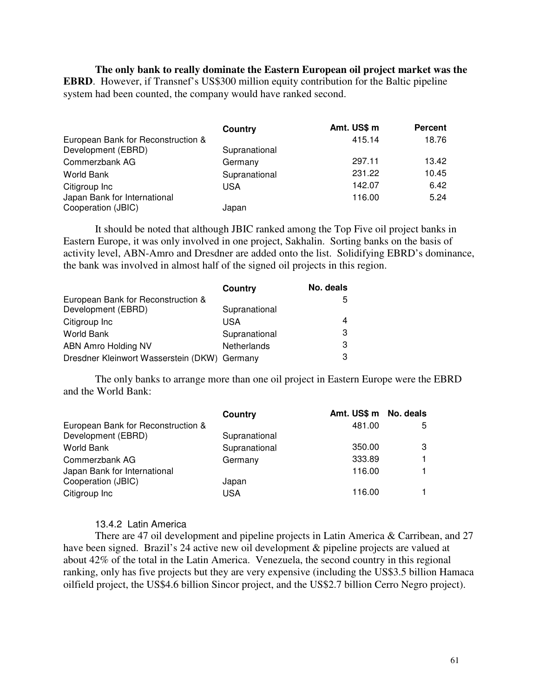**The only bank to really dominate the Eastern European oil project market was the EBRD**. However, if Transnef's US\$300 million equity contribution for the Baltic pipeline system had been counted, the company would have ranked second.

|                                                          | Country       | Amt. US\$ m | <b>Percent</b> |
|----------------------------------------------------------|---------------|-------------|----------------|
| European Bank for Reconstruction &<br>Development (EBRD) | Supranational | 415.14      | 18.76          |
| Commerzbank AG                                           | Germany       | 297.11      | 13.42          |
| World Bank                                               | Supranational | 231.22      | 10.45          |
| Citigroup Inc                                            | USA           | 142.07      | 6.42           |
| Japan Bank for International<br>Cooperation (JBIC)       | Japan         | 116.00      | 5.24           |

It should be noted that although JBIC ranked among the Top Five oil project banks in Eastern Europe, it was only involved in one project, Sakhalin. Sorting banks on the basis of activity level, ABN-Amro and Dresdner are added onto the list. Solidifying EBRD's dominance, the bank was involved in almost half of the signed oil projects in this region.

|                                              | Country       | No. deals |
|----------------------------------------------|---------------|-----------|
| European Bank for Reconstruction &           |               | 5         |
| Development (EBRD)                           | Supranational |           |
| Citigroup Inc                                | USA           | 4         |
| <b>World Bank</b>                            | Supranational | 3         |
| ABN Amro Holding NV                          | Netherlands   | 3         |
| Dresdner Kleinwort Wasserstein (DKW) Germany |               | 3         |

The only banks to arrange more than one oil project in Eastern Europe were the EBRD and the World Bank:

| Country       |        |                       |
|---------------|--------|-----------------------|
|               | 481.00 | 5                     |
| Supranational |        |                       |
| Supranational | 350.00 | 3                     |
| Germany       | 333.89 |                       |
|               | 116.00 |                       |
| Japan         |        |                       |
| <b>USA</b>    | 116.00 |                       |
|               |        | Amt. US\$ m No. deals |

#### 13.4.2 Latin America

There are 47 oil development and pipeline projects in Latin America & Carribean, and 27 have been signed. Brazil's 24 active new oil development & pipeline projects are valued at about 42% of the total in the Latin America. Venezuela, the second country in this regional ranking, only has five projects but they are very expensive (including the US\$3.5 billion Hamaca oilfield project, the US\$4.6 billion Sincor project, and the US\$2.7 billion Cerro Negro project).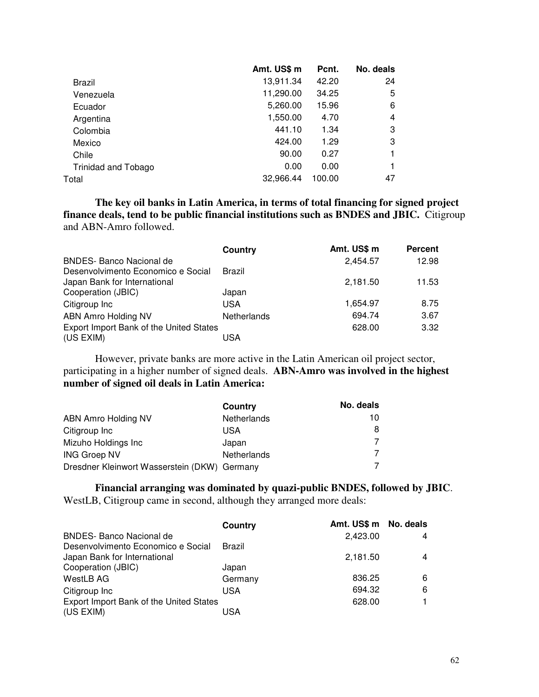|                     | Amt. US\$ m | Pcnt.  | No. deals |
|---------------------|-------------|--------|-----------|
| Brazil              | 13,911.34   | 42.20  | 24        |
| Venezuela           | 11,290.00   | 34.25  | 5         |
| Ecuador             | 5,260.00    | 15.96  | 6         |
| Argentina           | 1,550.00    | 4.70   | 4         |
| Colombia            | 441.10      | 1.34   | 3         |
| Mexico              | 424.00      | 1.29   | 3         |
| Chile               | 90.00       | 0.27   |           |
| Trinidad and Tobago | 0.00        | 0.00   |           |
| Total               | 32,966.44   | 100.00 | 47        |
|                     |             |        |           |

**The key oil banks in Latin America, in terms of total financing for signed project finance deals, tend to be public financial institutions such as BNDES and JBIC.** Citigroup and ABN-Amro followed.

|                                         | Country     | Amt. US\$ m | <b>Percent</b> |
|-----------------------------------------|-------------|-------------|----------------|
| <b>BNDES- Banco Nacional de</b>         |             | 2.454.57    | 12.98          |
| Desenvolvimento Economico e Social      | Brazil      |             |                |
| Japan Bank for International            |             | 2,181.50    | 11.53          |
| Cooperation (JBIC)                      | Japan       |             |                |
| Citigroup Inc                           | USA         | 1,654.97    | 8.75           |
| <b>ABN Amro Holding NV</b>              | Netherlands | 694.74      | 3.67           |
| Export Import Bank of the United States |             | 628.00      | 3.32           |
| (US EXIM)                               | USA         |             |                |

However, private banks are more active in the Latin American oil project sector, participating in a higher number of signed deals. **ABN-Amro was involved in the highest number of signed oil deals in Latin America:**

|                                              | Country     | No. deals |
|----------------------------------------------|-------------|-----------|
| ABN Amro Holding NV                          | Netherlands | 10        |
| Citigroup Inc                                | USA         |           |
| Mizuho Holdings Inc                          | Japan       |           |
| <b>ING Groep NV</b>                          | Netherlands |           |
| Dresdner Kleinwort Wasserstein (DKW) Germany |             |           |

#### **Financial arranging was dominated by quazi-public BNDES, followed by JBIC**.

WestLB, Citigroup came in second, although they arranged more deals:

|                                         | Country | Amt. US\$ m No. deals |   |
|-----------------------------------------|---------|-----------------------|---|
| <b>BNDES- Banco Nacional de</b>         |         | 2,423.00              | 4 |
| Desenvolvimento Economico e Social      | Brazil  |                       |   |
| Japan Bank for International            |         | 2,181.50              | 4 |
| Cooperation (JBIC)                      | Japan   |                       |   |
| WestLB AG                               | Germany | 836.25                | 6 |
| Citigroup Inc                           | USA     | 694.32                | 6 |
| Export Import Bank of the United States |         | 628.00                |   |
| (US EXIM)                               | USA     |                       |   |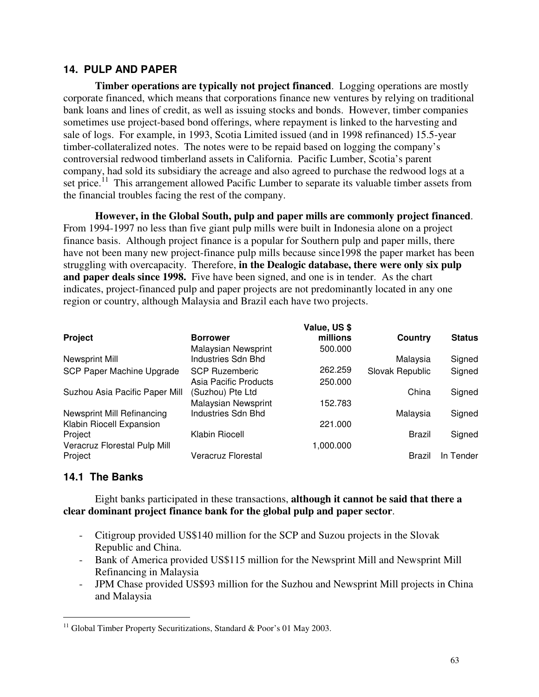### **14. PULP AND PAPER**

**Timber operations are typically not project financed**. Logging operations are mostly corporate financed, which means that corporations finance new ventures by relying on traditional bank loans and lines of credit, as well as issuing stocks and bonds. However, timber companies sometimes use project-based bond offerings, where repayment is linked to the harvesting and sale of logs. For example, in 1993, Scotia Limited issued (and in 1998 refinanced) 15.5-year timber-collateralized notes. The notes were to be repaid based on logging the company's controversial redwood timberland assets in California. Pacific Lumber, Scotia's parent company, had sold its subsidiary the acreage and also agreed to purchase the redwood logs at a set price.<sup>11</sup> This arrangement allowed Pacific Lumber to separate its valuable timber assets from the financial troubles facing the rest of the company.

**However, in the Global South, pulp and paper mills are commonly project financed**. From 1994-1997 no less than five giant pulp mills were built in Indonesia alone on a project finance basis. Although project finance is a popular for Southern pulp and paper mills, there have not been many new project-finance pulp mills because since1998 the paper market has been struggling with overcapacity. Therefore, **in the Dealogic database, there were only six pulp and paper deals since 1998.** Five have been signed, and one is in tender. As the chart indicates, project-financed pulp and paper projects are not predominantly located in any one region or country, although Malaysia and Brazil each have two projects.

|                                |                       | Value, US \$ |                 |               |
|--------------------------------|-----------------------|--------------|-----------------|---------------|
| Project                        | <b>Borrower</b>       | millions     | Country         | <b>Status</b> |
|                                | Malaysian Newsprint   | 500.000      |                 |               |
| Newsprint Mill                 | Industries Sdn Bhd    |              | Malaysia        | Signed        |
| SCP Paper Machine Upgrade      | <b>SCP Ruzemberic</b> | 262.259      | Slovak Republic | Signed        |
|                                | Asia Pacific Products | 250,000      |                 |               |
| Suzhou Asia Pacific Paper Mill | (Suzhou) Pte Ltd      |              | China           | Signed        |
|                                | Malaysian Newsprint   | 152.783      |                 |               |
| Newsprint Mill Refinancing     | Industries Sdn Bhd    |              | Malaysia        | Signed        |
| Klabin Riocell Expansion       |                       | 221.000      |                 |               |
| Project                        | Klabin Riocell        |              | Brazil          | Signed        |
| Veracruz Florestal Pulp Mill   |                       | 1,000.000    |                 |               |
| Project                        | Veracruz Florestal    |              | Brazil          | In Tender     |
|                                |                       |              |                 |               |

### **14.1 The Banks**

Eight banks participated in these transactions, **although it cannot be said that there a clear dominant project finance bank for the global pulp and paper sector**.

- Citigroup provided US\$140 million for the SCP and Suzou projects in the Slovak Republic and China.
- Bank of America provided US\$115 million for the Newsprint Mill and Newsprint Mill Refinancing in Malaysia
- JPM Chase provided US\$93 million for the Suzhou and Newsprint Mill projects in China and Malaysia

<sup>&</sup>lt;sup>11</sup> Global Timber Property Securitizations, Standard & Poor's 01 May 2003.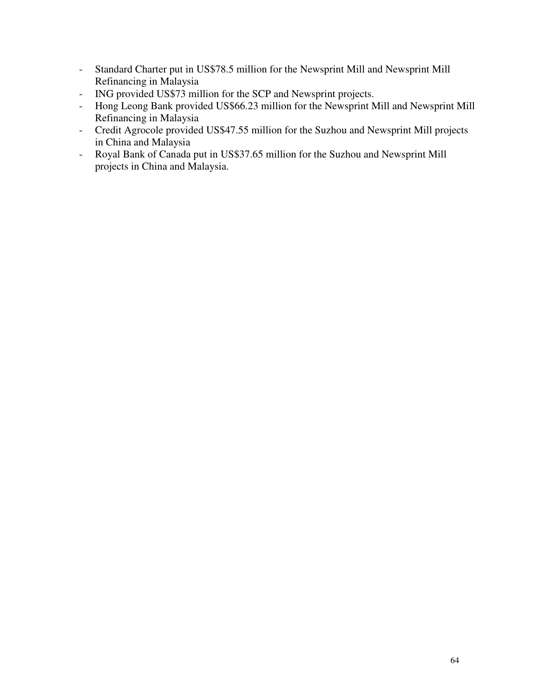- Standard Charter put in US\$78.5 million for the Newsprint Mill and Newsprint Mill Refinancing in Malaysia
- ING provided US\$73 million for the SCP and Newsprint projects.
- Hong Leong Bank provided US\$66.23 million for the Newsprint Mill and Newsprint Mill Refinancing in Malaysia
- Credit Agrocole provided US\$47.55 million for the Suzhou and Newsprint Mill projects in China and Malaysia
- Royal Bank of Canada put in US\$37.65 million for the Suzhou and Newsprint Mill projects in China and Malaysia.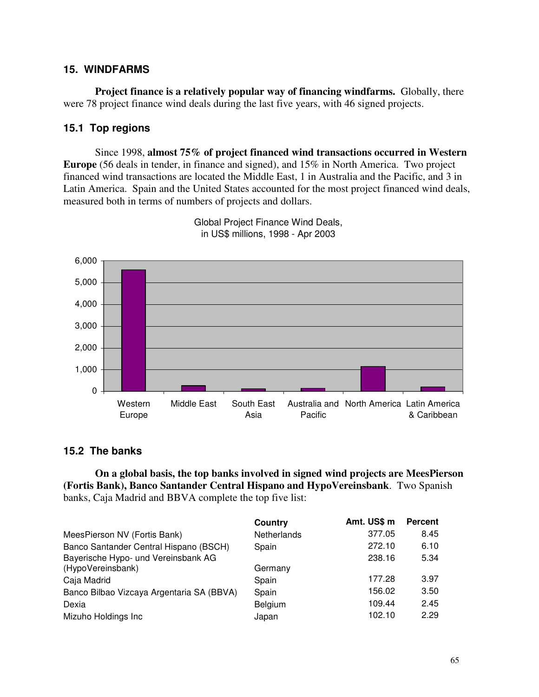### **15. WINDFARMS**

**Project finance is a relatively popular way of financing windfarms.** Globally, there were 78 project finance wind deals during the last five years, with 46 signed projects.

### **15.1 Top regions**

Since 1998, **almost 75% of project financed wind transactions occurred in Western Europe** (56 deals in tender, in finance and signed), and 15% in North America. Two project financed wind transactions are located the Middle East, 1 in Australia and the Pacific, and 3 in Latin America. Spain and the United States accounted for the most project financed wind deals, measured both in terms of numbers of projects and dollars.



Global Project Finance Wind Deals, in US\$ millions, 1998 - Apr 2003

### **15.2 The banks**

**On a global basis, the top banks involved in signed wind projects are MeesPierson (Fortis Bank), Banco Santander Central Hispano and HypoVereinsbank**. Two Spanish banks, Caja Madrid and BBVA complete the top five list:

|                                           | Country     | Amt. US\$ m | <b>Percent</b> |
|-------------------------------------------|-------------|-------------|----------------|
| MeesPierson NV (Fortis Bank)              | Netherlands | 377.05      | 8.45           |
| Banco Santander Central Hispano (BSCH)    | Spain       | 272.10      | 6.10           |
| Bayerische Hypo- und Vereinsbank AG       |             | 238.16      | 5.34           |
| (HypoVereinsbank)                         | Germany     |             |                |
| Caja Madrid                               | Spain       | 177.28      | 3.97           |
| Banco Bilbao Vizcaya Argentaria SA (BBVA) | Spain       | 156.02      | 3.50           |
| Dexia                                     | Belgium     | 109.44      | 2.45           |
| Mizuho Holdings Inc                       | Japan       | 102.10      | 2.29           |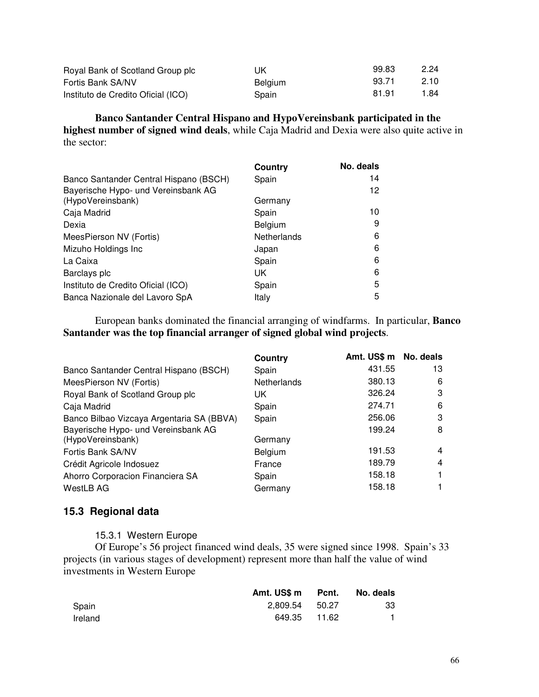| Royal Bank of Scotland Group plc   | UK             | 99.83 | 2.24 |
|------------------------------------|----------------|-------|------|
| Fortis Bank SA/NV                  | <b>Belgium</b> | 93.71 | 2.10 |
| Instituto de Credito Oficial (ICO) | Spain          | 81.91 | 1.84 |

**Banco Santander Central Hispano and HypoVereinsbank participated in the highest number of signed wind deals**, while Caja Madrid and Dexia were also quite active in the sector:

|                                        | Country     | No. deals |
|----------------------------------------|-------------|-----------|
| Banco Santander Central Hispano (BSCH) | Spain       | 14        |
| Bayerische Hypo- und Vereinsbank AG    |             | 12        |
| (HypoVereinsbank)                      | Germany     |           |
| Caja Madrid                            | Spain       | 10        |
| Dexia                                  | Belgium     | 9         |
| MeesPierson NV (Fortis)                | Netherlands | 6         |
| Mizuho Holdings Inc                    | Japan       | 6         |
| La Caixa                               | Spain       | 6         |
| Barclays plc                           | UK          | 6         |
| Instituto de Credito Oficial (ICO)     | Spain       | 5         |
| Banca Nazionale del Lavoro SpA         | Italy       | 5         |

European banks dominated the financial arranging of windfarms. In particular, **Banco Santander was the top financial arranger of signed global wind projects**.

|                                           | Country     | Amt. US\$ m No. deals |    |
|-------------------------------------------|-------------|-----------------------|----|
| Banco Santander Central Hispano (BSCH)    | Spain       | 431.55                | 13 |
| MeesPierson NV (Fortis)                   | Netherlands | 380.13                | 6  |
| Royal Bank of Scotland Group plc          | UK          | 326.24                | 3  |
| Caja Madrid                               | Spain       | 274.71                | 6  |
| Banco Bilbao Vizcaya Argentaria SA (BBVA) | Spain       | 256.06                | 3  |
| Bayerische Hypo- und Vereinsbank AG       |             | 199.24                | 8  |
| (HypoVereinsbank)                         | Germany     |                       |    |
| Fortis Bank SA/NV                         | Belgium     | 191.53                | 4  |
| Crédit Agricole Indosuez                  | France      | 189.79                | 4  |
| Ahorro Corporacion Financiera SA          | Spain       | 158.18                |    |
| WestLB AG                                 | Germany     | 158.18                |    |

## **15.3 Regional data**

#### 15.3.1 Western Europe

Of Europe's 56 project financed wind deals, 35 were signed since 1998. Spain's 33 projects (in various stages of development) represent more than half the value of wind investments in Western Europe

|         | Amt. US\$ m Pcnt. |              | No. deals |
|---------|-------------------|--------------|-----------|
| Spain   | 2.809.54 50.27    |              | -33       |
| Ireland |                   | 649.35 11.62 |           |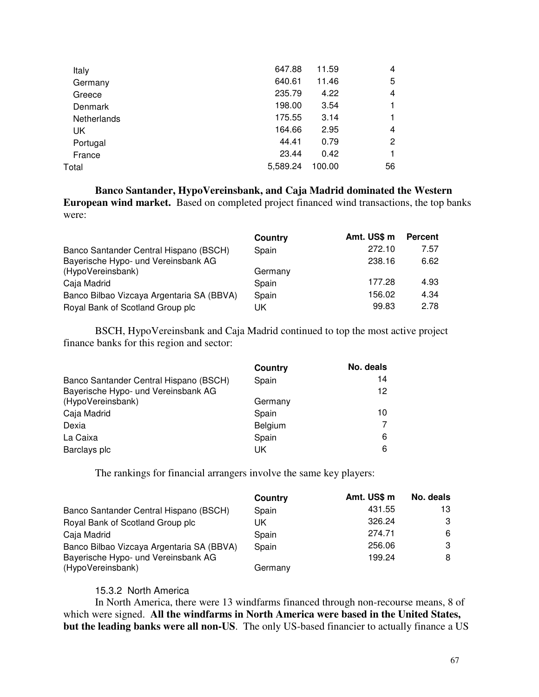| Italy       | 647.88   | 11.59  | 4              |
|-------------|----------|--------|----------------|
| Germany     | 640.61   | 11.46  | 5              |
| Greece      | 235.79   | 4.22   | $\overline{4}$ |
| Denmark     | 198.00   | 3.54   | 1              |
| Netherlands | 175.55   | 3.14   |                |
| UK          | 164.66   | 2.95   | 4              |
| Portugal    | 44.41    | 0.79   | 2              |
| France      | 23.44    | 0.42   | 1              |
| Total       | 5,589.24 | 100.00 | 56             |
|             |          |        |                |

**Banco Santander, HypoVereinsbank, and Caja Madrid dominated the Western European wind market.** Based on completed project financed wind transactions, the top banks were:

|                                           | Country | Amt. US\$ m | <b>Percent</b> |
|-------------------------------------------|---------|-------------|----------------|
| Banco Santander Central Hispano (BSCH)    | Spain   | 272.10      | 7.57           |
| Bayerische Hypo- und Vereinsbank AG       |         | 238.16      | 6.62           |
| (HypoVereinsbank)                         | Germany |             |                |
| Caja Madrid                               | Spain   | 177.28      | 4.93           |
| Banco Bilbao Vizcaya Argentaria SA (BBVA) | Spain   | 156.02      | 4.34           |
| Royal Bank of Scotland Group plc          | UK      | 99.83       | 2.78           |

BSCH, HypoVereinsbank and Caja Madrid continued to top the most active project finance banks for this region and sector:

|                                        | Country | No. deals |
|----------------------------------------|---------|-----------|
| Banco Santander Central Hispano (BSCH) | Spain   | 14        |
| Bayerische Hypo- und Vereinsbank AG    |         | 12        |
| (HypoVereinsbank)                      | Germany |           |
| Caja Madrid                            | Spain   | 10        |
| Dexia                                  | Belgium |           |
| La Caixa                               | Spain   | 6         |
| Barclays plc                           | UK      | 6         |

The rankings for financial arrangers involve the same key players:

|                                           | Country | Amt. US\$ m | No. deals |
|-------------------------------------------|---------|-------------|-----------|
| Banco Santander Central Hispano (BSCH)    | Spain   | 431.55      | 13        |
| Royal Bank of Scotland Group plc          | UK      | 326.24      | 3         |
| Caja Madrid                               | Spain   | 274.71      | 6         |
| Banco Bilbao Vizcaya Argentaria SA (BBVA) | Spain   | 256.06      | 3         |
| Bayerische Hypo- und Vereinsbank AG       |         | 199.24      | 8         |
| (HypoVereinsbank)                         | Germany |             |           |

#### 15.3.2 North America

In North America, there were 13 windfarms financed through non-recourse means, 8 of which were signed. **All the windfarms in North America were based in the United States, but the leading banks were all non-US**. The only US-based financier to actually finance a US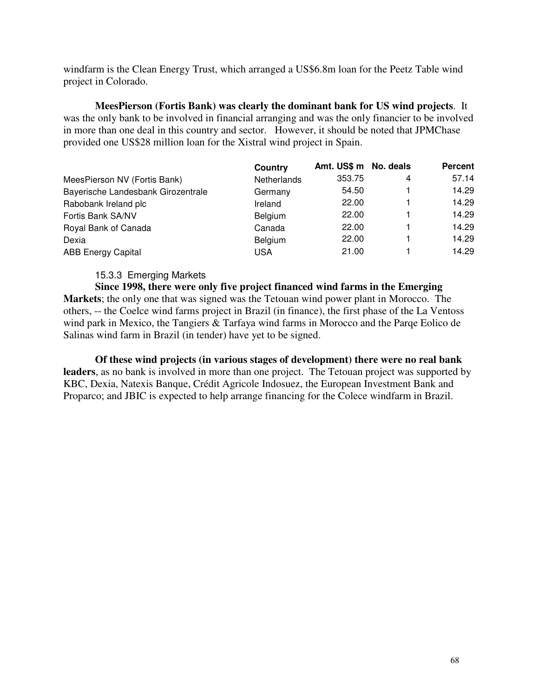windfarm is the Clean Energy Trust, which arranged a US\$6.8m loan for the Peetz Table wind project in Colorado.

**MeesPierson (Fortis Bank) was clearly the dominant bank for US wind projects**. It was the only bank to be involved in financial arranging and was the only financier to be involved in more than one deal in this country and sector. However, it should be noted that JPMChase provided one US\$28 million loan for the Xistral wind project in Spain.

|                                    | Country     | Amt. US\$ m No. deals |   | <b>Percent</b> |
|------------------------------------|-------------|-----------------------|---|----------------|
| MeesPierson NV (Fortis Bank)       | Netherlands | 353.75                | 4 | 57.14          |
| Bayerische Landesbank Girozentrale | Germany     | 54.50                 |   | 14.29          |
| Rabobank Ireland plc               | Ireland     | 22.00                 |   | 14.29          |
| Fortis Bank SA/NV                  | Belgium     | 22.00                 |   | 14.29          |
| Royal Bank of Canada               | Canada      | 22.00                 |   | 14.29          |
| Dexia                              | Belgium     | 22.00                 |   | 14.29          |
| <b>ABB Energy Capital</b>          | <b>USA</b>  | 21.00                 |   | 14.29          |

#### 15.3.3 Emerging Markets

**Since 1998, there were only five project financed wind farms in the Emerging Markets**; the only one that was signed was the Tetouan wind power plant in Morocco. The others, -- the Coelce wind farms project in Brazil (in finance), the first phase of the La Ventoss wind park in Mexico, the Tangiers & Tarfaya wind farms in Morocco and the Parqe Eolico de Salinas wind farm in Brazil (in tender) have yet to be signed.

**Of these wind projects (in various stages of development) there were no real bank leaders**, as no bank is involved in more than one project. The Tetouan project was supported by KBC, Dexia, Natexis Banque, Crédit Agricole Indosuez, the European Investment Bank and Proparco; and JBIC is expected to help arrange financing for the Colece windfarm in Brazil.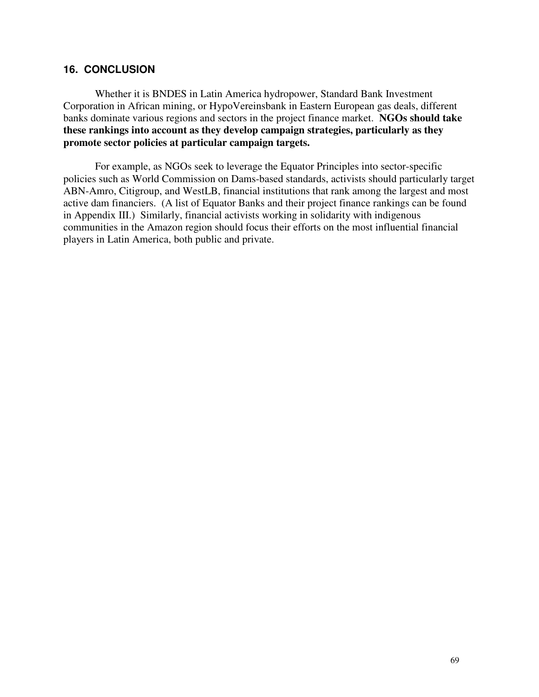#### **16. CONCLUSION**

Whether it is BNDES in Latin America hydropower, Standard Bank Investment Corporation in African mining, or HypoVereinsbank in Eastern European gas deals, different banks dominate various regions and sectors in the project finance market. **NGOs should take these rankings into account as they develop campaign strategies, particularly as they promote sector policies at particular campaign targets.**

For example, as NGOs seek to leverage the Equator Principles into sector-specific policies such as World Commission on Dams-based standards, activists should particularly target ABN-Amro, Citigroup, and WestLB, financial institutions that rank among the largest and most active dam financiers. (A list of Equator Banks and their project finance rankings can be found in Appendix III.) Similarly, financial activists working in solidarity with indigenous communities in the Amazon region should focus their efforts on the most influential financial players in Latin America, both public and private.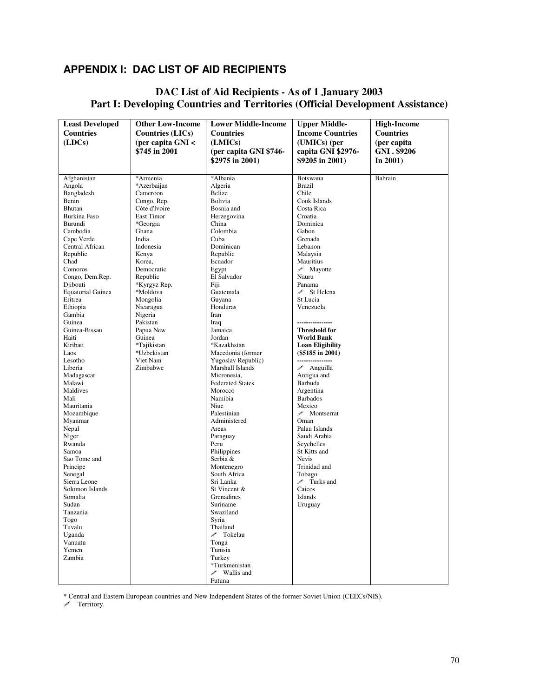## **APPENDIX I: DAC LIST OF AID RECIPIENTS**

### **DAC List of Aid Recipients - As of 1 January 2003 Part I: Developing Countries and Territories (Official Development Assistance)**

| <b>Least Developed</b>   | <b>Other Low-Income</b>    | <b>Lower Middle-Income</b> | <b>Upper Middle-</b>                         | <b>High-Income</b> |
|--------------------------|----------------------------|----------------------------|----------------------------------------------|--------------------|
| <b>Countries</b>         | <b>Countries (LICs)</b>    | <b>Countries</b>           | <b>Income Countries</b>                      | <b>Countries</b>   |
| (LDCs)                   | (per capita GNI <          | (LMICs)                    | (UMICs) (per                                 | (per capita        |
|                          | \$745 in 2001              | (per capita GNI \$746-     | capita GNI \$2976-                           | GNI . \$9206       |
|                          |                            | \$2975 in 2001)            | \$9205 in $2001$ )                           | In 2001)           |
|                          |                            |                            |                                              |                    |
| Afghanistan              | *Armenia                   | *Albania                   | Botswana                                     | Bahrain            |
| Angola                   | *Azerbaijan                | Algeria                    | <b>Brazil</b>                                |                    |
| Bangladesh               | Cameroon                   | Belize                     | Chile                                        |                    |
| Benin                    | Congo, Rep.                | Bolivia                    | Cook Islands                                 |                    |
| Bhutan                   | Côte d'Ivoire              | Bosnia and                 | Costa Rica                                   |                    |
| Burkina Faso             | East Timor                 | Herzegovina                | Croatia                                      |                    |
| Burundi                  | *Georgia                   | China                      | Dominica                                     |                    |
| Cambodia                 | Ghana                      | Colombia                   | Gabon                                        |                    |
| Cape Verde               | India                      | Cuba                       | Grenada                                      |                    |
| Central African          | Indonesia                  | Dominican                  | Lebanon                                      |                    |
| Republic                 | Kenya                      | Republic                   | Malaysia                                     |                    |
| Chad                     | Korea,                     | Ecuador                    | Mauritius                                    |                    |
| Comoros                  | Democratic                 | Egypt                      | $\mathscr{P}$ Mayotte                        |                    |
| Congo, Dem.Rep.          | Republic                   | El Salvador                | Nauru                                        |                    |
| Djibouti                 | *Kyrgyz Rep.               | Fiji                       | Panama                                       |                    |
| <b>Equatorial Guinea</b> | *Moldova                   | Guatemala                  | $\mathscr{I}$ St Helena                      |                    |
| Eritrea                  | Mongolia                   | Guyana                     | St Lucia                                     |                    |
| Ethiopia                 | Nicaragua                  | Honduras                   | Venezuela                                    |                    |
| Gambia                   | Nigeria                    | Iran                       |                                              |                    |
| Guinea                   | Pakistan<br>Papua New      | Iraq                       | <b>Threshold for</b>                         |                    |
| Guinea-Bissau            | Guinea                     | Jamaica<br>Jordan          |                                              |                    |
| Haiti<br>Kiribati        |                            | *Kazakhstan                | <b>World Bank</b><br><b>Loan Eligibility</b> |                    |
| Laos                     | *Tajikistan<br>*Uzbekistan | Macedonia (former          | $(\$5185$ in 2001)                           |                    |
| Lesotho                  | Viet Nam                   | Yugoslav Republic)         | ----------------                             |                    |
| Liberia                  | Zimbabwe                   | Marshall Islands           | $\mathscr{P}$ Anguilla                       |                    |
| Madagascar               |                            | Micronesia,                | Antigua and                                  |                    |
| Malawi                   |                            | <b>Federated States</b>    | Barbuda                                      |                    |
| Maldives                 |                            | Morocco                    | Argentina                                    |                    |
| Mali                     |                            | Namibia                    | <b>Barbados</b>                              |                    |
| Mauritania               |                            | Niue                       | Mexico                                       |                    |
| Mozambique               |                            | Palestinian                | Montserrat                                   |                    |
| Myanmar                  |                            | Administered               | Oman                                         |                    |
| Nepal                    |                            | Areas                      | Palau Islands                                |                    |
| Niger                    |                            | Paraguay                   | Saudi Arabia                                 |                    |
| Rwanda                   |                            | Peru                       | Seychelles                                   |                    |
| Samoa                    |                            | Philippines                | St Kitts and                                 |                    |
| Sao Tome and             |                            | Serbia &                   | <b>Nevis</b>                                 |                    |
| Principe                 |                            | Montenegro                 | Trinidad and                                 |                    |
| Senegal                  |                            | South Africa               | Tobago                                       |                    |
| Sierra Leone             |                            | Sri Lanka                  | $\mathscr{P}$ Turks and                      |                    |
| Solomon Islands          |                            | St Vincent &               | Caicos                                       |                    |
| Somalia                  |                            | Grenadines                 | Islands                                      |                    |
| Sudan                    |                            | Suriname                   | Uruguay                                      |                    |
| Tanzania                 |                            | Swaziland                  |                                              |                    |
| Togo                     |                            | Syria                      |                                              |                    |
| Tuvalu                   |                            | Thailand                   |                                              |                    |
| Uganda                   |                            | ✔ Tokelau                  |                                              |                    |
| Vanuatu                  |                            | Tonga                      |                                              |                    |
| Yemen                    |                            | Tunisia                    |                                              |                    |
| Zambia                   |                            | Turkey                     |                                              |                    |
|                          |                            | *Turkmenistan              |                                              |                    |
|                          |                            | $\mathscr{P}$ Wallis and   |                                              |                    |
|                          |                            | Futuna                     |                                              |                    |

\* Central and Eastern European countries and New Independent States of the former Soviet Union (CEECs/NIS).

**P** Territory.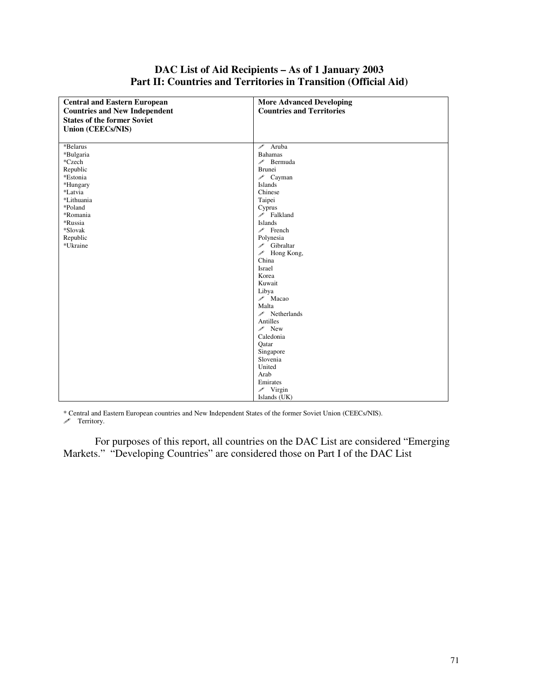### **DAC List of Aid Recipients – As of 1 January 2003 Part II: Countries and Territories in Transition (Official Aid)**

| <b>Central and Eastern European</b>  | <b>More Advanced Developing</b>  |
|--------------------------------------|----------------------------------|
| <b>Countries and New Independent</b> | <b>Countries and Territories</b> |
| <b>States of the former Soviet</b>   |                                  |
| <b>Union (CEECs/NIS)</b>             |                                  |
|                                      |                                  |
| *Belarus                             | $\mathscr{P}$ Aruba              |
| *Bulgaria                            | <b>Bahamas</b>                   |
| *Czech                               | $\mathscr{P}$ Bermuda            |
| Republic                             | <b>Brunei</b>                    |
| *Estonia                             | $\mathscr{P}$ Cayman             |
| *Hungary                             | Islands                          |
| *Latvia                              | Chinese                          |
| *Lithuania                           | Taipei                           |
| *Poland                              | Cyprus                           |
| *Romania                             | $\mathscr{P}$ Falkland           |
| *Russia                              | Islands                          |
| *Slovak                              | $\mathscr{P}$ French             |
| Republic                             | Polynesia                        |
| *Ukraine                             | Gibraltar                        |
|                                      | $\mathscr{I}$ Hong Kong,         |
|                                      | China                            |
|                                      | Israel                           |
|                                      | Korea                            |
|                                      | Kuwait                           |
|                                      | Libya                            |
|                                      | $\mathscr{P}$ Macao              |
|                                      | Malta                            |
|                                      | $\mathscr{P}$ Netherlands        |
|                                      | Antilles                         |
|                                      | $\mathscr{P}$ New                |
|                                      | Caledonia                        |
|                                      | Qatar                            |
|                                      | Singapore                        |
|                                      | Slovenia                         |
|                                      | United                           |
|                                      | Arab                             |
|                                      | Emirates                         |
|                                      | $\mathscr{P}$ Virgin             |
|                                      | Islands (UK)                     |

\* Central and Eastern European countries and New Independent States of the former Soviet Union (CEECs/NIS). Territory.

For purposes of this report, all countries on the DAC List are considered "Emerging Markets." "Developing Countries" are considered those on Part I of the DAC List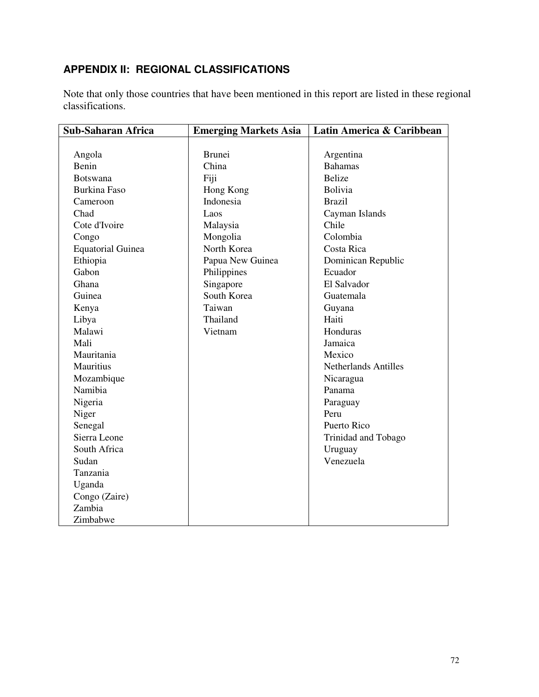# **APPENDIX II: REGIONAL CLASSIFICATIONS**

Note that only those countries that have been mentioned in this report are listed in these regional classifications.

| <b>Sub-Saharan Africa</b> | <b>Emerging Markets Asia</b> | Latin America & Caribbean   |
|---------------------------|------------------------------|-----------------------------|
|                           |                              |                             |
| Angola                    | <b>Brunei</b>                | Argentina                   |
| Benin                     | China                        | <b>Bahamas</b>              |
| <b>Botswana</b>           | Fiji                         | <b>Belize</b>               |
| <b>Burkina Faso</b>       | Hong Kong                    | Bolivia                     |
| Cameroon                  | Indonesia                    | <b>Brazil</b>               |
| Chad                      | Laos                         | Cayman Islands              |
| Cote d'Ivoire             | Malaysia                     | Chile                       |
| Congo                     | Mongolia                     | Colombia                    |
| <b>Equatorial Guinea</b>  | North Korea                  | Costa Rica                  |
| Ethiopia                  | Papua New Guinea             | Dominican Republic          |
| Gabon                     | Philippines                  | Ecuador                     |
| Ghana                     | Singapore                    | El Salvador                 |
| Guinea                    | South Korea                  | Guatemala                   |
| Kenya                     | Taiwan                       | Guyana                      |
| Libya                     | Thailand                     | Haiti                       |
| Malawi                    | Vietnam                      | Honduras                    |
| Mali                      |                              | Jamaica                     |
| Mauritania                |                              | Mexico                      |
| Mauritius                 |                              | <b>Netherlands Antilles</b> |
| Mozambique                |                              | Nicaragua                   |
| Namibia                   |                              | Panama                      |
| Nigeria                   |                              | Paraguay                    |
| Niger                     |                              | Peru                        |
| Senegal                   |                              | Puerto Rico                 |
| Sierra Leone              |                              | Trinidad and Tobago         |
| South Africa              |                              | Uruguay                     |
| Sudan                     |                              | Venezuela                   |
| Tanzania                  |                              |                             |
| Uganda                    |                              |                             |
| Congo (Zaire)             |                              |                             |
| Zambia                    |                              |                             |
| Zimbabwe                  |                              |                             |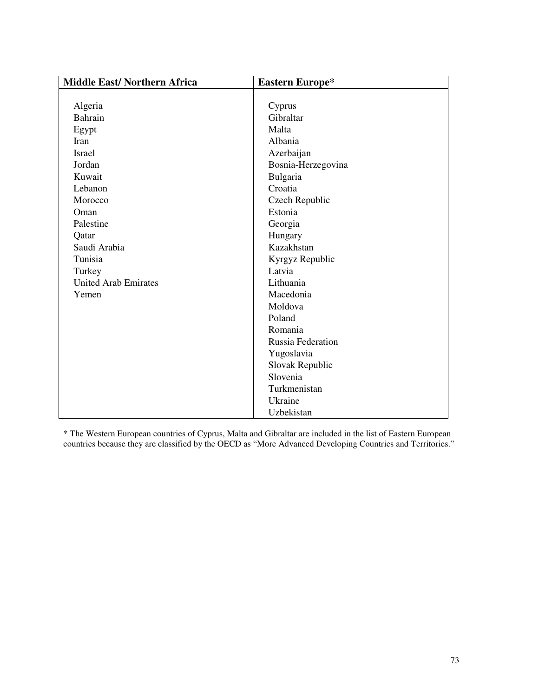| <b>Middle East/Northern Africa</b> | <b>Eastern Europe*</b> |
|------------------------------------|------------------------|
|                                    |                        |
| Algeria                            | Cyprus                 |
| Bahrain                            | Gibraltar              |
| Egypt                              | Malta                  |
| Iran                               | Albania                |
| <b>Israel</b>                      | Azerbaijan             |
| Jordan                             | Bosnia-Herzegovina     |
| Kuwait                             | Bulgaria               |
| Lebanon                            | Croatia                |
| Morocco                            | Czech Republic         |
| Oman                               | Estonia                |
| Palestine                          | Georgia                |
| Qatar                              | Hungary                |
| Saudi Arabia                       | Kazakhstan             |
| Tunisia                            | Kyrgyz Republic        |
| Turkey                             | Latvia                 |
| <b>United Arab Emirates</b>        | Lithuania              |
| Yemen                              | Macedonia              |
|                                    | Moldova                |
|                                    | Poland                 |
|                                    | Romania                |
|                                    | Russia Federation      |
|                                    | Yugoslavia             |
|                                    | Slovak Republic        |
|                                    | Slovenia               |
|                                    | Turkmenistan           |
|                                    | Ukraine                |
|                                    | Uzbekistan             |

\* The Western European countries of Cyprus, Malta and Gibraltar are included in the list of Eastern European countries because they are classified by the OECD as "More Advanced Developing Countries and Territories."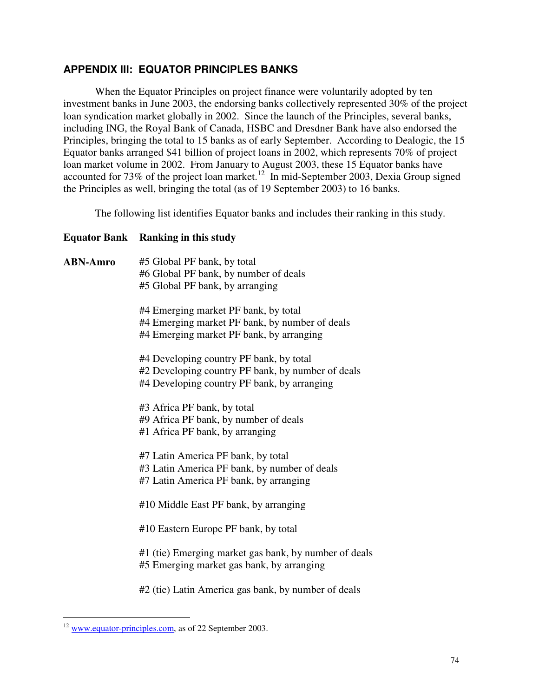### **APPENDIX III: EQUATOR PRINCIPLES BANKS**

When the Equator Principles on project finance were voluntarily adopted by ten investment banks in June 2003, the endorsing banks collectively represented 30% of the project loan syndication market globally in 2002. Since the launch of the Principles, several banks, including ING, the Royal Bank of Canada, HSBC and Dresdner Bank have also endorsed the Principles, bringing the total to 15 banks as of early September. According to Dealogic, the 15 Equator banks arranged \$41 billion of project loans in 2002, which represents 70% of project loan market volume in 2002. From January to August 2003, these 15 Equator banks have accounted for 73% of the project loan market.<sup>12</sup> In mid-September 2003, Dexia Group signed the Principles as well, bringing the total (as of 19 September 2003) to 16 banks.

The following list identifies Equator banks and includes their ranking in this study.

#### **Equator Bank Ranking in this study**

| <b>ABN-Amro</b> | #5 Global PF bank, by total                           |
|-----------------|-------------------------------------------------------|
|                 | #6 Global PF bank, by number of deals                 |
|                 | #5 Global PF bank, by arranging                       |
|                 | #4 Emerging market PF bank, by total                  |
|                 | #4 Emerging market PF bank, by number of deals        |
|                 | #4 Emerging market PF bank, by arranging              |
|                 | #4 Developing country PF bank, by total               |
|                 | #2 Developing country PF bank, by number of deals     |
|                 | #4 Developing country PF bank, by arranging           |
|                 | #3 Africa PF bank, by total                           |
|                 | #9 Africa PF bank, by number of deals                 |
|                 | #1 Africa PF bank, by arranging                       |
|                 |                                                       |
|                 | #7 Latin America PF bank, by total                    |
|                 | #3 Latin America PF bank, by number of deals          |
|                 | #7 Latin America PF bank, by arranging                |
|                 | #10 Middle East PF bank, by arranging                 |
|                 |                                                       |
|                 | #10 Eastern Europe PF bank, by total                  |
|                 | #1 (tie) Emerging market gas bank, by number of deals |
|                 | #5 Emerging market gas bank, by arranging             |
|                 | #2 (tie) Latin America gas bank, by number of deals   |
|                 |                                                       |

 $12$  www.equator-principles.com, as of 22 September 2003.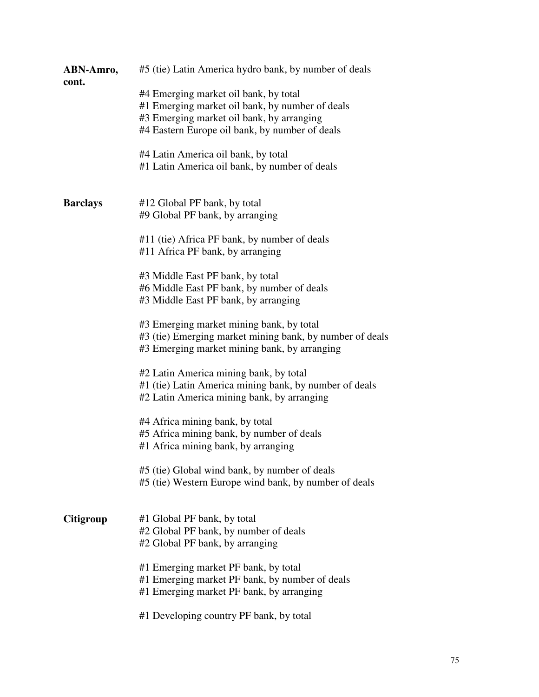| ABN-Amro,<br>cont. | #5 (tie) Latin America hydro bank, by number of deals                                                                                                                                   |
|--------------------|-----------------------------------------------------------------------------------------------------------------------------------------------------------------------------------------|
|                    | #4 Emerging market oil bank, by total<br>#1 Emerging market oil bank, by number of deals<br>#3 Emerging market oil bank, by arranging<br>#4 Eastern Europe oil bank, by number of deals |
|                    | #4 Latin America oil bank, by total<br>#1 Latin America oil bank, by number of deals                                                                                                    |
| <b>Barclays</b>    | #12 Global PF bank, by total<br>#9 Global PF bank, by arranging                                                                                                                         |
|                    | #11 (tie) Africa PF bank, by number of deals<br>#11 Africa PF bank, by arranging                                                                                                        |
|                    | #3 Middle East PF bank, by total<br>#6 Middle East PF bank, by number of deals<br>#3 Middle East PF bank, by arranging                                                                  |
|                    | #3 Emerging market mining bank, by total<br>#3 (tie) Emerging market mining bank, by number of deals<br>#3 Emerging market mining bank, by arranging                                    |
|                    | #2 Latin America mining bank, by total<br>#1 (tie) Latin America mining bank, by number of deals<br>#2 Latin America mining bank, by arranging                                          |
|                    | #4 Africa mining bank, by total<br>#5 Africa mining bank, by number of deals<br>#1 Africa mining bank, by arranging                                                                     |
|                    | #5 (tie) Global wind bank, by number of deals<br>#5 (tie) Western Europe wind bank, by number of deals                                                                                  |
| Citigroup          | #1 Global PF bank, by total<br>#2 Global PF bank, by number of deals<br>#2 Global PF bank, by arranging                                                                                 |
|                    | #1 Emerging market PF bank, by total<br>#1 Emerging market PF bank, by number of deals<br>#1 Emerging market PF bank, by arranging                                                      |
|                    | #1 Developing country PF bank, by total                                                                                                                                                 |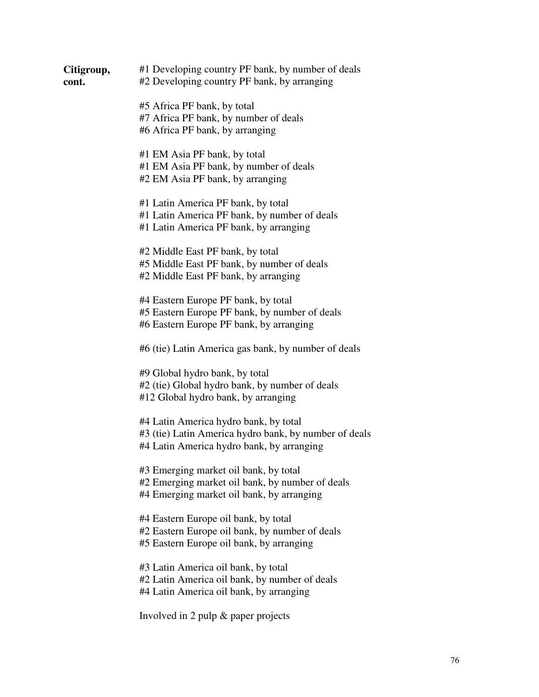| Citigroup,<br>cont. | #1 Developing country PF bank, by number of deals<br>#2 Developing country PF bank, by arranging                                            |
|---------------------|---------------------------------------------------------------------------------------------------------------------------------------------|
|                     | #5 Africa PF bank, by total<br>#7 Africa PF bank, by number of deals<br>#6 Africa PF bank, by arranging                                     |
|                     | #1 EM Asia PF bank, by total<br>#1 EM Asia PF bank, by number of deals<br>#2 EM Asia PF bank, by arranging                                  |
|                     | #1 Latin America PF bank, by total<br>#1 Latin America PF bank, by number of deals<br>#1 Latin America PF bank, by arranging                |
|                     | #2 Middle East PF bank, by total<br>#5 Middle East PF bank, by number of deals<br>#2 Middle East PF bank, by arranging                      |
|                     | #4 Eastern Europe PF bank, by total<br>#5 Eastern Europe PF bank, by number of deals<br>#6 Eastern Europe PF bank, by arranging             |
|                     | #6 (tie) Latin America gas bank, by number of deals                                                                                         |
|                     | #9 Global hydro bank, by total<br>#2 (tie) Global hydro bank, by number of deals<br>#12 Global hydro bank, by arranging                     |
|                     | #4 Latin America hydro bank, by total<br>#3 (tie) Latin America hydro bank, by number of deals<br>#4 Latin America hydro bank, by arranging |
|                     | #3 Emerging market oil bank, by total<br>#2 Emerging market oil bank, by number of deals<br>#4 Emerging market oil bank, by arranging       |
|                     | #4 Eastern Europe oil bank, by total<br>#2 Eastern Europe oil bank, by number of deals<br>#5 Eastern Europe oil bank, by arranging          |
|                     | #3 Latin America oil bank, by total<br>#2 Latin America oil bank, by number of deals<br>#4 Latin America oil bank, by arranging             |
|                     | Involved in 2 pulp & paper projects                                                                                                         |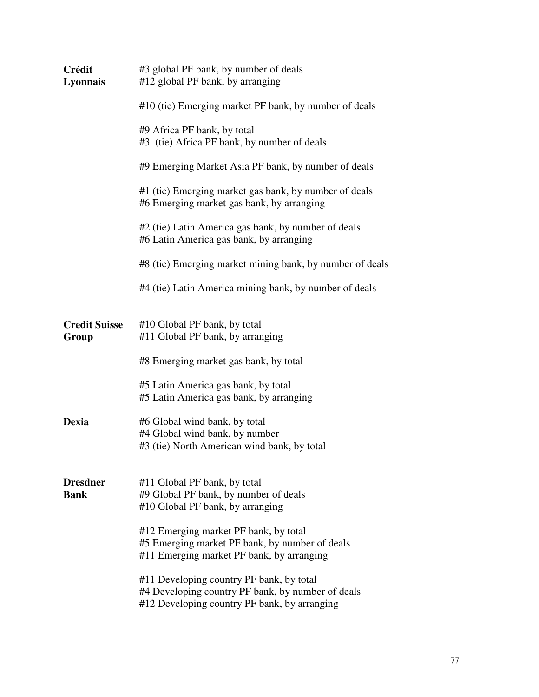| Crédit<br>Lyonnais             | #3 global PF bank, by number of deals<br>#12 global PF bank, by arranging                                                                     |  |  |
|--------------------------------|-----------------------------------------------------------------------------------------------------------------------------------------------|--|--|
|                                | #10 (tie) Emerging market PF bank, by number of deals                                                                                         |  |  |
|                                | #9 Africa PF bank, by total<br>#3 (tie) Africa PF bank, by number of deals                                                                    |  |  |
|                                | #9 Emerging Market Asia PF bank, by number of deals                                                                                           |  |  |
|                                | #1 (tie) Emerging market gas bank, by number of deals<br>#6 Emerging market gas bank, by arranging                                            |  |  |
|                                | #2 (tie) Latin America gas bank, by number of deals<br>#6 Latin America gas bank, by arranging                                                |  |  |
|                                | #8 (tie) Emerging market mining bank, by number of deals                                                                                      |  |  |
|                                | #4 (tie) Latin America mining bank, by number of deals                                                                                        |  |  |
| <b>Credit Suisse</b><br>Group  | #10 Global PF bank, by total<br>#11 Global PF bank, by arranging                                                                              |  |  |
|                                | #8 Emerging market gas bank, by total                                                                                                         |  |  |
|                                | #5 Latin America gas bank, by total<br>#5 Latin America gas bank, by arranging                                                                |  |  |
| <b>Dexia</b>                   | #6 Global wind bank, by total<br>#4 Global wind bank, by number<br>#3 (tie) North American wind bank, by total                                |  |  |
| <b>Dresdner</b><br><b>Bank</b> | #11 Global PF bank, by total<br>#9 Global PF bank, by number of deals<br>#10 Global PF bank, by arranging                                     |  |  |
|                                | #12 Emerging market PF bank, by total<br>#5 Emerging market PF bank, by number of deals<br>#11 Emerging market PF bank, by arranging          |  |  |
|                                | #11 Developing country PF bank, by total<br>#4 Developing country PF bank, by number of deals<br>#12 Developing country PF bank, by arranging |  |  |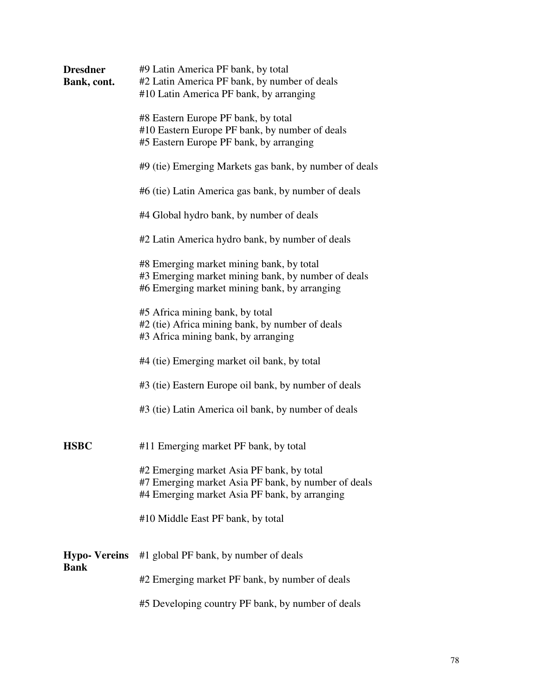| <b>Dresdner</b><br>Bank, cont. | #9 Latin America PF bank, by total<br>#2 Latin America PF bank, by number of deals<br>#10 Latin America PF bank, by arranging                     |
|--------------------------------|---------------------------------------------------------------------------------------------------------------------------------------------------|
|                                | #8 Eastern Europe PF bank, by total<br>#10 Eastern Europe PF bank, by number of deals<br>#5 Eastern Europe PF bank, by arranging                  |
|                                | #9 (tie) Emerging Markets gas bank, by number of deals                                                                                            |
|                                | #6 (tie) Latin America gas bank, by number of deals                                                                                               |
|                                | #4 Global hydro bank, by number of deals                                                                                                          |
|                                | #2 Latin America hydro bank, by number of deals                                                                                                   |
|                                | #8 Emerging market mining bank, by total<br>#3 Emerging market mining bank, by number of deals<br>#6 Emerging market mining bank, by arranging    |
|                                | #5 Africa mining bank, by total<br>#2 (tie) Africa mining bank, by number of deals<br>#3 Africa mining bank, by arranging                         |
|                                | #4 (tie) Emerging market oil bank, by total                                                                                                       |
|                                | #3 (tie) Eastern Europe oil bank, by number of deals                                                                                              |
|                                | #3 (tie) Latin America oil bank, by number of deals                                                                                               |
| <b>HSBC</b>                    | #11 Emerging market PF bank, by total                                                                                                             |
|                                | #2 Emerging market Asia PF bank, by total<br>#7 Emerging market Asia PF bank, by number of deals<br>#4 Emerging market Asia PF bank, by arranging |
|                                | #10 Middle East PF bank, by total                                                                                                                 |
| <b>Hypo-Vereins</b><br>Bank    | #1 global PF bank, by number of deals                                                                                                             |
|                                | #2 Emerging market PF bank, by number of deals                                                                                                    |
|                                | #5 Developing country PF bank, by number of deals                                                                                                 |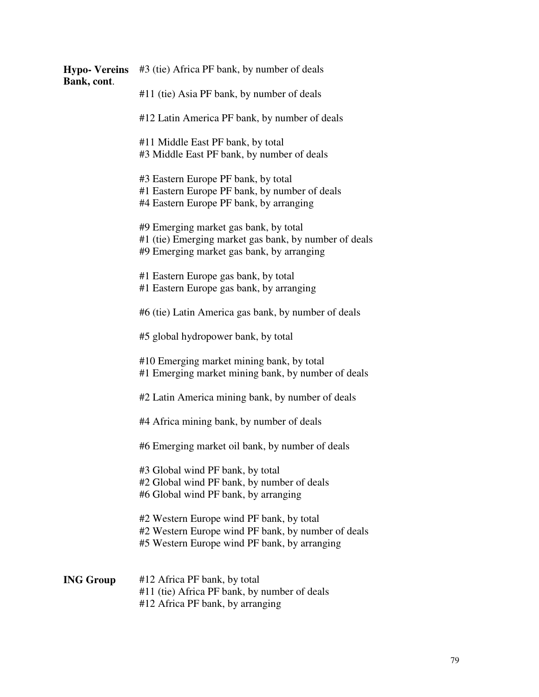| <b>Hypo-Vereins</b><br>Bank, cont. | #3 (tie) Africa PF bank, by number of deals                                                                                                    |
|------------------------------------|------------------------------------------------------------------------------------------------------------------------------------------------|
|                                    | #11 (tie) Asia PF bank, by number of deals                                                                                                     |
|                                    | #12 Latin America PF bank, by number of deals                                                                                                  |
|                                    | #11 Middle East PF bank, by total<br>#3 Middle East PF bank, by number of deals                                                                |
|                                    | #3 Eastern Europe PF bank, by total<br>#1 Eastern Europe PF bank, by number of deals<br>#4 Eastern Europe PF bank, by arranging                |
|                                    | #9 Emerging market gas bank, by total<br>#1 (tie) Emerging market gas bank, by number of deals<br>#9 Emerging market gas bank, by arranging    |
|                                    | #1 Eastern Europe gas bank, by total<br>#1 Eastern Europe gas bank, by arranging                                                               |
|                                    | #6 (tie) Latin America gas bank, by number of deals                                                                                            |
|                                    | #5 global hydropower bank, by total                                                                                                            |
|                                    | #10 Emerging market mining bank, by total<br>#1 Emerging market mining bank, by number of deals                                                |
|                                    | #2 Latin America mining bank, by number of deals                                                                                               |
|                                    | #4 Africa mining bank, by number of deals                                                                                                      |
|                                    | #6 Emerging market oil bank, by number of deals                                                                                                |
|                                    | #3 Global wind PF bank, by total<br>#2 Global wind PF bank, by number of deals<br>#6 Global wind PF bank, by arranging                         |
|                                    | #2 Western Europe wind PF bank, by total<br>#2 Western Europe wind PF bank, by number of deals<br>#5 Western Europe wind PF bank, by arranging |
| <b>ING Group</b>                   | #12 Africa PF bank, by total<br>#11 (tie) Africa PF bank, by number of deals<br>#12 Africa PF bank, by arranging                               |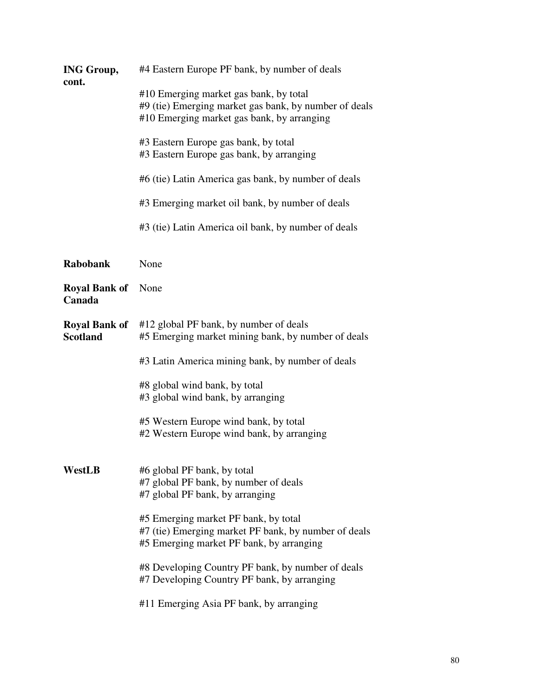| <b>ING Group,</b><br>cont.              | #4 Eastern Europe PF bank, by number of deals                                                                                                 |  |
|-----------------------------------------|-----------------------------------------------------------------------------------------------------------------------------------------------|--|
|                                         | #10 Emerging market gas bank, by total<br>#9 (tie) Emerging market gas bank, by number of deals<br>#10 Emerging market gas bank, by arranging |  |
|                                         | #3 Eastern Europe gas bank, by total<br>#3 Eastern Europe gas bank, by arranging                                                              |  |
|                                         | #6 (tie) Latin America gas bank, by number of deals                                                                                           |  |
|                                         | #3 Emerging market oil bank, by number of deals                                                                                               |  |
|                                         | #3 (tie) Latin America oil bank, by number of deals                                                                                           |  |
| <b>Rabobank</b>                         | None                                                                                                                                          |  |
| <b>Royal Bank of</b><br>Canada          | None                                                                                                                                          |  |
| <b>Royal Bank of</b><br><b>Scotland</b> | #12 global PF bank, by number of deals<br>#5 Emerging market mining bank, by number of deals                                                  |  |
|                                         | #3 Latin America mining bank, by number of deals                                                                                              |  |
|                                         | #8 global wind bank, by total<br>#3 global wind bank, by arranging                                                                            |  |
|                                         | #5 Western Europe wind bank, by total<br>#2 Western Europe wind bank, by arranging                                                            |  |
| WestLB                                  | #6 global PF bank, by total<br>#7 global PF bank, by number of deals<br>#7 global PF bank, by arranging                                       |  |
|                                         | #5 Emerging market PF bank, by total<br>#7 (tie) Emerging market PF bank, by number of deals<br>#5 Emerging market PF bank, by arranging      |  |
|                                         | #8 Developing Country PF bank, by number of deals<br>#7 Developing Country PF bank, by arranging                                              |  |
|                                         | #11 Emerging Asia PF bank, by arranging                                                                                                       |  |